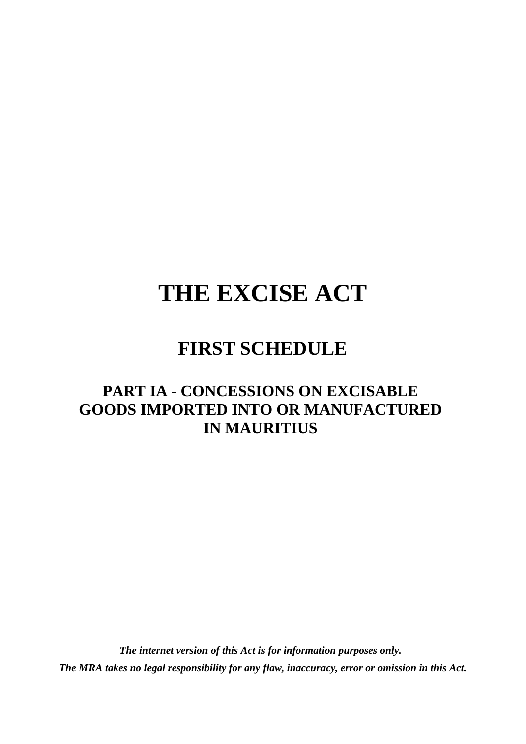# **THE EXCISE ACT**

## **FIRST SCHEDULE**

#### **PART IA - CONCESSIONS ON EXCISABLE GOODS IMPORTED INTO OR MANUFACTURED IN MAURITIUS**

*The internet version of this Act is for information purposes only. The MRA takes no legal responsibility for any flaw, inaccuracy, error or omission in this Act.*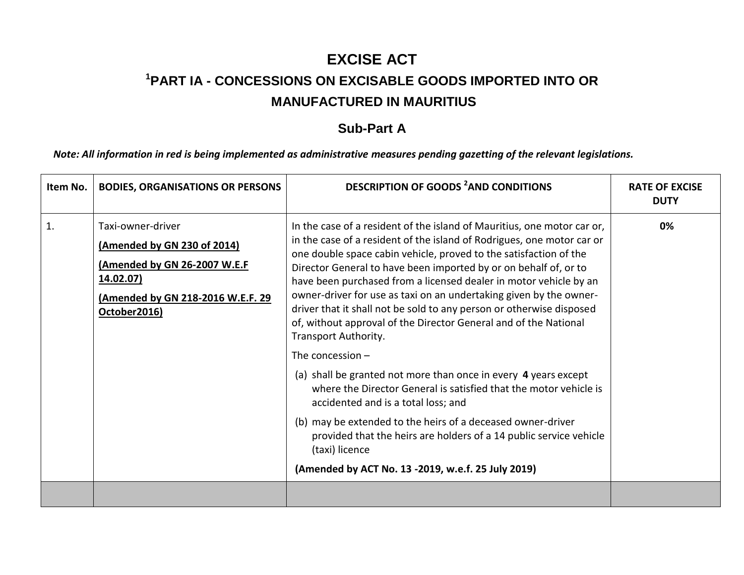### **EXCISE ACT <sup>1</sup>PART IA - CONCESSIONS ON EXCISABLE GOODS IMPORTED INTO OR MANUFACTURED IN MAURITIUS**

#### **Sub-Part A**

*Note: All information in red is being implemented as administrative measures pending gazetting of the relevant legislations.*

| Item No. | <b>BODIES, ORGANISATIONS OR PERSONS</b>                                                                                                            | <b>DESCRIPTION OF GOODS <sup>2</sup>AND CONDITIONS</b>                                                                                                                                                                                                                                                                                                                                                                                                                                                                                                                                                                                                                                                                                                                                                                                                                                                                                                                                                                      | <b>RATE OF EXCISE</b><br><b>DUTY</b> |
|----------|----------------------------------------------------------------------------------------------------------------------------------------------------|-----------------------------------------------------------------------------------------------------------------------------------------------------------------------------------------------------------------------------------------------------------------------------------------------------------------------------------------------------------------------------------------------------------------------------------------------------------------------------------------------------------------------------------------------------------------------------------------------------------------------------------------------------------------------------------------------------------------------------------------------------------------------------------------------------------------------------------------------------------------------------------------------------------------------------------------------------------------------------------------------------------------------------|--------------------------------------|
| 1.       | Taxi-owner-driver<br>(Amended by GN 230 of 2014)<br>(Amended by GN 26-2007 W.E.F<br>14.02.07)<br>(Amended by GN 218-2016 W.E.F. 29<br>October2016) | In the case of a resident of the island of Mauritius, one motor car or,<br>in the case of a resident of the island of Rodrigues, one motor car or<br>one double space cabin vehicle, proved to the satisfaction of the<br>Director General to have been imported by or on behalf of, or to<br>have been purchased from a licensed dealer in motor vehicle by an<br>owner-driver for use as taxi on an undertaking given by the owner-<br>driver that it shall not be sold to any person or otherwise disposed<br>of, without approval of the Director General and of the National<br>Transport Authority.<br>The concession $-$<br>(a) shall be granted not more than once in every 4 years except<br>where the Director General is satisfied that the motor vehicle is<br>accidented and is a total loss; and<br>(b) may be extended to the heirs of a deceased owner-driver<br>provided that the heirs are holders of a 14 public service vehicle<br>(taxi) licence<br>(Amended by ACT No. 13 -2019, w.e.f. 25 July 2019) | 0%                                   |
|          |                                                                                                                                                    |                                                                                                                                                                                                                                                                                                                                                                                                                                                                                                                                                                                                                                                                                                                                                                                                                                                                                                                                                                                                                             |                                      |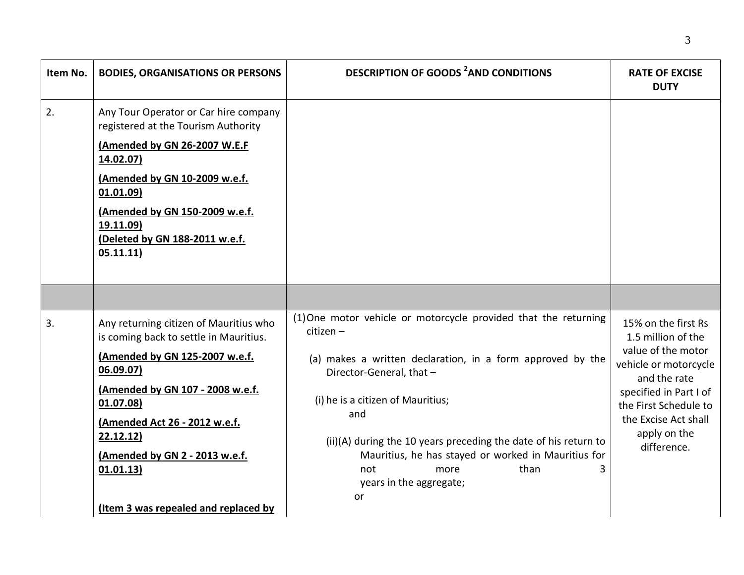| Item No. | <b>BODIES, ORGANISATIONS OR PERSONS</b>                                                                                                                                                                                                                               | <b>DESCRIPTION OF GOODS <sup>2</sup>AND CONDITIONS</b>                                                                                                                                                                                                       | <b>RATE OF EXCISE</b><br><b>DUTY</b>                                                                                                                                  |
|----------|-----------------------------------------------------------------------------------------------------------------------------------------------------------------------------------------------------------------------------------------------------------------------|--------------------------------------------------------------------------------------------------------------------------------------------------------------------------------------------------------------------------------------------------------------|-----------------------------------------------------------------------------------------------------------------------------------------------------------------------|
| 2.       | Any Tour Operator or Car hire company<br>registered at the Tourism Authority<br>(Amended by GN 26-2007 W.E.F<br>14.02.07)<br>(Amended by GN 10-2009 w.e.f.<br>01.01.09)<br>(Amended by GN 150-2009 w.e.f.<br>19.11.09)<br>(Deleted by GN 188-2011 w.e.f.<br>05.11.11) |                                                                                                                                                                                                                                                              |                                                                                                                                                                       |
|          |                                                                                                                                                                                                                                                                       |                                                                                                                                                                                                                                                              |                                                                                                                                                                       |
| 3.       | Any returning citizen of Mauritius who<br>is coming back to settle in Mauritius.                                                                                                                                                                                      | (1) One motor vehicle or motorcycle provided that the returning<br>citizen -                                                                                                                                                                                 | 15% on the first Rs<br>1.5 million of the                                                                                                                             |
|          | (Amended by GN 125-2007 w.e.f.<br>06.09.07)<br>(Amended by GN 107 - 2008 w.e.f.<br>01.07.08)<br>(Amended Act 26 - 2012 w.e.f.<br>22.12.12<br>(Amended by GN 2 - 2013 w.e.f.                                                                                           | (a) makes a written declaration, in a form approved by the<br>Director-General, that -<br>(i) he is a citizen of Mauritius;<br>and<br>(ii)(A) during the 10 years preceding the date of his return to<br>Mauritius, he has stayed or worked in Mauritius for | value of the motor<br>vehicle or motorcycle<br>and the rate<br>specified in Part I of<br>the First Schedule to<br>the Excise Act shall<br>apply on the<br>difference. |
|          | 01.01.13)<br>(Item 3 was repealed and replaced by                                                                                                                                                                                                                     | than<br>not<br>more<br>years in the aggregate;<br>or                                                                                                                                                                                                         |                                                                                                                                                                       |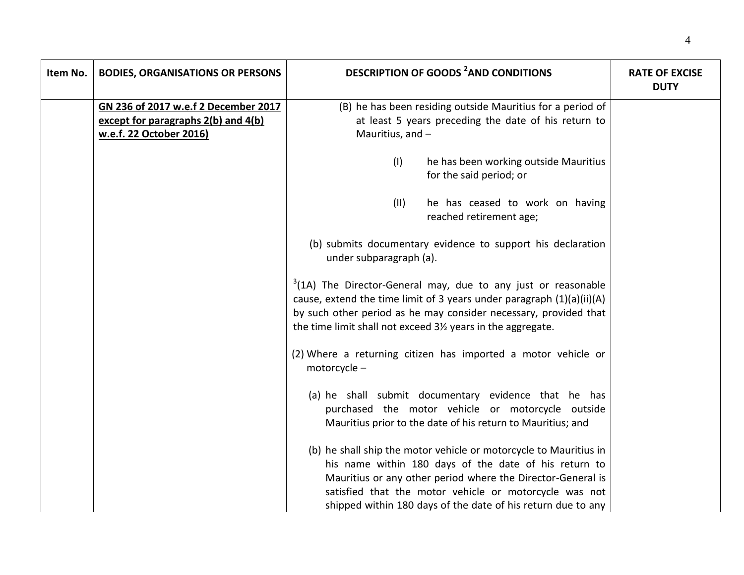| Item No. | <b>BODIES, ORGANISATIONS OR PERSONS</b> | <b>DESCRIPTION OF GOODS <sup>2</sup>AND CONDITIONS</b>                                                                                                                                                                                                                                                              | <b>RATE OF EXCISE</b><br><b>DUTY</b> |
|----------|-----------------------------------------|---------------------------------------------------------------------------------------------------------------------------------------------------------------------------------------------------------------------------------------------------------------------------------------------------------------------|--------------------------------------|
|          | GN 236 of 2017 w.e.f 2 December 2017    | (B) he has been residing outside Mauritius for a period of                                                                                                                                                                                                                                                          |                                      |
|          | except for paragraphs 2(b) and 4(b)     | at least 5 years preceding the date of his return to                                                                                                                                                                                                                                                                |                                      |
|          | w.e.f. 22 October 2016)                 | Mauritius, and -                                                                                                                                                                                                                                                                                                    |                                      |
|          |                                         |                                                                                                                                                                                                                                                                                                                     |                                      |
|          |                                         | (1)<br>he has been working outside Mauritius<br>for the said period; or                                                                                                                                                                                                                                             |                                      |
|          |                                         | (11)<br>he has ceased to work on having<br>reached retirement age;                                                                                                                                                                                                                                                  |                                      |
|          |                                         | (b) submits documentary evidence to support his declaration<br>under subparagraph (a).                                                                                                                                                                                                                              |                                      |
|          |                                         | $3(1A)$ The Director-General may, due to any just or reasonable<br>cause, extend the time limit of 3 years under paragraph (1)(a)(ii)(A)<br>by such other period as he may consider necessary, provided that<br>the time limit shall not exceed 31/2 years in the aggregate.                                        |                                      |
|          |                                         | (2) Where a returning citizen has imported a motor vehicle or<br>motorcycle-                                                                                                                                                                                                                                        |                                      |
|          |                                         | (a) he shall submit documentary evidence that he has<br>purchased the motor vehicle or motorcycle outside<br>Mauritius prior to the date of his return to Mauritius; and                                                                                                                                            |                                      |
|          |                                         | (b) he shall ship the motor vehicle or motorcycle to Mauritius in<br>his name within 180 days of the date of his return to<br>Mauritius or any other period where the Director-General is<br>satisfied that the motor vehicle or motorcycle was not<br>shipped within 180 days of the date of his return due to any |                                      |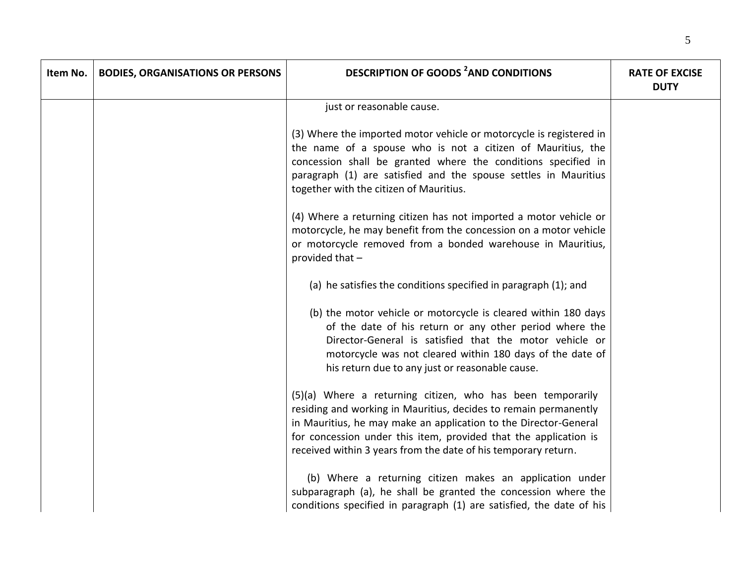| Item No. | <b>BODIES, ORGANISATIONS OR PERSONS</b> | <b>DESCRIPTION OF GOODS <sup>2</sup>AND CONDITIONS</b>                                                                                                                                                                                                                                                                                   | <b>RATE OF EXCISE</b><br><b>DUTY</b> |
|----------|-----------------------------------------|------------------------------------------------------------------------------------------------------------------------------------------------------------------------------------------------------------------------------------------------------------------------------------------------------------------------------------------|--------------------------------------|
|          |                                         | just or reasonable cause.                                                                                                                                                                                                                                                                                                                |                                      |
|          |                                         | (3) Where the imported motor vehicle or motorcycle is registered in<br>the name of a spouse who is not a citizen of Mauritius, the<br>concession shall be granted where the conditions specified in<br>paragraph (1) are satisfied and the spouse settles in Mauritius<br>together with the citizen of Mauritius.                        |                                      |
|          |                                         | (4) Where a returning citizen has not imported a motor vehicle or<br>motorcycle, he may benefit from the concession on a motor vehicle<br>or motorcycle removed from a bonded warehouse in Mauritius,<br>provided that -                                                                                                                 |                                      |
|          |                                         | (a) he satisfies the conditions specified in paragraph (1); and                                                                                                                                                                                                                                                                          |                                      |
|          |                                         | (b) the motor vehicle or motorcycle is cleared within 180 days<br>of the date of his return or any other period where the<br>Director-General is satisfied that the motor vehicle or<br>motorcycle was not cleared within 180 days of the date of<br>his return due to any just or reasonable cause.                                     |                                      |
|          |                                         | (5)(a) Where a returning citizen, who has been temporarily<br>residing and working in Mauritius, decides to remain permanently<br>in Mauritius, he may make an application to the Director-General<br>for concession under this item, provided that the application is<br>received within 3 years from the date of his temporary return. |                                      |
|          |                                         | (b) Where a returning citizen makes an application under<br>subparagraph (a), he shall be granted the concession where the<br>conditions specified in paragraph (1) are satisfied, the date of his                                                                                                                                       |                                      |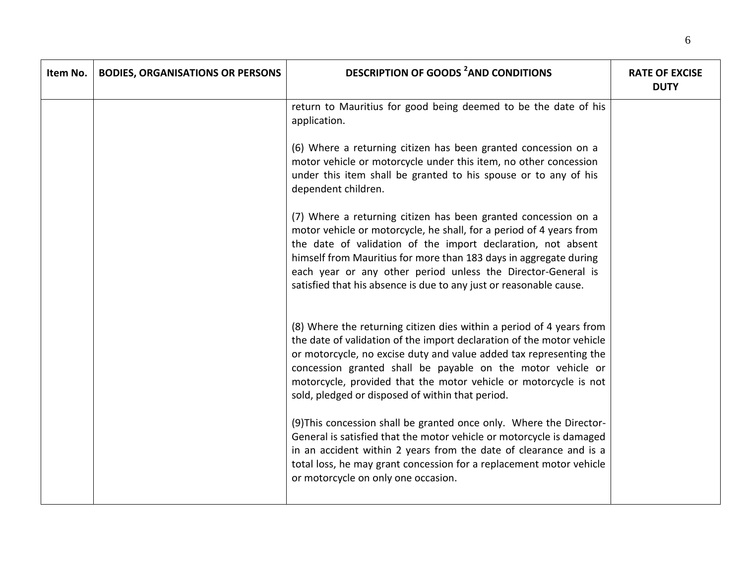| Item No. | <b>BODIES, ORGANISATIONS OR PERSONS</b> | <b>DESCRIPTION OF GOODS <sup>2</sup>AND CONDITIONS</b>                                                                                                                                                                                                                                                                                                                                                           | <b>RATE OF EXCISE</b><br><b>DUTY</b> |
|----------|-----------------------------------------|------------------------------------------------------------------------------------------------------------------------------------------------------------------------------------------------------------------------------------------------------------------------------------------------------------------------------------------------------------------------------------------------------------------|--------------------------------------|
|          |                                         | return to Mauritius for good being deemed to be the date of his<br>application.                                                                                                                                                                                                                                                                                                                                  |                                      |
|          |                                         | (6) Where a returning citizen has been granted concession on a<br>motor vehicle or motorcycle under this item, no other concession<br>under this item shall be granted to his spouse or to any of his<br>dependent children.                                                                                                                                                                                     |                                      |
|          |                                         | (7) Where a returning citizen has been granted concession on a<br>motor vehicle or motorcycle, he shall, for a period of 4 years from<br>the date of validation of the import declaration, not absent<br>himself from Mauritius for more than 183 days in aggregate during<br>each year or any other period unless the Director-General is<br>satisfied that his absence is due to any just or reasonable cause. |                                      |
|          |                                         | (8) Where the returning citizen dies within a period of 4 years from<br>the date of validation of the import declaration of the motor vehicle<br>or motorcycle, no excise duty and value added tax representing the<br>concession granted shall be payable on the motor vehicle or<br>motorcycle, provided that the motor vehicle or motorcycle is not<br>sold, pledged or disposed of within that period.       |                                      |
|          |                                         | (9) This concession shall be granted once only. Where the Director-<br>General is satisfied that the motor vehicle or motorcycle is damaged<br>in an accident within 2 years from the date of clearance and is a<br>total loss, he may grant concession for a replacement motor vehicle<br>or motorcycle on only one occasion.                                                                                   |                                      |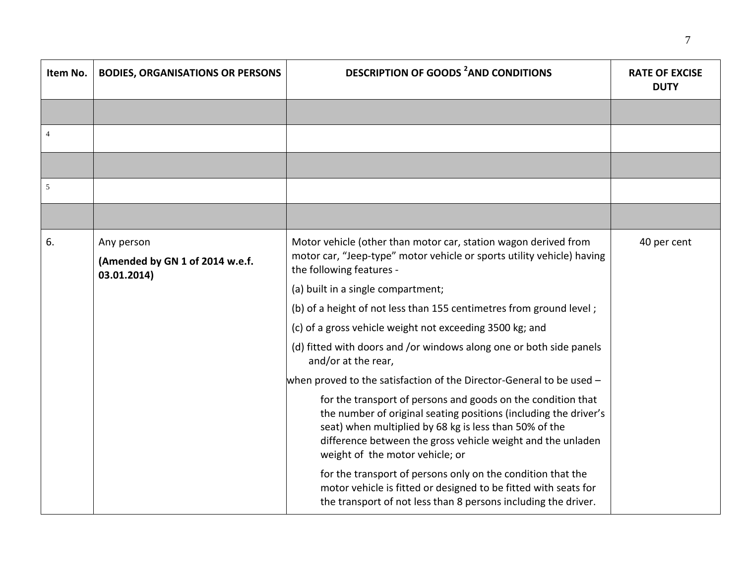| Item No. | <b>BODIES, ORGANISATIONS OR PERSONS</b>                      | <b>DESCRIPTION OF GOODS <sup>2</sup>AND CONDITIONS</b>                                                                                                                                                                                                                                       | <b>RATE OF EXCISE</b><br><b>DUTY</b> |
|----------|--------------------------------------------------------------|----------------------------------------------------------------------------------------------------------------------------------------------------------------------------------------------------------------------------------------------------------------------------------------------|--------------------------------------|
|          |                                                              |                                                                                                                                                                                                                                                                                              |                                      |
| 4        |                                                              |                                                                                                                                                                                                                                                                                              |                                      |
|          |                                                              |                                                                                                                                                                                                                                                                                              |                                      |
| 5        |                                                              |                                                                                                                                                                                                                                                                                              |                                      |
|          |                                                              |                                                                                                                                                                                                                                                                                              |                                      |
| 6.       | Any person<br>(Amended by GN 1 of 2014 w.e.f.<br>03.01.2014) | Motor vehicle (other than motor car, station wagon derived from<br>motor car, "Jeep-type" motor vehicle or sports utility vehicle) having<br>the following features -                                                                                                                        | 40 per cent                          |
|          |                                                              | (a) built in a single compartment;                                                                                                                                                                                                                                                           |                                      |
|          |                                                              | (b) of a height of not less than 155 centimetres from ground level;                                                                                                                                                                                                                          |                                      |
|          |                                                              | (c) of a gross vehicle weight not exceeding 3500 kg; and                                                                                                                                                                                                                                     |                                      |
|          |                                                              | (d) fitted with doors and /or windows along one or both side panels<br>and/or at the rear,                                                                                                                                                                                                   |                                      |
|          |                                                              | when proved to the satisfaction of the Director-General to be used -                                                                                                                                                                                                                         |                                      |
|          |                                                              | for the transport of persons and goods on the condition that<br>the number of original seating positions (including the driver's<br>seat) when multiplied by 68 kg is less than 50% of the<br>difference between the gross vehicle weight and the unladen<br>weight of the motor vehicle; or |                                      |
|          |                                                              | for the transport of persons only on the condition that the<br>motor vehicle is fitted or designed to be fitted with seats for<br>the transport of not less than 8 persons including the driver.                                                                                             |                                      |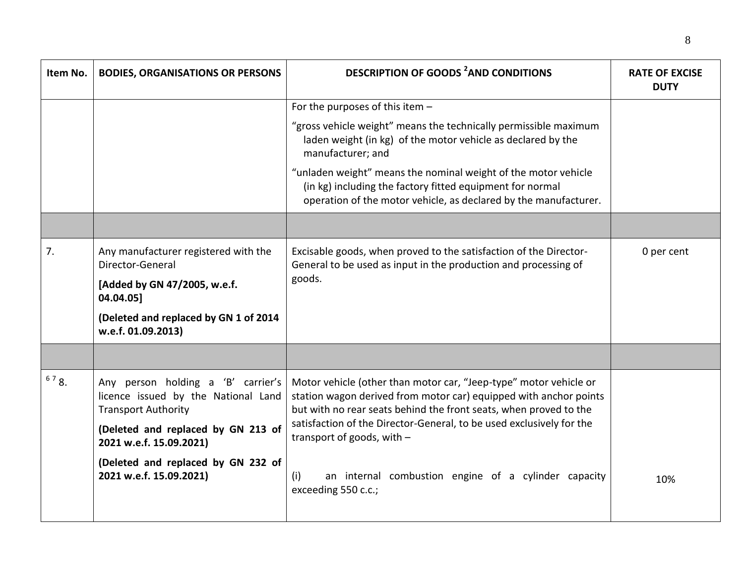| Item No. | <b>BODIES, ORGANISATIONS OR PERSONS</b>                                                                 | <b>DESCRIPTION OF GOODS <sup>2</sup>AND CONDITIONS</b>                                                                                                                                                      | <b>RATE OF EXCISE</b><br><b>DUTY</b> |
|----------|---------------------------------------------------------------------------------------------------------|-------------------------------------------------------------------------------------------------------------------------------------------------------------------------------------------------------------|--------------------------------------|
|          |                                                                                                         | For the purposes of this item $-$                                                                                                                                                                           |                                      |
|          |                                                                                                         | "gross vehicle weight" means the technically permissible maximum<br>laden weight (in kg) of the motor vehicle as declared by the<br>manufacturer; and                                                       |                                      |
|          |                                                                                                         | "unladen weight" means the nominal weight of the motor vehicle<br>(in kg) including the factory fitted equipment for normal<br>operation of the motor vehicle, as declared by the manufacturer.             |                                      |
|          |                                                                                                         |                                                                                                                                                                                                             |                                      |
| 7.       | Any manufacturer registered with the<br>Director-General                                                | Excisable goods, when proved to the satisfaction of the Director-<br>General to be used as input in the production and processing of                                                                        | 0 per cent                           |
|          | [Added by GN 47/2005, w.e.f.<br>04.04.05]                                                               | goods.                                                                                                                                                                                                      |                                      |
|          | (Deleted and replaced by GN 1 of 2014<br>w.e.f. 01.09.2013)                                             |                                                                                                                                                                                                             |                                      |
|          |                                                                                                         |                                                                                                                                                                                                             |                                      |
| 678.     | Any person holding a 'B' carrier's<br>licence issued by the National Land<br><b>Transport Authority</b> | Motor vehicle (other than motor car, "Jeep-type" motor vehicle or<br>station wagon derived from motor car) equipped with anchor points<br>but with no rear seats behind the front seats, when proved to the |                                      |
|          | (Deleted and replaced by GN 213 of<br>2021 w.e.f. 15.09.2021)                                           | satisfaction of the Director-General, to be used exclusively for the<br>transport of goods, with $-$                                                                                                        |                                      |
|          | (Deleted and replaced by GN 232 of<br>2021 w.e.f. 15.09.2021)                                           | an internal combustion engine of a cylinder capacity<br>(i)<br>exceeding 550 c.c.;                                                                                                                          | 10%                                  |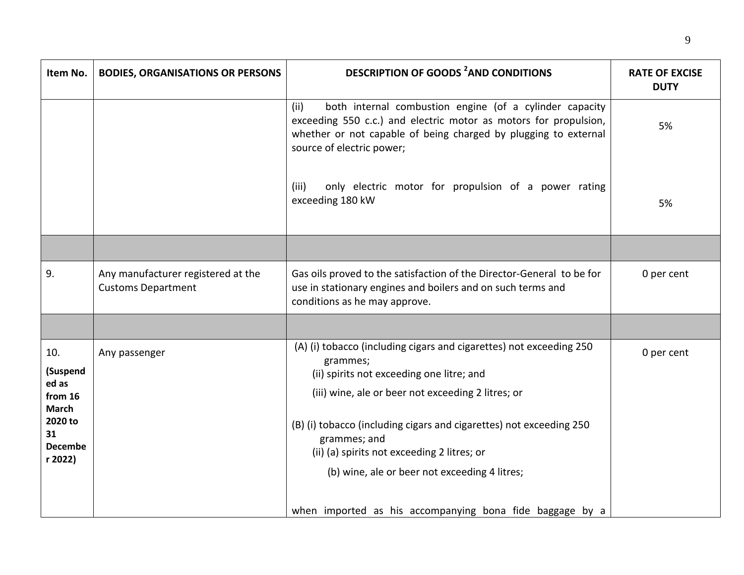| Item No.                                                                                          | <b>BODIES, ORGANISATIONS OR PERSONS</b>                         | <b>DESCRIPTION OF GOODS <sup>2</sup>AND CONDITIONS</b>                                                                                                                                                                                                                                                                                                                    | <b>RATE OF EXCISE</b><br><b>DUTY</b> |
|---------------------------------------------------------------------------------------------------|-----------------------------------------------------------------|---------------------------------------------------------------------------------------------------------------------------------------------------------------------------------------------------------------------------------------------------------------------------------------------------------------------------------------------------------------------------|--------------------------------------|
|                                                                                                   |                                                                 | both internal combustion engine (of a cylinder capacity<br>(ii)<br>exceeding 550 c.c.) and electric motor as motors for propulsion,<br>whether or not capable of being charged by plugging to external<br>source of electric power;                                                                                                                                       | 5%                                   |
|                                                                                                   |                                                                 | (iii)<br>only electric motor for propulsion of a power rating<br>exceeding 180 kW                                                                                                                                                                                                                                                                                         | 5%                                   |
|                                                                                                   |                                                                 |                                                                                                                                                                                                                                                                                                                                                                           |                                      |
| 9.                                                                                                | Any manufacturer registered at the<br><b>Customs Department</b> | Gas oils proved to the satisfaction of the Director-General to be for<br>use in stationary engines and boilers and on such terms and<br>conditions as he may approve.                                                                                                                                                                                                     | 0 per cent                           |
|                                                                                                   |                                                                 |                                                                                                                                                                                                                                                                                                                                                                           |                                      |
| 10.<br>(Suspend<br>ed as<br>from 16<br><b>March</b><br>2020 to<br>31<br><b>Decembe</b><br>r 2022) | Any passenger                                                   | (A) (i) tobacco (including cigars and cigarettes) not exceeding 250<br>grammes;<br>(ii) spirits not exceeding one litre; and<br>(iii) wine, ale or beer not exceeding 2 litres; or<br>(B) (i) tobacco (including cigars and cigarettes) not exceeding 250<br>grammes; and<br>(ii) (a) spirits not exceeding 2 litres; or<br>(b) wine, ale or beer not exceeding 4 litres; | 0 per cent                           |
|                                                                                                   |                                                                 | when imported as his accompanying bona fide baggage by a                                                                                                                                                                                                                                                                                                                  |                                      |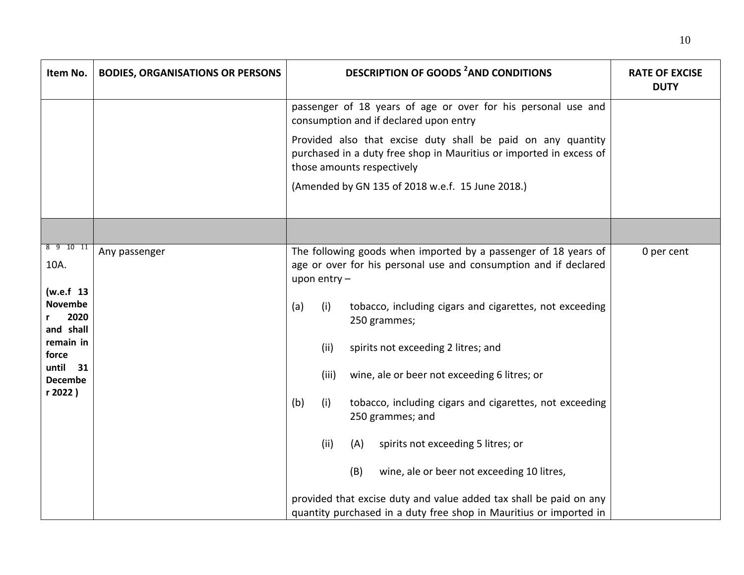| Item No.                                         | <b>BODIES, ORGANISATIONS OR PERSONS</b> | <b>DESCRIPTION OF GOODS <sup>2</sup>AND CONDITIONS</b>                                                                                                            | <b>RATE OF EXCISE</b><br><b>DUTY</b> |
|--------------------------------------------------|-----------------------------------------|-------------------------------------------------------------------------------------------------------------------------------------------------------------------|--------------------------------------|
|                                                  |                                         | passenger of 18 years of age or over for his personal use and<br>consumption and if declared upon entry                                                           |                                      |
|                                                  |                                         | Provided also that excise duty shall be paid on any quantity<br>purchased in a duty free shop in Mauritius or imported in excess of<br>those amounts respectively |                                      |
|                                                  |                                         | (Amended by GN 135 of 2018 w.e.f. 15 June 2018.)                                                                                                                  |                                      |
|                                                  |                                         |                                                                                                                                                                   |                                      |
| 8 9 10 11<br>10A.                                | Any passenger                           | The following goods when imported by a passenger of 18 years of<br>age or over for his personal use and consumption and if declared<br>upon entry $-$             | 0 per cent                           |
| (w.e.f 13<br><b>Novembe</b><br>2020<br>and shall |                                         | (a)<br>tobacco, including cigars and cigarettes, not exceeding<br>(i)<br>250 grammes;                                                                             |                                      |
| remain in<br>force                               |                                         | (ii)<br>spirits not exceeding 2 litres; and                                                                                                                       |                                      |
| until<br>31<br><b>Decembe</b>                    |                                         | (iii)<br>wine, ale or beer not exceeding 6 litres; or                                                                                                             |                                      |
| r 2022)                                          |                                         | (b)<br>(i)<br>tobacco, including cigars and cigarettes, not exceeding<br>250 grammes; and                                                                         |                                      |
|                                                  |                                         | (ii)<br>(A)<br>spirits not exceeding 5 litres; or                                                                                                                 |                                      |
|                                                  |                                         | (B)<br>wine, ale or beer not exceeding 10 litres,                                                                                                                 |                                      |
|                                                  |                                         | provided that excise duty and value added tax shall be paid on any<br>quantity purchased in a duty free shop in Mauritius or imported in                          |                                      |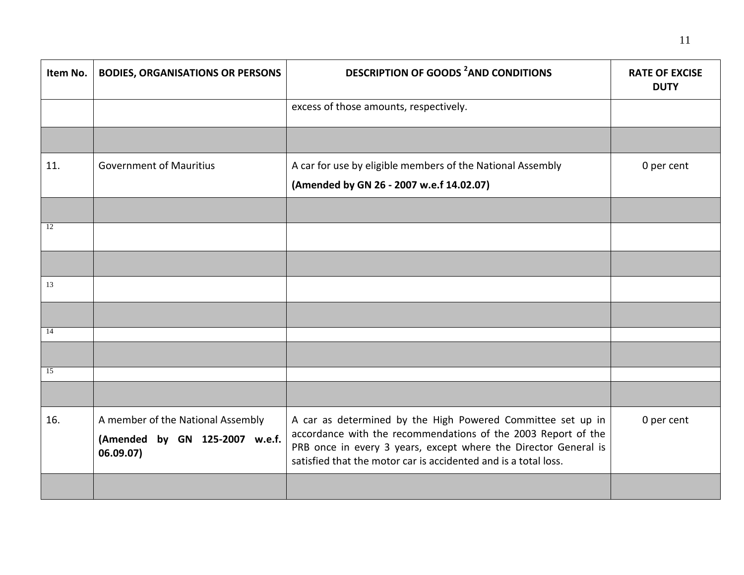| Item No. | <b>BODIES, ORGANISATIONS OR PERSONS</b>                                          | <b>DESCRIPTION OF GOODS <sup>2</sup>AND CONDITIONS</b>                                                                                                                                                                                                             | <b>RATE OF EXCISE</b><br><b>DUTY</b> |
|----------|----------------------------------------------------------------------------------|--------------------------------------------------------------------------------------------------------------------------------------------------------------------------------------------------------------------------------------------------------------------|--------------------------------------|
|          |                                                                                  | excess of those amounts, respectively.                                                                                                                                                                                                                             |                                      |
|          |                                                                                  |                                                                                                                                                                                                                                                                    |                                      |
| 11.      | <b>Government of Mauritius</b>                                                   | A car for use by eligible members of the National Assembly<br>(Amended by GN 26 - 2007 w.e.f 14.02.07)                                                                                                                                                             | 0 per cent                           |
|          |                                                                                  |                                                                                                                                                                                                                                                                    |                                      |
| 12       |                                                                                  |                                                                                                                                                                                                                                                                    |                                      |
|          |                                                                                  |                                                                                                                                                                                                                                                                    |                                      |
| 13       |                                                                                  |                                                                                                                                                                                                                                                                    |                                      |
|          |                                                                                  |                                                                                                                                                                                                                                                                    |                                      |
| 14       |                                                                                  |                                                                                                                                                                                                                                                                    |                                      |
|          |                                                                                  |                                                                                                                                                                                                                                                                    |                                      |
| 15       |                                                                                  |                                                                                                                                                                                                                                                                    |                                      |
|          |                                                                                  |                                                                                                                                                                                                                                                                    |                                      |
| 16.      | A member of the National Assembly<br>(Amended by GN 125-2007 w.e.f.<br>06.09.07) | A car as determined by the High Powered Committee set up in<br>accordance with the recommendations of the 2003 Report of the<br>PRB once in every 3 years, except where the Director General is<br>satisfied that the motor car is accidented and is a total loss. | 0 per cent                           |
|          |                                                                                  |                                                                                                                                                                                                                                                                    |                                      |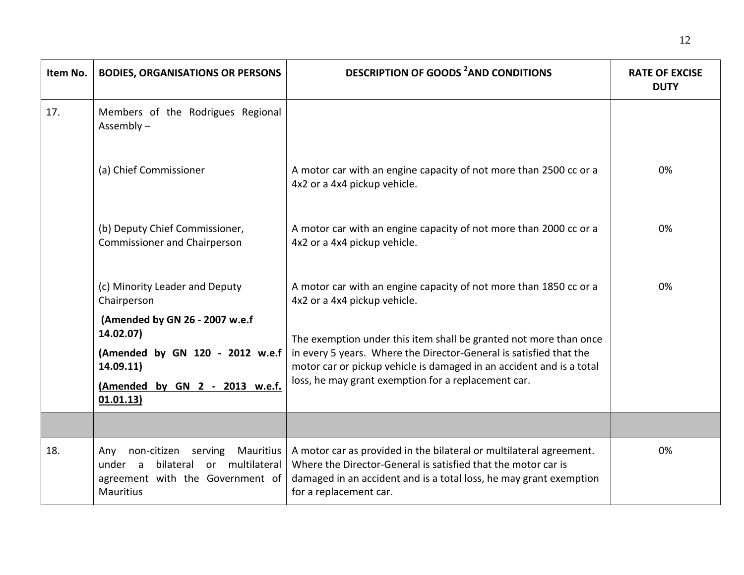| Item No. | <b>BODIES, ORGANISATIONS OR PERSONS</b>                                                                                                       | <b>DESCRIPTION OF GOODS <sup>2</sup>AND CONDITIONS</b>                                                                                                                                                                                                                 | <b>RATE OF EXCISE</b><br><b>DUTY</b> |
|----------|-----------------------------------------------------------------------------------------------------------------------------------------------|------------------------------------------------------------------------------------------------------------------------------------------------------------------------------------------------------------------------------------------------------------------------|--------------------------------------|
| 17.      | Members of the Rodrigues Regional<br>Assembly $-$                                                                                             |                                                                                                                                                                                                                                                                        |                                      |
|          | (a) Chief Commissioner                                                                                                                        | A motor car with an engine capacity of not more than 2500 cc or a<br>4x2 or a 4x4 pickup vehicle.                                                                                                                                                                      | 0%                                   |
|          | (b) Deputy Chief Commissioner,<br><b>Commissioner and Chairperson</b>                                                                         | A motor car with an engine capacity of not more than 2000 cc or a<br>4x2 or a 4x4 pickup vehicle.                                                                                                                                                                      | 0%                                   |
|          | (c) Minority Leader and Deputy<br>Chairperson                                                                                                 | A motor car with an engine capacity of not more than 1850 cc or a<br>4x2 or a 4x4 pickup vehicle.                                                                                                                                                                      | 0%                                   |
|          | (Amended by GN 26 - 2007 w.e.f<br>14.02.07)<br>(Amended by GN 120 - 2012 w.e.f<br>14.09.11)<br>(Amended by GN 2 - 2013 w.e.f.<br>01.01.13)    | The exemption under this item shall be granted not more than once<br>in every 5 years. Where the Director-General is satisfied that the<br>motor car or pickup vehicle is damaged in an accident and is a total<br>loss, he may grant exemption for a replacement car. |                                      |
|          |                                                                                                                                               |                                                                                                                                                                                                                                                                        |                                      |
| 18.      | Mauritius<br>non-citizen<br>serving<br>Any<br>or multilateral<br>under a<br>bilateral<br>agreement with the Government of<br><b>Mauritius</b> | A motor car as provided in the bilateral or multilateral agreement.<br>Where the Director-General is satisfied that the motor car is<br>damaged in an accident and is a total loss, he may grant exemption<br>for a replacement car.                                   | 0%                                   |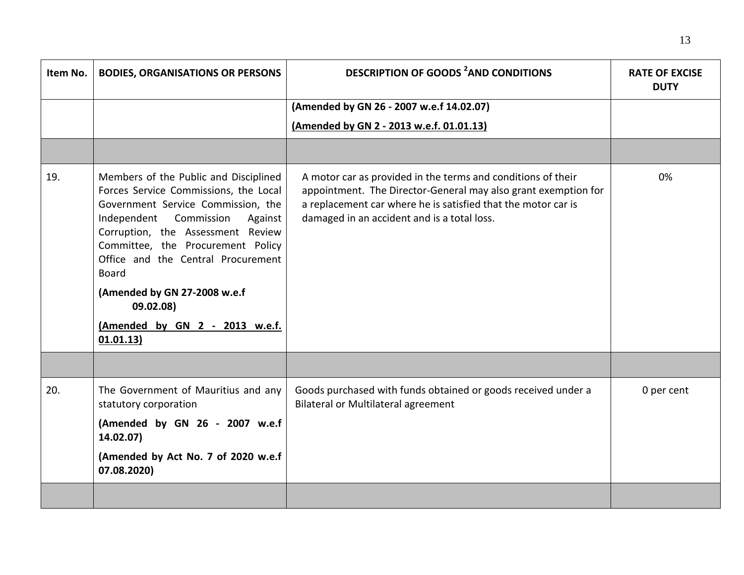| Item No. | <b>BODIES, ORGANISATIONS OR PERSONS</b>                                                                                                                                                                                                                                                                                                                                                  | <b>DESCRIPTION OF GOODS <sup>2</sup>AND CONDITIONS</b>                                                                                                                                                                                         | <b>RATE OF EXCISE</b><br><b>DUTY</b> |
|----------|------------------------------------------------------------------------------------------------------------------------------------------------------------------------------------------------------------------------------------------------------------------------------------------------------------------------------------------------------------------------------------------|------------------------------------------------------------------------------------------------------------------------------------------------------------------------------------------------------------------------------------------------|--------------------------------------|
|          |                                                                                                                                                                                                                                                                                                                                                                                          | (Amended by GN 26 - 2007 w.e.f 14.02.07)                                                                                                                                                                                                       |                                      |
|          |                                                                                                                                                                                                                                                                                                                                                                                          | (Amended by GN 2 - 2013 w.e.f. 01.01.13)                                                                                                                                                                                                       |                                      |
|          |                                                                                                                                                                                                                                                                                                                                                                                          |                                                                                                                                                                                                                                                |                                      |
| 19.      | Members of the Public and Disciplined<br>Forces Service Commissions, the Local<br>Government Service Commission, the<br>Independent<br>Commission<br>Against<br>Corruption, the Assessment Review<br>Committee, the Procurement Policy<br>Office and the Central Procurement<br><b>Board</b><br>(Amended by GN 27-2008 w.e.f<br>09.02.08)<br>(Amended by GN 2 - 2013 w.e.f.<br>01.01.13) | A motor car as provided in the terms and conditions of their<br>appointment. The Director-General may also grant exemption for<br>a replacement car where he is satisfied that the motor car is<br>damaged in an accident and is a total loss. | 0%                                   |
|          |                                                                                                                                                                                                                                                                                                                                                                                          |                                                                                                                                                                                                                                                |                                      |
| 20.      | The Government of Mauritius and any<br>statutory corporation                                                                                                                                                                                                                                                                                                                             | Goods purchased with funds obtained or goods received under a<br><b>Bilateral or Multilateral agreement</b>                                                                                                                                    | 0 per cent                           |
|          | (Amended by GN 26 - 2007 w.e.f<br>14.02.07)                                                                                                                                                                                                                                                                                                                                              |                                                                                                                                                                                                                                                |                                      |
|          | (Amended by Act No. 7 of 2020 w.e.f<br>07.08.2020)                                                                                                                                                                                                                                                                                                                                       |                                                                                                                                                                                                                                                |                                      |
|          |                                                                                                                                                                                                                                                                                                                                                                                          |                                                                                                                                                                                                                                                |                                      |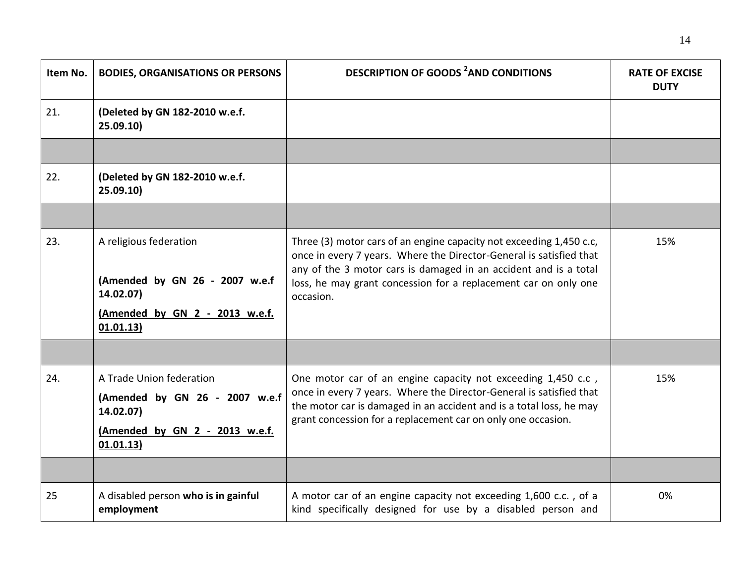| Item No. | <b>BODIES, ORGANISATIONS OR PERSONS</b>                                                                                | <b>DESCRIPTION OF GOODS <sup>2</sup>AND CONDITIONS</b>                                                                                                                                                                                                                                         | <b>RATE OF EXCISE</b><br><b>DUTY</b> |
|----------|------------------------------------------------------------------------------------------------------------------------|------------------------------------------------------------------------------------------------------------------------------------------------------------------------------------------------------------------------------------------------------------------------------------------------|--------------------------------------|
| 21.      | (Deleted by GN 182-2010 w.e.f.<br>25.09.10                                                                             |                                                                                                                                                                                                                                                                                                |                                      |
|          |                                                                                                                        |                                                                                                                                                                                                                                                                                                |                                      |
| 22.      | (Deleted by GN 182-2010 w.e.f.<br>25.09.10                                                                             |                                                                                                                                                                                                                                                                                                |                                      |
|          |                                                                                                                        |                                                                                                                                                                                                                                                                                                |                                      |
| 23.      | A religious federation<br>(Amended by GN 26 - 2007 w.e.f<br>14.02.07)<br>(Amended by GN 2 - 2013 w.e.f.<br>01.01.13)   | Three (3) motor cars of an engine capacity not exceeding 1,450 c.c,<br>once in every 7 years. Where the Director-General is satisfied that<br>any of the 3 motor cars is damaged in an accident and is a total<br>loss, he may grant concession for a replacement car on only one<br>occasion. | 15%                                  |
|          |                                                                                                                        |                                                                                                                                                                                                                                                                                                |                                      |
| 24.      | A Trade Union federation<br>(Amended by GN 26 - 2007 w.e.f<br>14.02.07)<br>(Amended by GN 2 - 2013 w.e.f.<br>01.01.13) | One motor car of an engine capacity not exceeding 1,450 c.c,<br>once in every 7 years. Where the Director-General is satisfied that<br>the motor car is damaged in an accident and is a total loss, he may<br>grant concession for a replacement car on only one occasion.                     | 15%                                  |
|          |                                                                                                                        |                                                                                                                                                                                                                                                                                                |                                      |
| 25       | A disabled person who is in gainful<br>employment                                                                      | A motor car of an engine capacity not exceeding 1,600 c.c., of a<br>kind specifically designed for use by a disabled person and                                                                                                                                                                | 0%                                   |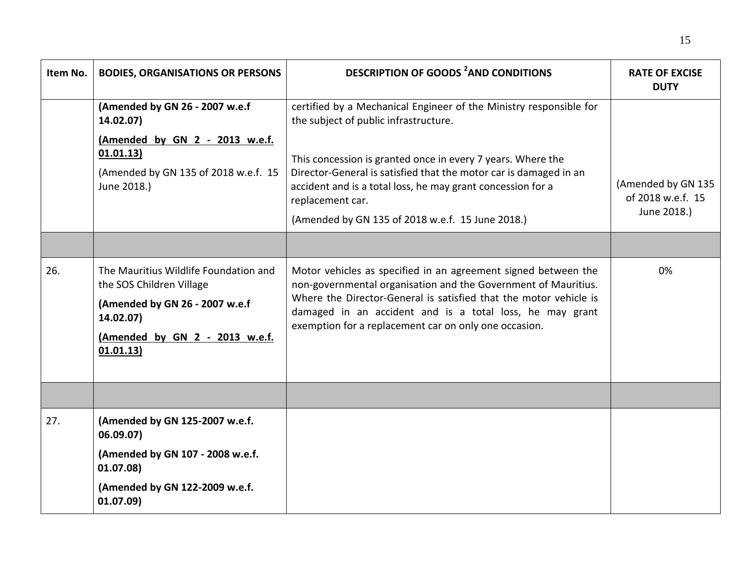| Item No. | <b>BODIES, ORGANISATIONS OR PERSONS</b>                                                                                                                         | <b>DESCRIPTION OF GOODS <sup>2</sup>AND CONDITIONS</b>                                                                                                                                                                                                                                                                                                                                 | <b>RATE OF EXCISE</b><br><b>DUTY</b>                   |
|----------|-----------------------------------------------------------------------------------------------------------------------------------------------------------------|----------------------------------------------------------------------------------------------------------------------------------------------------------------------------------------------------------------------------------------------------------------------------------------------------------------------------------------------------------------------------------------|--------------------------------------------------------|
|          | (Amended by GN 26 - 2007 w.e.f<br>14.02.07)<br>(Amended by GN 2 - 2013 w.e.f.<br>01.01.13)<br>(Amended by GN 135 of 2018 w.e.f. 15<br>June 2018.)               | certified by a Mechanical Engineer of the Ministry responsible for<br>the subject of public infrastructure.<br>This concession is granted once in every 7 years. Where the<br>Director-General is satisfied that the motor car is damaged in an<br>accident and is a total loss, he may grant concession for a<br>replacement car.<br>(Amended by GN 135 of 2018 w.e.f. 15 June 2018.) | (Amended by GN 135<br>of 2018 w.e.f. 15<br>June 2018.) |
| 26.      | The Mauritius Wildlife Foundation and<br>the SOS Children Village<br>(Amended by GN 26 - 2007 w.e.f<br>14.02.07)<br>(Amended by GN 2 - 2013 w.e.f.<br>01.01.13) | Motor vehicles as specified in an agreement signed between the<br>non-governmental organisation and the Government of Mauritius.<br>Where the Director-General is satisfied that the motor vehicle is<br>damaged in an accident and is a total loss, he may grant<br>exemption for a replacement car on only one occasion.                                                             | 0%                                                     |
|          |                                                                                                                                                                 |                                                                                                                                                                                                                                                                                                                                                                                        |                                                        |
| 27.      | (Amended by GN 125-2007 w.e.f.<br>06.09.07)<br>(Amended by GN 107 - 2008 w.e.f.<br>01.07.08)<br>(Amended by GN 122-2009 w.e.f.<br>01.07.09)                     |                                                                                                                                                                                                                                                                                                                                                                                        |                                                        |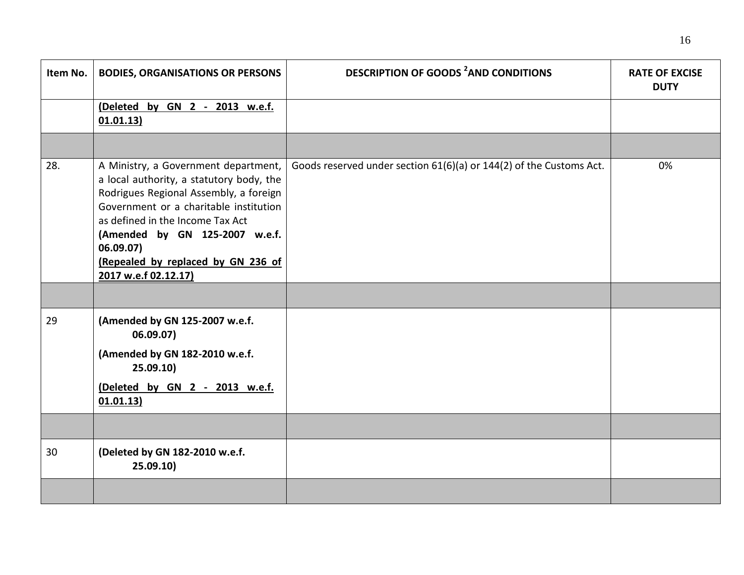| Item No. | <b>BODIES, ORGANISATIONS OR PERSONS</b>                                                                                                                                                                                                                                                                               | <b>DESCRIPTION OF GOODS <sup>2</sup>AND CONDITIONS</b>              | <b>RATE OF EXCISE</b><br><b>DUTY</b> |
|----------|-----------------------------------------------------------------------------------------------------------------------------------------------------------------------------------------------------------------------------------------------------------------------------------------------------------------------|---------------------------------------------------------------------|--------------------------------------|
|          | (Deleted by GN 2 - 2013 w.e.f.<br>01.01.13)                                                                                                                                                                                                                                                                           |                                                                     |                                      |
|          |                                                                                                                                                                                                                                                                                                                       |                                                                     |                                      |
| 28.      | A Ministry, a Government department,<br>a local authority, a statutory body, the<br>Rodrigues Regional Assembly, a foreign<br>Government or a charitable institution<br>as defined in the Income Tax Act<br>(Amended by GN 125-2007 w.e.f.<br>06.09.07)<br>(Repealed by replaced by GN 236 of<br>2017 w.e.f 02.12.17) | Goods reserved under section 61(6)(a) or 144(2) of the Customs Act. | 0%                                   |
|          |                                                                                                                                                                                                                                                                                                                       |                                                                     |                                      |
| 29       | (Amended by GN 125-2007 w.e.f.<br>06.09.07)                                                                                                                                                                                                                                                                           |                                                                     |                                      |
|          | (Amended by GN 182-2010 w.e.f.<br>25.09.10)                                                                                                                                                                                                                                                                           |                                                                     |                                      |
|          | (Deleted by GN 2 - 2013 w.e.f.<br>01.01.13)                                                                                                                                                                                                                                                                           |                                                                     |                                      |
|          |                                                                                                                                                                                                                                                                                                                       |                                                                     |                                      |
| 30       | (Deleted by GN 182-2010 w.e.f.<br>25.09.10                                                                                                                                                                                                                                                                            |                                                                     |                                      |
|          |                                                                                                                                                                                                                                                                                                                       |                                                                     |                                      |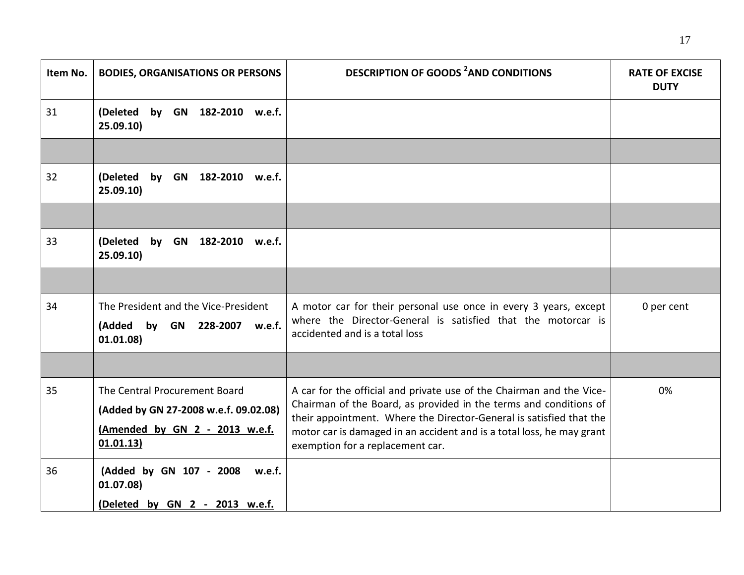| Item No. | <b>BODIES, ORGANISATIONS OR PERSONS</b>                                                                               | <b>DESCRIPTION OF GOODS <sup>2</sup>AND CONDITIONS</b>                                                                                                                                                                                                                                                                        | <b>RATE OF EXCISE</b><br><b>DUTY</b> |
|----------|-----------------------------------------------------------------------------------------------------------------------|-------------------------------------------------------------------------------------------------------------------------------------------------------------------------------------------------------------------------------------------------------------------------------------------------------------------------------|--------------------------------------|
| 31       | (Deleted<br>by GN 182-2010 w.e.f.<br>25.09.10                                                                         |                                                                                                                                                                                                                                                                                                                               |                                      |
|          |                                                                                                                       |                                                                                                                                                                                                                                                                                                                               |                                      |
| 32       | (Deleted<br>by GN 182-2010 w.e.f.<br>25.09.10)                                                                        |                                                                                                                                                                                                                                                                                                                               |                                      |
|          |                                                                                                                       |                                                                                                                                                                                                                                                                                                                               |                                      |
| 33       | (Deleted<br>by<br>GN 182-2010 w.e.f.<br>25.09.10                                                                      |                                                                                                                                                                                                                                                                                                                               |                                      |
|          |                                                                                                                       |                                                                                                                                                                                                                                                                                                                               |                                      |
| 34       | The President and the Vice-President<br>(Added by GN 228-2007 w.e.f.<br>01.01.08)                                     | A motor car for their personal use once in every 3 years, except<br>where the Director-General is satisfied that the motorcar is<br>accidented and is a total loss                                                                                                                                                            | 0 per cent                           |
|          |                                                                                                                       |                                                                                                                                                                                                                                                                                                                               |                                      |
| 35       | The Central Procurement Board<br>(Added by GN 27-2008 w.e.f. 09.02.08)<br>(Amended by GN 2 - 2013 w.e.f.<br>01.01.13) | A car for the official and private use of the Chairman and the Vice-<br>Chairman of the Board, as provided in the terms and conditions of<br>their appointment. Where the Director-General is satisfied that the<br>motor car is damaged in an accident and is a total loss, he may grant<br>exemption for a replacement car. | 0%                                   |
| 36       | (Added by GN 107 - 2008 w.e.f.<br>01.07.08)<br>(Deleted by GN 2 - 2013 w.e.f.                                         |                                                                                                                                                                                                                                                                                                                               |                                      |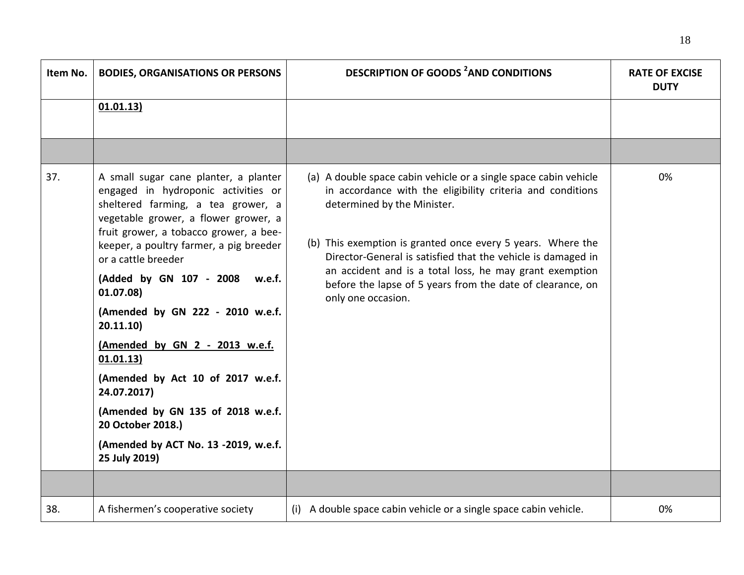| Item No. | <b>BODIES, ORGANISATIONS OR PERSONS</b>                                                                                                                                                                                                                                                                                                                                                                                                                                                                                                                                    | <b>DESCRIPTION OF GOODS <sup>2</sup>AND CONDITIONS</b>                                                                                                                                                                                                                                                                                                                                                                                      | <b>RATE OF EXCISE</b><br><b>DUTY</b> |
|----------|----------------------------------------------------------------------------------------------------------------------------------------------------------------------------------------------------------------------------------------------------------------------------------------------------------------------------------------------------------------------------------------------------------------------------------------------------------------------------------------------------------------------------------------------------------------------------|---------------------------------------------------------------------------------------------------------------------------------------------------------------------------------------------------------------------------------------------------------------------------------------------------------------------------------------------------------------------------------------------------------------------------------------------|--------------------------------------|
|          | 01.01.13)                                                                                                                                                                                                                                                                                                                                                                                                                                                                                                                                                                  |                                                                                                                                                                                                                                                                                                                                                                                                                                             |                                      |
|          |                                                                                                                                                                                                                                                                                                                                                                                                                                                                                                                                                                            |                                                                                                                                                                                                                                                                                                                                                                                                                                             |                                      |
| 37.      | A small sugar cane planter, a planter<br>engaged in hydroponic activities or<br>sheltered farming, a tea grower, a<br>vegetable grower, a flower grower, a<br>fruit grower, a tobacco grower, a bee-<br>keeper, a poultry farmer, a pig breeder<br>or a cattle breeder<br>(Added by GN 107 - 2008 w.e.f.<br>01.07.08)<br>(Amended by GN 222 - 2010 w.e.f.<br>20.11.10<br>(Amended by GN 2 - 2013 w.e.f.<br>01.01.13)<br>(Amended by Act 10 of 2017 w.e.f.<br>24.07.2017)<br>(Amended by GN 135 of 2018 w.e.f.<br>20 October 2018.)<br>(Amended by ACT No. 13 -2019, w.e.f. | (a) A double space cabin vehicle or a single space cabin vehicle<br>in accordance with the eligibility criteria and conditions<br>determined by the Minister.<br>(b) This exemption is granted once every 5 years. Where the<br>Director-General is satisfied that the vehicle is damaged in<br>an accident and is a total loss, he may grant exemption<br>before the lapse of 5 years from the date of clearance, on<br>only one occasion. | 0%                                   |
|          | 25 July 2019)                                                                                                                                                                                                                                                                                                                                                                                                                                                                                                                                                              |                                                                                                                                                                                                                                                                                                                                                                                                                                             |                                      |
|          |                                                                                                                                                                                                                                                                                                                                                                                                                                                                                                                                                                            |                                                                                                                                                                                                                                                                                                                                                                                                                                             |                                      |
| 38.      | A fishermen's cooperative society                                                                                                                                                                                                                                                                                                                                                                                                                                                                                                                                          | (i) A double space cabin vehicle or a single space cabin vehicle.                                                                                                                                                                                                                                                                                                                                                                           | 0%                                   |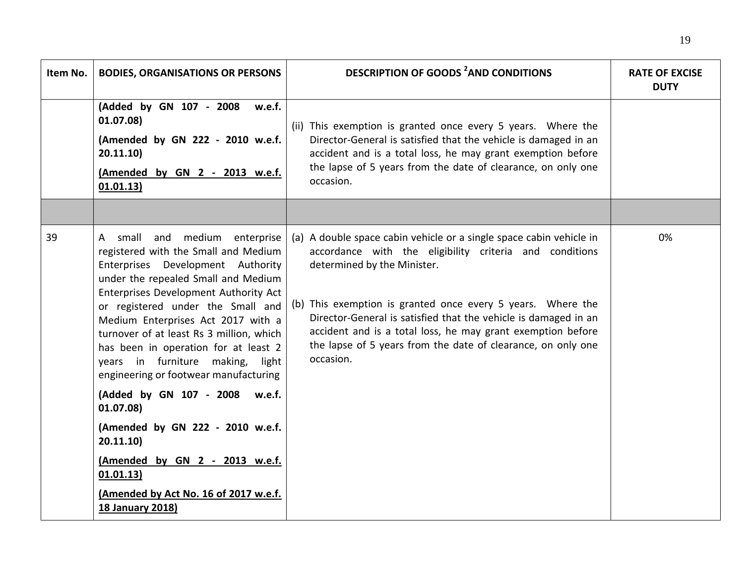| Item No. | <b>BODIES, ORGANISATIONS OR PERSONS</b>                                                                                                                                                                                                                                                                                                                                                                                                | <b>DESCRIPTION OF GOODS <sup>2</sup>AND CONDITIONS</b>                                                                                                                                                                                                                                                                                                                                                                                      | <b>RATE OF EXCISE</b><br><b>DUTY</b> |
|----------|----------------------------------------------------------------------------------------------------------------------------------------------------------------------------------------------------------------------------------------------------------------------------------------------------------------------------------------------------------------------------------------------------------------------------------------|---------------------------------------------------------------------------------------------------------------------------------------------------------------------------------------------------------------------------------------------------------------------------------------------------------------------------------------------------------------------------------------------------------------------------------------------|--------------------------------------|
|          | (Added by GN 107 - 2008<br>w.e.f.<br>01.07.08)<br>(Amended by GN 222 - 2010 w.e.f.<br>20.11.10)<br>(Amended by GN 2 - 2013 w.e.f.<br>01.01.13)                                                                                                                                                                                                                                                                                         | (ii) This exemption is granted once every 5 years. Where the<br>Director-General is satisfied that the vehicle is damaged in an<br>accident and is a total loss, he may grant exemption before<br>the lapse of 5 years from the date of clearance, on only one<br>occasion.                                                                                                                                                                 |                                      |
|          |                                                                                                                                                                                                                                                                                                                                                                                                                                        |                                                                                                                                                                                                                                                                                                                                                                                                                                             |                                      |
| 39       | A small and medium enterprise<br>registered with the Small and Medium<br>Enterprises Development Authority<br>under the repealed Small and Medium<br>Enterprises Development Authority Act<br>or registered under the Small and<br>Medium Enterprises Act 2017 with a<br>turnover of at least Rs 3 million, which<br>has been in operation for at least 2<br>years in furniture making, light<br>engineering or footwear manufacturing | (a) A double space cabin vehicle or a single space cabin vehicle in<br>accordance with the eligibility criteria and conditions<br>determined by the Minister.<br>(b) This exemption is granted once every 5 years. Where the<br>Director-General is satisfied that the vehicle is damaged in an<br>accident and is a total loss, he may grant exemption before<br>the lapse of 5 years from the date of clearance, on only one<br>occasion. | 0%                                   |
|          | (Added by GN 107 - 2008 w.e.f.<br>01.07.08                                                                                                                                                                                                                                                                                                                                                                                             |                                                                                                                                                                                                                                                                                                                                                                                                                                             |                                      |
|          | (Amended by GN 222 - 2010 w.e.f.<br>20.11.10                                                                                                                                                                                                                                                                                                                                                                                           |                                                                                                                                                                                                                                                                                                                                                                                                                                             |                                      |
|          | (Amended by GN 2 - 2013 w.e.f.<br>01.01.13)                                                                                                                                                                                                                                                                                                                                                                                            |                                                                                                                                                                                                                                                                                                                                                                                                                                             |                                      |
|          | (Amended by Act No. 16 of 2017 w.e.f.<br><b>18 January 2018)</b>                                                                                                                                                                                                                                                                                                                                                                       |                                                                                                                                                                                                                                                                                                                                                                                                                                             |                                      |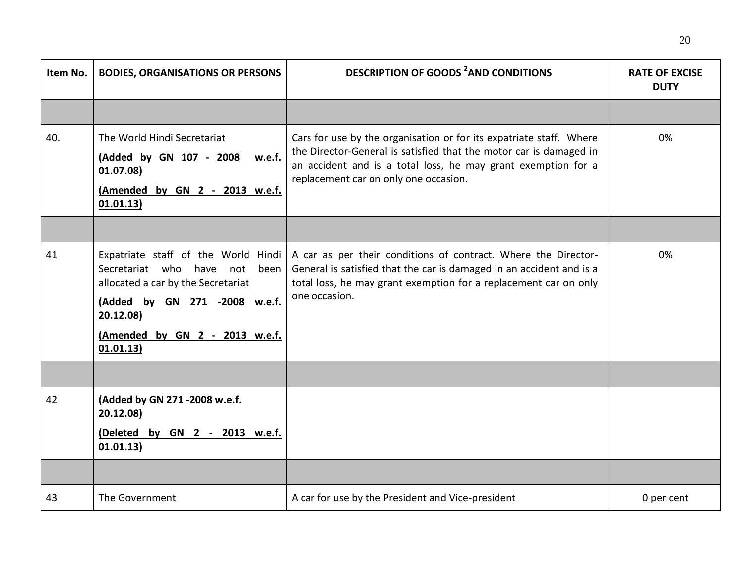| Item No. | <b>BODIES, ORGANISATIONS OR PERSONS</b>                                                                                                                             | <b>DESCRIPTION OF GOODS <sup>2</sup>AND CONDITIONS</b>                                                                                                                                                                                                            | <b>RATE OF EXCISE</b><br><b>DUTY</b> |
|----------|---------------------------------------------------------------------------------------------------------------------------------------------------------------------|-------------------------------------------------------------------------------------------------------------------------------------------------------------------------------------------------------------------------------------------------------------------|--------------------------------------|
|          |                                                                                                                                                                     |                                                                                                                                                                                                                                                                   |                                      |
| 40.      | The World Hindi Secretariat<br>(Added by GN 107 - 2008 w.e.f.<br>01.07.08)<br>(Amended by GN 2 - 2013 w.e.f.<br>01.01.13)                                           | Cars for use by the organisation or for its expatriate staff. Where<br>the Director-General is satisfied that the motor car is damaged in<br>an accident and is a total loss, he may grant exemption for a<br>replacement car on only one occasion.               | 0%                                   |
|          |                                                                                                                                                                     |                                                                                                                                                                                                                                                                   |                                      |
| 41       | Secretariat who have not<br>been<br>allocated a car by the Secretariat<br>(Added by GN 271 -2008 w.e.f.<br>20.12.08)<br>(Amended by GN 2 - 2013 w.e.f.<br>01.01.13) | Expatriate staff of the World Hindi   A car as per their conditions of contract. Where the Director-<br>General is satisfied that the car is damaged in an accident and is a<br>total loss, he may grant exemption for a replacement car on only<br>one occasion. | 0%                                   |
|          |                                                                                                                                                                     |                                                                                                                                                                                                                                                                   |                                      |
| 42       | (Added by GN 271 -2008 w.e.f.<br>20.12.08)<br>(Deleted by GN 2 - 2013 w.e.f.<br>01.01.13)                                                                           |                                                                                                                                                                                                                                                                   |                                      |
|          |                                                                                                                                                                     |                                                                                                                                                                                                                                                                   |                                      |
| 43       | The Government                                                                                                                                                      | A car for use by the President and Vice-president                                                                                                                                                                                                                 | 0 per cent                           |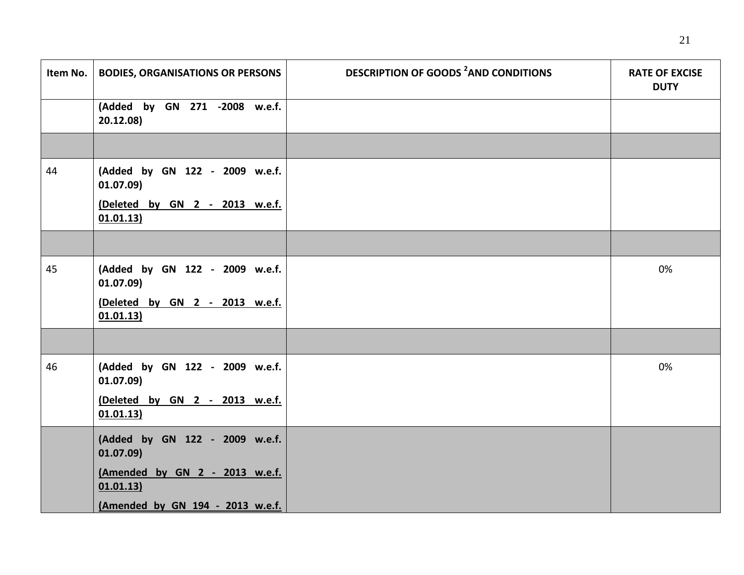| Item No. | <b>BODIES, ORGANISATIONS OR PERSONS</b>     | <b>DESCRIPTION OF GOODS <sup>2</sup>AND CONDITIONS</b> | <b>RATE OF EXCISE</b><br><b>DUTY</b> |
|----------|---------------------------------------------|--------------------------------------------------------|--------------------------------------|
|          | (Added by GN 271 -2008 w.e.f.<br>20.12.08)  |                                                        |                                      |
|          |                                             |                                                        |                                      |
| 44       | (Added by GN 122 - 2009 w.e.f.<br>01.07.09) |                                                        |                                      |
|          | (Deleted by GN 2 - 2013 w.e.f.<br>01.01.13) |                                                        |                                      |
|          |                                             |                                                        |                                      |
| 45       | (Added by GN 122 - 2009 w.e.f.<br>01.07.09) |                                                        | 0%                                   |
|          | (Deleted by GN 2 - 2013 w.e.f.<br>01.01.13) |                                                        |                                      |
|          |                                             |                                                        |                                      |
| 46       | (Added by GN 122 - 2009 w.e.f.<br>01.07.09) |                                                        | 0%                                   |
|          | (Deleted by GN 2 - 2013 w.e.f.<br>01.01.13) |                                                        |                                      |
|          | (Added by GN 122 - 2009 w.e.f.<br>01.07.09) |                                                        |                                      |
|          | (Amended by GN 2 - 2013 w.e.f.<br>01.01.13) |                                                        |                                      |
|          | (Amended by GN 194 - 2013 w.e.f.            |                                                        |                                      |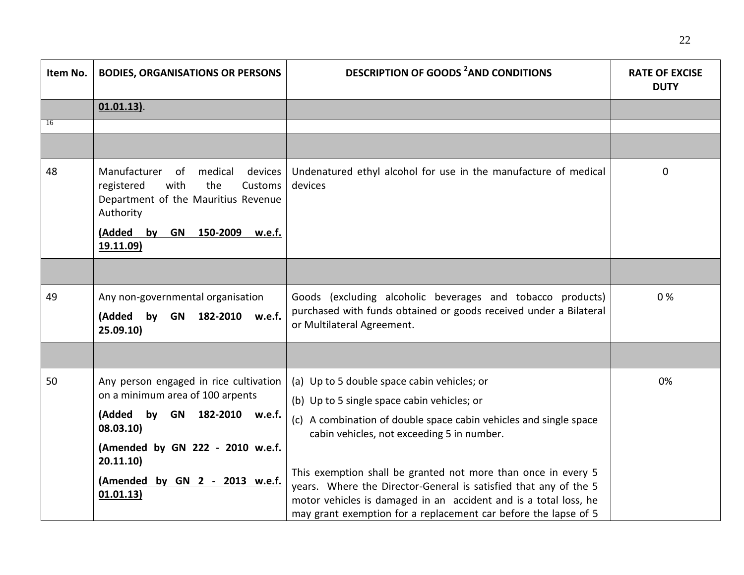| Item No. | <b>BODIES, ORGANISATIONS OR PERSONS</b>                                                                                              | <b>DESCRIPTION OF GOODS <sup>2</sup>AND CONDITIONS</b>                                                                              | <b>RATE OF EXCISE</b><br><b>DUTY</b> |
|----------|--------------------------------------------------------------------------------------------------------------------------------------|-------------------------------------------------------------------------------------------------------------------------------------|--------------------------------------|
|          | $01.01.13$ ).                                                                                                                        |                                                                                                                                     |                                      |
| 16       |                                                                                                                                      |                                                                                                                                     |                                      |
|          |                                                                                                                                      |                                                                                                                                     |                                      |
| 48       | Manufacturer<br>of<br>medical<br>devices<br>registered<br>with<br>the<br>Customs<br>Department of the Mauritius Revenue<br>Authority | Undenatured ethyl alcohol for use in the manufacture of medical<br>devices                                                          | 0                                    |
|          | (Added by GN 150-2009 w.e.f.<br>19.11.09)                                                                                            |                                                                                                                                     |                                      |
|          |                                                                                                                                      |                                                                                                                                     |                                      |
| 49       | Any non-governmental organisation<br>(Added by GN 182-2010 w.e.f.                                                                    | Goods (excluding alcoholic beverages and tobacco products)<br>purchased with funds obtained or goods received under a Bilateral     | 0%                                   |
|          | 25.09.10)                                                                                                                            | or Multilateral Agreement.                                                                                                          |                                      |
|          |                                                                                                                                      |                                                                                                                                     |                                      |
| 50       | Any person engaged in rice cultivation<br>on a minimum area of 100 arpents                                                           | (a) Up to 5 double space cabin vehicles; or                                                                                         | 0%                                   |
|          |                                                                                                                                      | (b) Up to 5 single space cabin vehicles; or                                                                                         |                                      |
|          | (Added by GN 182-2010 w.e.f.<br>08.03.10)                                                                                            | (c) A combination of double space cabin vehicles and single space<br>cabin vehicles, not exceeding 5 in number.                     |                                      |
|          | (Amended by GN 222 - 2010 w.e.f.<br>20.11.10                                                                                         |                                                                                                                                     |                                      |
|          | (Amended by GN 2 - 2013 w.e.f.                                                                                                       | This exemption shall be granted not more than once in every 5<br>years. Where the Director-General is satisfied that any of the 5   |                                      |
|          | 01.01.13)                                                                                                                            | motor vehicles is damaged in an accident and is a total loss, he<br>may grant exemption for a replacement car before the lapse of 5 |                                      |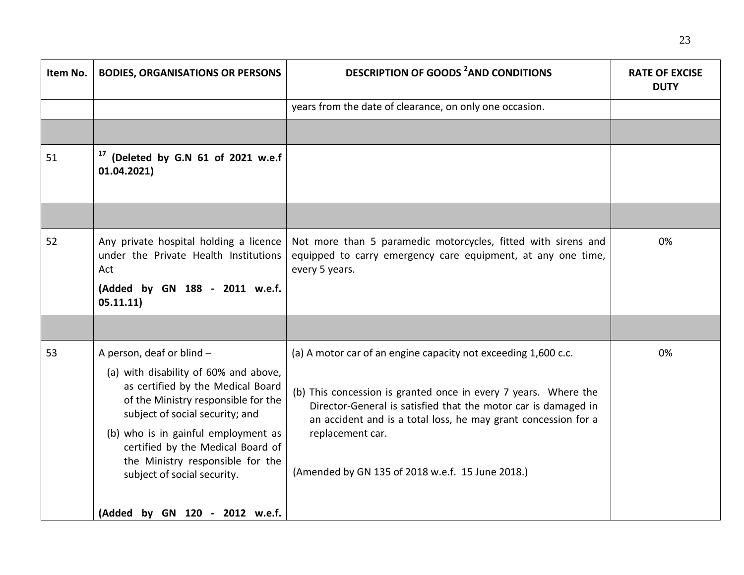| Item No. | <b>BODIES, ORGANISATIONS OR PERSONS</b>                                                                                                                                                                                                                                                                                          | <b>DESCRIPTION OF GOODS <sup>2</sup>AND CONDITIONS</b>                                                                                                                                                                                                                                                                                        | <b>RATE OF EXCISE</b><br><b>DUTY</b> |
|----------|----------------------------------------------------------------------------------------------------------------------------------------------------------------------------------------------------------------------------------------------------------------------------------------------------------------------------------|-----------------------------------------------------------------------------------------------------------------------------------------------------------------------------------------------------------------------------------------------------------------------------------------------------------------------------------------------|--------------------------------------|
|          |                                                                                                                                                                                                                                                                                                                                  | years from the date of clearance, on only one occasion.                                                                                                                                                                                                                                                                                       |                                      |
|          |                                                                                                                                                                                                                                                                                                                                  |                                                                                                                                                                                                                                                                                                                                               |                                      |
| 51       | <sup>17</sup> (Deleted by G.N 61 of 2021 w.e.f<br>01.04.2021)                                                                                                                                                                                                                                                                    |                                                                                                                                                                                                                                                                                                                                               |                                      |
|          |                                                                                                                                                                                                                                                                                                                                  |                                                                                                                                                                                                                                                                                                                                               |                                      |
| 52       | Any private hospital holding a licence<br>under the Private Health Institutions<br>Act<br>(Added by GN 188 - 2011 w.e.f.<br>05.11.11)                                                                                                                                                                                            | Not more than 5 paramedic motorcycles, fitted with sirens and<br>equipped to carry emergency care equipment, at any one time,<br>every 5 years.                                                                                                                                                                                               | 0%                                   |
|          |                                                                                                                                                                                                                                                                                                                                  |                                                                                                                                                                                                                                                                                                                                               |                                      |
| 53       | A person, deaf or blind -<br>(a) with disability of 60% and above,<br>as certified by the Medical Board<br>of the Ministry responsible for the<br>subject of social security; and<br>(b) who is in gainful employment as<br>certified by the Medical Board of<br>the Ministry responsible for the<br>subject of social security. | (a) A motor car of an engine capacity not exceeding 1,600 c.c.<br>(b) This concession is granted once in every 7 years. Where the<br>Director-General is satisfied that the motor car is damaged in<br>an accident and is a total loss, he may grant concession for a<br>replacement car.<br>(Amended by GN 135 of 2018 w.e.f. 15 June 2018.) | 0%                                   |
|          | (Added by GN 120 - 2012 w.e.f.                                                                                                                                                                                                                                                                                                   |                                                                                                                                                                                                                                                                                                                                               |                                      |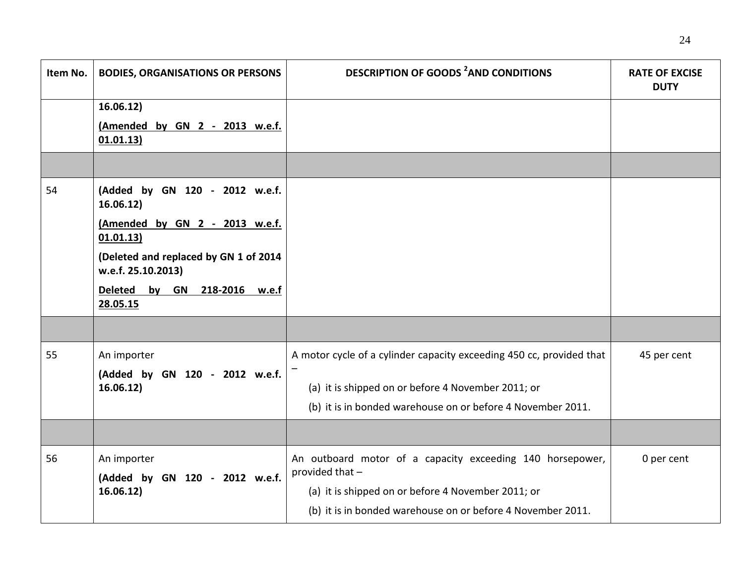| Item No. | <b>BODIES, ORGANISATIONS OR PERSONS</b>                     | <b>DESCRIPTION OF GOODS <sup>2</sup>AND CONDITIONS</b>                       | <b>RATE OF EXCISE</b><br><b>DUTY</b> |
|----------|-------------------------------------------------------------|------------------------------------------------------------------------------|--------------------------------------|
|          | 16.06.12)                                                   |                                                                              |                                      |
|          | (Amended by GN 2 - 2013 w.e.f.<br>01.01.13)                 |                                                                              |                                      |
|          |                                                             |                                                                              |                                      |
| 54       | (Added by GN 120 - 2012 w.e.f.<br>16.06.12)                 |                                                                              |                                      |
|          | (Amended by GN 2 - 2013 w.e.f.<br>01.01.13)                 |                                                                              |                                      |
|          | (Deleted and replaced by GN 1 of 2014<br>w.e.f. 25.10.2013) |                                                                              |                                      |
|          | Deleted by GN 218-2016 w.e.f<br>28.05.15                    |                                                                              |                                      |
|          |                                                             |                                                                              |                                      |
| 55       | An importer                                                 | A motor cycle of a cylinder capacity exceeding 450 cc, provided that         | 45 per cent                          |
|          | (Added by GN 120 - 2012 w.e.f.                              |                                                                              |                                      |
|          | 16.06.12)                                                   | (a) it is shipped on or before 4 November 2011; or                           |                                      |
|          |                                                             | (b) it is in bonded warehouse on or before 4 November 2011.                  |                                      |
|          |                                                             |                                                                              |                                      |
| 56       | An importer<br>(Added by GN 120 - 2012 w.e.f.               | An outboard motor of a capacity exceeding 140 horsepower,<br>provided that - | 0 per cent                           |
|          | 16.06.12)                                                   | (a) it is shipped on or before 4 November 2011; or                           |                                      |
|          |                                                             | (b) it is in bonded warehouse on or before 4 November 2011.                  |                                      |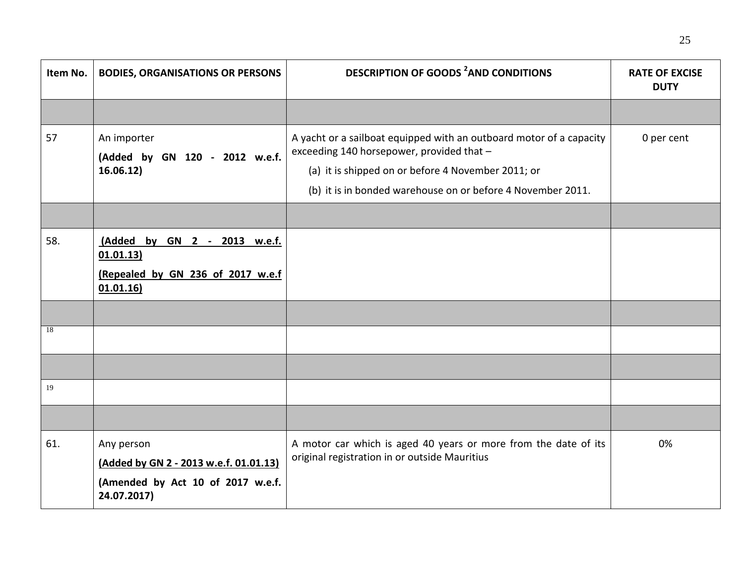| Item No. | <b>BODIES, ORGANISATIONS OR PERSONS</b>                                                                  | <b>DESCRIPTION OF GOODS <sup>2</sup>AND CONDITIONS</b>                                                                                                                                                                                | <b>RATE OF EXCISE</b><br><b>DUTY</b> |
|----------|----------------------------------------------------------------------------------------------------------|---------------------------------------------------------------------------------------------------------------------------------------------------------------------------------------------------------------------------------------|--------------------------------------|
|          |                                                                                                          |                                                                                                                                                                                                                                       |                                      |
| 57       | An importer<br>(Added by GN 120 - 2012 w.e.f.<br>16.06.12)                                               | A yacht or a sailboat equipped with an outboard motor of a capacity<br>exceeding 140 horsepower, provided that -<br>(a) it is shipped on or before 4 November 2011; or<br>(b) it is in bonded warehouse on or before 4 November 2011. | 0 per cent                           |
|          |                                                                                                          |                                                                                                                                                                                                                                       |                                      |
| 58.      | (Added by GN 2 - 2013 w.e.f.<br>01.01.13)<br>(Repealed by GN 236 of 2017 w.e.f<br>01.01.16               |                                                                                                                                                                                                                                       |                                      |
|          |                                                                                                          |                                                                                                                                                                                                                                       |                                      |
| 18       |                                                                                                          |                                                                                                                                                                                                                                       |                                      |
|          |                                                                                                          |                                                                                                                                                                                                                                       |                                      |
| 19       |                                                                                                          |                                                                                                                                                                                                                                       |                                      |
|          |                                                                                                          |                                                                                                                                                                                                                                       |                                      |
| 61.      | Any person<br>(Added by GN 2 - 2013 w.e.f. 01.01.13)<br>(Amended by Act 10 of 2017 w.e.f.<br>24.07.2017) | A motor car which is aged 40 years or more from the date of its<br>original registration in or outside Mauritius                                                                                                                      | 0%                                   |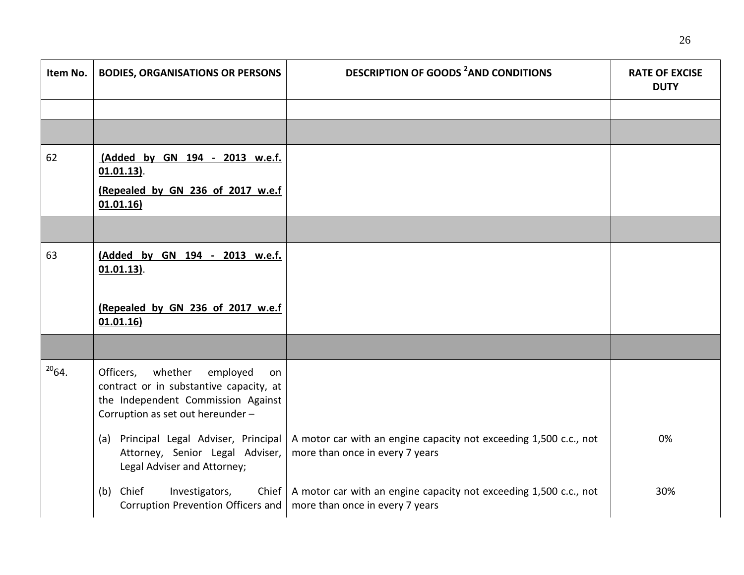| Item No.   | <b>BODIES, ORGANISATIONS OR PERSONS</b>                                                                                                                      | <b>DESCRIPTION OF GOODS <sup>2</sup>AND CONDITIONS</b>                                               | <b>RATE OF EXCISE</b><br><b>DUTY</b> |
|------------|--------------------------------------------------------------------------------------------------------------------------------------------------------------|------------------------------------------------------------------------------------------------------|--------------------------------------|
|            |                                                                                                                                                              |                                                                                                      |                                      |
|            |                                                                                                                                                              |                                                                                                      |                                      |
| 62         | (Added by GN 194 - 2013 w.e.f.<br>$01.01.13$ .                                                                                                               |                                                                                                      |                                      |
|            | (Repealed by GN 236 of 2017 w.e.f<br>01.01.16                                                                                                                |                                                                                                      |                                      |
|            |                                                                                                                                                              |                                                                                                      |                                      |
| 63         | (Added by GN 194 - 2013 w.e.f.<br>$01.01.13$ .                                                                                                               |                                                                                                      |                                      |
|            | (Repealed by GN 236 of 2017 w.e.f<br>01.01.16                                                                                                                |                                                                                                      |                                      |
|            |                                                                                                                                                              |                                                                                                      |                                      |
| $^{20}64.$ | Officers,<br>whether<br>employed<br>on<br>contract or in substantive capacity, at<br>the Independent Commission Against<br>Corruption as set out hereunder - |                                                                                                      |                                      |
|            | (a) Principal Legal Adviser, Principal<br>Attorney, Senior Legal Adviser,<br>Legal Adviser and Attorney;                                                     | A motor car with an engine capacity not exceeding 1,500 c.c., not<br>more than once in every 7 years | 0%                                   |
|            | Investigators,<br>(b) Chief<br>Chief<br>Corruption Prevention Officers and                                                                                   | A motor car with an engine capacity not exceeding 1,500 c.c., not<br>more than once in every 7 years | 30%                                  |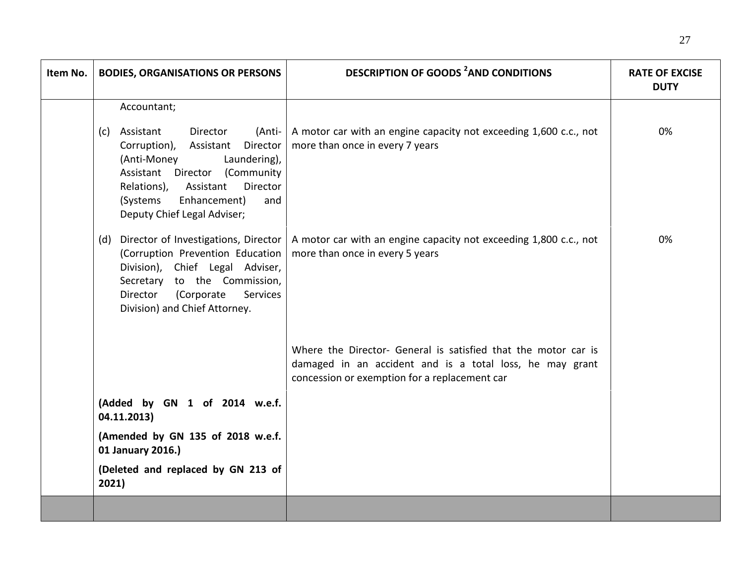| Item No. | <b>BODIES, ORGANISATIONS OR PERSONS</b>                                                                                                                                                                                                                   | <b>DESCRIPTION OF GOODS <sup>2</sup>AND CONDITIONS</b>                                                                                                                      | <b>RATE OF EXCISE</b><br><b>DUTY</b> |
|----------|-----------------------------------------------------------------------------------------------------------------------------------------------------------------------------------------------------------------------------------------------------------|-----------------------------------------------------------------------------------------------------------------------------------------------------------------------------|--------------------------------------|
|          | Accountant;                                                                                                                                                                                                                                               |                                                                                                                                                                             |                                      |
|          | Assistant<br>Director<br>(Anti-<br>(c)<br>Corruption),<br>Director<br>Assistant<br>(Anti-Money<br>Laundering),<br>Assistant Director (Community<br>Director<br>Relations),<br>Assistant<br>(Systems<br>Enhancement)<br>and<br>Deputy Chief Legal Adviser; | A motor car with an engine capacity not exceeding 1,600 c.c., not<br>more than once in every 7 years                                                                        | 0%                                   |
|          | Director of Investigations, Director<br>(d)<br>(Corruption Prevention Education<br>Division), Chief Legal Adviser,<br>Secretary to the Commission,<br>Director<br>(Corporate<br>Services<br>Division) and Chief Attorney.                                 | A motor car with an engine capacity not exceeding 1,800 c.c., not<br>more than once in every 5 years                                                                        | 0%                                   |
|          |                                                                                                                                                                                                                                                           | Where the Director- General is satisfied that the motor car is<br>damaged in an accident and is a total loss, he may grant<br>concession or exemption for a replacement car |                                      |
|          | (Added by GN 1 of 2014 w.e.f.<br>04.11.2013)                                                                                                                                                                                                              |                                                                                                                                                                             |                                      |
|          | (Amended by GN 135 of 2018 w.e.f.<br>01 January 2016.)                                                                                                                                                                                                    |                                                                                                                                                                             |                                      |
|          | (Deleted and replaced by GN 213 of<br>2021)                                                                                                                                                                                                               |                                                                                                                                                                             |                                      |
|          |                                                                                                                                                                                                                                                           |                                                                                                                                                                             |                                      |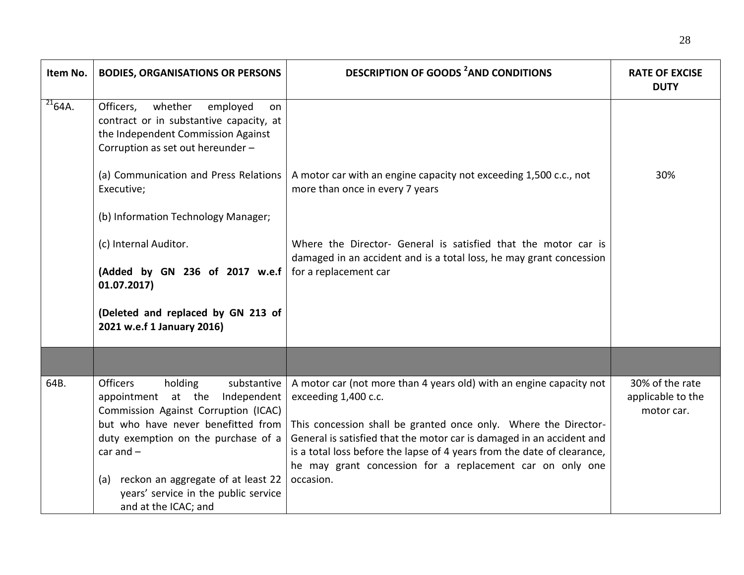| Item No.             | <b>BODIES, ORGANISATIONS OR PERSONS</b>                                                                                                                                                                            | <b>DESCRIPTION OF GOODS <sup>2</sup>AND CONDITIONS</b>                                                                                                                                                                                                                                                                                                                          | <b>RATE OF EXCISE</b><br><b>DUTY</b>               |
|----------------------|--------------------------------------------------------------------------------------------------------------------------------------------------------------------------------------------------------------------|---------------------------------------------------------------------------------------------------------------------------------------------------------------------------------------------------------------------------------------------------------------------------------------------------------------------------------------------------------------------------------|----------------------------------------------------|
| $\frac{21}{21}64A$ . | Officers,<br>whether<br>employed<br><b>on</b><br>contract or in substantive capacity, at<br>the Independent Commission Against<br>Corruption as set out hereunder -                                                |                                                                                                                                                                                                                                                                                                                                                                                 |                                                    |
|                      | (a) Communication and Press Relations<br>Executive;                                                                                                                                                                | A motor car with an engine capacity not exceeding 1,500 c.c., not<br>more than once in every 7 years                                                                                                                                                                                                                                                                            | 30%                                                |
|                      | (b) Information Technology Manager;                                                                                                                                                                                |                                                                                                                                                                                                                                                                                                                                                                                 |                                                    |
|                      | (c) Internal Auditor.                                                                                                                                                                                              | Where the Director- General is satisfied that the motor car is<br>damaged in an accident and is a total loss, he may grant concession                                                                                                                                                                                                                                           |                                                    |
|                      | (Added by GN 236 of 2017 w.e.f<br>01.07.2017)                                                                                                                                                                      | for a replacement car                                                                                                                                                                                                                                                                                                                                                           |                                                    |
|                      | (Deleted and replaced by GN 213 of<br>2021 w.e.f 1 January 2016)                                                                                                                                                   |                                                                                                                                                                                                                                                                                                                                                                                 |                                                    |
|                      |                                                                                                                                                                                                                    |                                                                                                                                                                                                                                                                                                                                                                                 |                                                    |
| 64B.                 | <b>Officers</b><br>holding<br>substantive<br>appointment at the<br>Independent<br>Commission Against Corruption (ICAC)<br>but who have never benefitted from<br>duty exemption on the purchase of a<br>car and $-$ | A motor car (not more than 4 years old) with an engine capacity not<br>exceeding 1,400 c.c.<br>This concession shall be granted once only. Where the Director-<br>General is satisfied that the motor car is damaged in an accident and<br>is a total loss before the lapse of 4 years from the date of clearance,<br>he may grant concession for a replacement car on only one | 30% of the rate<br>applicable to the<br>motor car. |
|                      | reckon an aggregate of at least 22<br>(a)<br>years' service in the public service<br>and at the ICAC; and                                                                                                          | occasion.                                                                                                                                                                                                                                                                                                                                                                       |                                                    |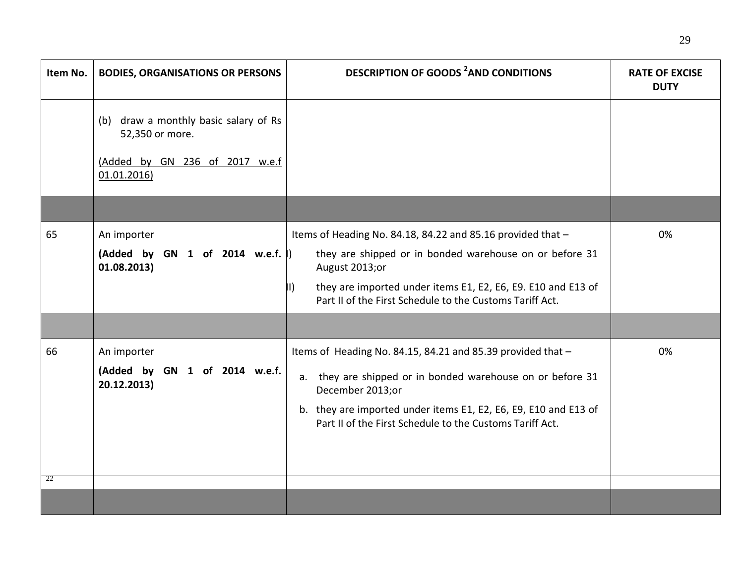| Item No. | <b>BODIES, ORGANISATIONS OR PERSONS</b>                                                                  | <b>DESCRIPTION OF GOODS <sup>2</sup>AND CONDITIONS</b>                                                                                                                                                                                                                                | <b>RATE OF EXCISE</b><br><b>DUTY</b> |
|----------|----------------------------------------------------------------------------------------------------------|---------------------------------------------------------------------------------------------------------------------------------------------------------------------------------------------------------------------------------------------------------------------------------------|--------------------------------------|
|          | (b) draw a monthly basic salary of Rs<br>52,350 or more.<br>(Added by GN 236 of 2017 w.e.f<br>01.01.2016 |                                                                                                                                                                                                                                                                                       |                                      |
|          |                                                                                                          |                                                                                                                                                                                                                                                                                       |                                      |
| 65       | An importer<br>(Added by GN 1 of 2014 w.e.f.  )<br>01.08.2013)                                           | Items of Heading No. 84.18, 84.22 and 85.16 provided that -<br>they are shipped or in bonded warehouse on or before 31<br>August 2013;or<br>they are imported under items E1, E2, E6, E9. E10 and E13 of<br>$\vert \vert$<br>Part II of the First Schedule to the Customs Tariff Act. | 0%                                   |
| 66       | An importer<br>(Added by GN 1 of 2014 w.e.f.<br>20.12.2013)                                              | Items of Heading No. 84.15, 84.21 and 85.39 provided that -<br>a. they are shipped or in bonded warehouse on or before 31<br>December 2013;or<br>b. they are imported under items E1, E2, E6, E9, E10 and E13 of<br>Part II of the First Schedule to the Customs Tariff Act.          | 0%                                   |
| 22       |                                                                                                          |                                                                                                                                                                                                                                                                                       |                                      |
|          |                                                                                                          |                                                                                                                                                                                                                                                                                       |                                      |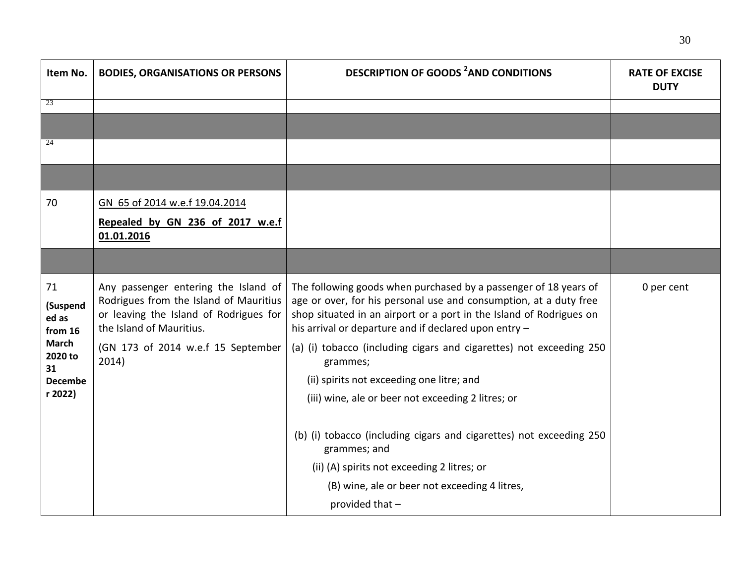| Item No.                           | <b>BODIES, ORGANISATIONS OR PERSONS</b>                                                                                                              | <b>DESCRIPTION OF GOODS <sup>2</sup>AND CONDITIONS</b>                                                                                                                                                                                                                | <b>RATE OF EXCISE</b><br><b>DUTY</b> |
|------------------------------------|------------------------------------------------------------------------------------------------------------------------------------------------------|-----------------------------------------------------------------------------------------------------------------------------------------------------------------------------------------------------------------------------------------------------------------------|--------------------------------------|
| 23                                 |                                                                                                                                                      |                                                                                                                                                                                                                                                                       |                                      |
|                                    |                                                                                                                                                      |                                                                                                                                                                                                                                                                       |                                      |
| 24                                 |                                                                                                                                                      |                                                                                                                                                                                                                                                                       |                                      |
|                                    |                                                                                                                                                      |                                                                                                                                                                                                                                                                       |                                      |
| 70                                 | GN 65 of 2014 w.e.f 19.04.2014                                                                                                                       |                                                                                                                                                                                                                                                                       |                                      |
|                                    | Repealed by GN 236 of 2017 w.e.f<br>01.01.2016                                                                                                       |                                                                                                                                                                                                                                                                       |                                      |
|                                    |                                                                                                                                                      |                                                                                                                                                                                                                                                                       |                                      |
| 71<br>(Suspend<br>ed as<br>from 16 | Any passenger entering the Island of<br>Rodrigues from the Island of Mauritius<br>or leaving the Island of Rodrigues for<br>the Island of Mauritius. | The following goods when purchased by a passenger of 18 years of<br>age or over, for his personal use and consumption, at a duty free<br>shop situated in an airport or a port in the Island of Rodrigues on<br>his arrival or departure and if declared upon entry - | 0 per cent                           |
| <b>March</b><br>2020 to<br>31      | (GN 173 of 2014 w.e.f 15 September<br>2014)                                                                                                          | (a) (i) tobacco (including cigars and cigarettes) not exceeding 250<br>grammes;                                                                                                                                                                                       |                                      |
| <b>Decembe</b>                     |                                                                                                                                                      | (ii) spirits not exceeding one litre; and                                                                                                                                                                                                                             |                                      |
| r 2022)                            |                                                                                                                                                      | (iii) wine, ale or beer not exceeding 2 litres; or                                                                                                                                                                                                                    |                                      |
|                                    |                                                                                                                                                      |                                                                                                                                                                                                                                                                       |                                      |
|                                    |                                                                                                                                                      | (b) (i) tobacco (including cigars and cigarettes) not exceeding 250<br>grammes; and                                                                                                                                                                                   |                                      |
|                                    |                                                                                                                                                      | (ii) (A) spirits not exceeding 2 litres; or                                                                                                                                                                                                                           |                                      |
|                                    |                                                                                                                                                      | (B) wine, ale or beer not exceeding 4 litres,                                                                                                                                                                                                                         |                                      |
|                                    |                                                                                                                                                      | provided that -                                                                                                                                                                                                                                                       |                                      |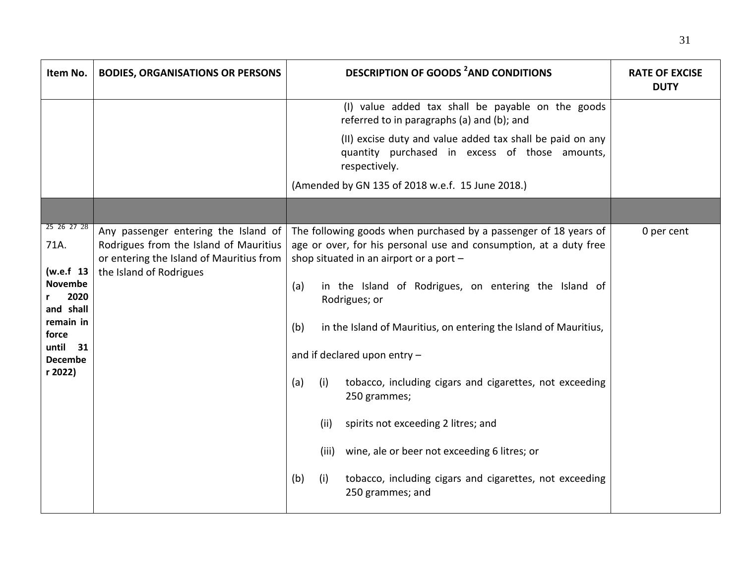| Item No.                                                                                                                                  | <b>BODIES, ORGANISATIONS OR PERSONS</b>                                                                                                               | <b>DESCRIPTION OF GOODS <sup>2</sup>AND CONDITIONS</b>                                                                                                                                                                                                                                                                                                                                                                                                                                                                                                                                                                                                                  | <b>RATE OF EXCISE</b><br><b>DUTY</b> |
|-------------------------------------------------------------------------------------------------------------------------------------------|-------------------------------------------------------------------------------------------------------------------------------------------------------|-------------------------------------------------------------------------------------------------------------------------------------------------------------------------------------------------------------------------------------------------------------------------------------------------------------------------------------------------------------------------------------------------------------------------------------------------------------------------------------------------------------------------------------------------------------------------------------------------------------------------------------------------------------------------|--------------------------------------|
|                                                                                                                                           |                                                                                                                                                       | (I) value added tax shall be payable on the goods<br>referred to in paragraphs (a) and (b); and<br>(II) excise duty and value added tax shall be paid on any<br>quantity purchased in excess of those amounts,<br>respectively.<br>(Amended by GN 135 of 2018 w.e.f. 15 June 2018.)                                                                                                                                                                                                                                                                                                                                                                                     |                                      |
|                                                                                                                                           |                                                                                                                                                       |                                                                                                                                                                                                                                                                                                                                                                                                                                                                                                                                                                                                                                                                         |                                      |
| 25 26 27 28<br>71A.<br>(w.e.f 13<br><b>Novembe</b><br>2020<br>and shall<br>remain in<br>force<br>until<br>31<br><b>Decembe</b><br>r 2022) | Any passenger entering the Island of<br>Rodrigues from the Island of Mauritius<br>or entering the Island of Mauritius from<br>the Island of Rodrigues | The following goods when purchased by a passenger of 18 years of<br>age or over, for his personal use and consumption, at a duty free<br>shop situated in an airport or a port -<br>in the Island of Rodrigues, on entering the Island of<br>(a)<br>Rodrigues; or<br>in the Island of Mauritius, on entering the Island of Mauritius,<br>(b)<br>and if declared upon entry -<br>(a)<br>tobacco, including cigars and cigarettes, not exceeding<br>(i)<br>250 grammes;<br>(ii)<br>spirits not exceeding 2 litres; and<br>(iii) wine, ale or beer not exceeding 6 litres; or<br>(b)<br>tobacco, including cigars and cigarettes, not exceeding<br>(i)<br>250 grammes; and | 0 per cent                           |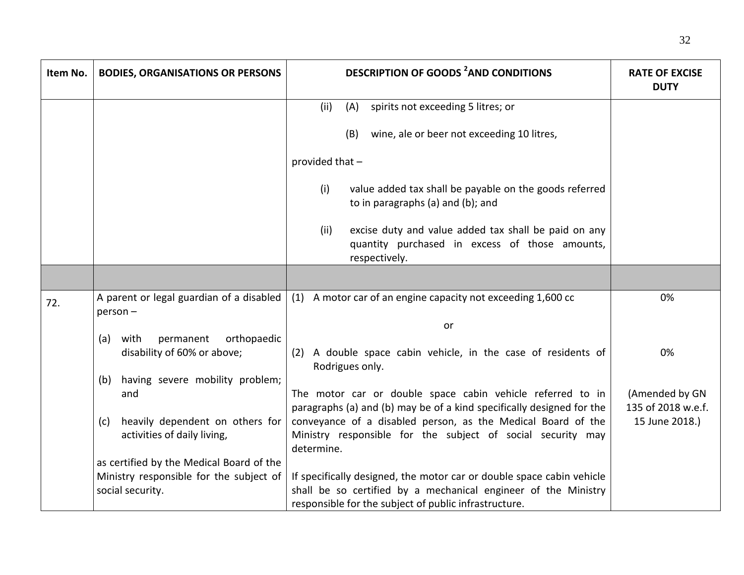| Item No. | <b>BODIES, ORGANISATIONS OR PERSONS</b>                                | <b>DESCRIPTION OF GOODS <sup>2</sup>AND CONDITIONS</b>                                                                                                                                           | <b>RATE OF EXCISE</b><br><b>DUTY</b> |
|----------|------------------------------------------------------------------------|--------------------------------------------------------------------------------------------------------------------------------------------------------------------------------------------------|--------------------------------------|
|          |                                                                        | (ii)<br>(A)<br>spirits not exceeding 5 litres; or                                                                                                                                                |                                      |
|          |                                                                        | wine, ale or beer not exceeding 10 litres,<br>(B)                                                                                                                                                |                                      |
|          |                                                                        | provided that -                                                                                                                                                                                  |                                      |
|          |                                                                        | (i)<br>value added tax shall be payable on the goods referred<br>to in paragraphs (a) and (b); and                                                                                               |                                      |
|          |                                                                        | excise duty and value added tax shall be paid on any<br>(ii)<br>quantity purchased in excess of those amounts,<br>respectively.                                                                  |                                      |
|          |                                                                        |                                                                                                                                                                                                  |                                      |
| 72.      | A parent or legal guardian of a disabled<br>$person -$                 | (1) A motor car of an engine capacity not exceeding 1,600 cc                                                                                                                                     | 0%                                   |
|          |                                                                        | or                                                                                                                                                                                               |                                      |
|          | with<br>permanent<br>orthopaedic<br>(a)<br>disability of 60% or above; | (2) A double space cabin vehicle, in the case of residents of<br>Rodrigues only.                                                                                                                 | 0%                                   |
|          | having severe mobility problem;<br>(b)                                 |                                                                                                                                                                                                  |                                      |
|          | and                                                                    | The motor car or double space cabin vehicle referred to in<br>paragraphs (a) and (b) may be of a kind specifically designed for the                                                              | (Amended by GN<br>135 of 2018 w.e.f. |
|          | heavily dependent on others for<br>(c)<br>activities of daily living,  | conveyance of a disabled person, as the Medical Board of the<br>Ministry responsible for the subject of social security may<br>determine.                                                        | 15 June 2018.)                       |
|          | as certified by the Medical Board of the                               |                                                                                                                                                                                                  |                                      |
|          | Ministry responsible for the subject of<br>social security.            | If specifically designed, the motor car or double space cabin vehicle<br>shall be so certified by a mechanical engineer of the Ministry<br>responsible for the subject of public infrastructure. |                                      |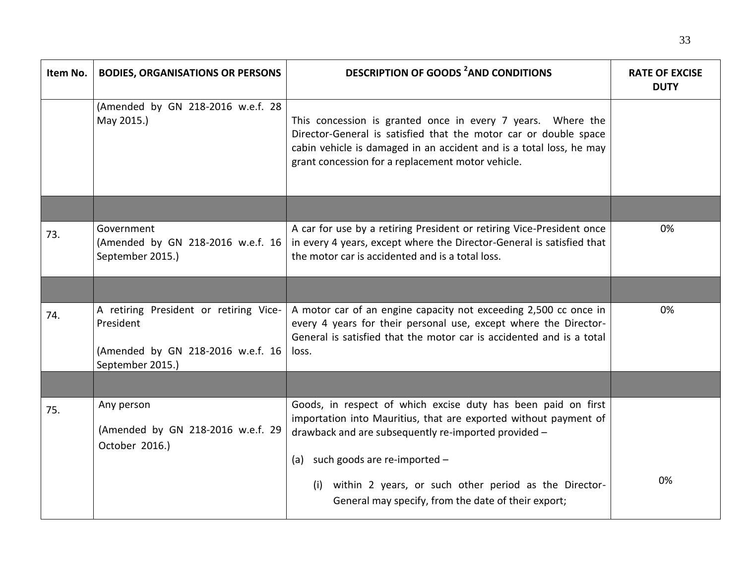| Item No. | <b>BODIES, ORGANISATIONS OR PERSONS</b>                                                                      | <b>DESCRIPTION OF GOODS <sup>2</sup>AND CONDITIONS</b>                                                                                                                                                                                                      | <b>RATE OF EXCISE</b><br><b>DUTY</b> |
|----------|--------------------------------------------------------------------------------------------------------------|-------------------------------------------------------------------------------------------------------------------------------------------------------------------------------------------------------------------------------------------------------------|--------------------------------------|
|          | (Amended by GN 218-2016 w.e.f. 28<br>May 2015.)                                                              | This concession is granted once in every 7 years. Where the<br>Director-General is satisfied that the motor car or double space<br>cabin vehicle is damaged in an accident and is a total loss, he may<br>grant concession for a replacement motor vehicle. |                                      |
|          |                                                                                                              |                                                                                                                                                                                                                                                             |                                      |
| 73.      | Government<br>(Amended by GN 218-2016 w.e.f. 16<br>September 2015.)                                          | A car for use by a retiring President or retiring Vice-President once<br>in every 4 years, except where the Director-General is satisfied that<br>the motor car is accidented and is a total loss.                                                          | 0%                                   |
|          |                                                                                                              |                                                                                                                                                                                                                                                             |                                      |
| 74.      | A retiring President or retiring Vice-<br>President<br>(Amended by GN 218-2016 w.e.f. 16<br>September 2015.) | A motor car of an engine capacity not exceeding 2,500 cc once in<br>every 4 years for their personal use, except where the Director-<br>General is satisfied that the motor car is accidented and is a total<br>loss.                                       | 0%                                   |
|          |                                                                                                              |                                                                                                                                                                                                                                                             |                                      |
| 75.      | Any person<br>(Amended by GN 218-2016 w.e.f. 29<br>October 2016.)                                            | Goods, in respect of which excise duty has been paid on first<br>importation into Mauritius, that are exported without payment of<br>drawback and are subsequently re-imported provided -                                                                   |                                      |
|          |                                                                                                              | such goods are re-imported -<br>(a)<br>within 2 years, or such other period as the Director-<br>(i)<br>General may specify, from the date of their export;                                                                                                  | 0%                                   |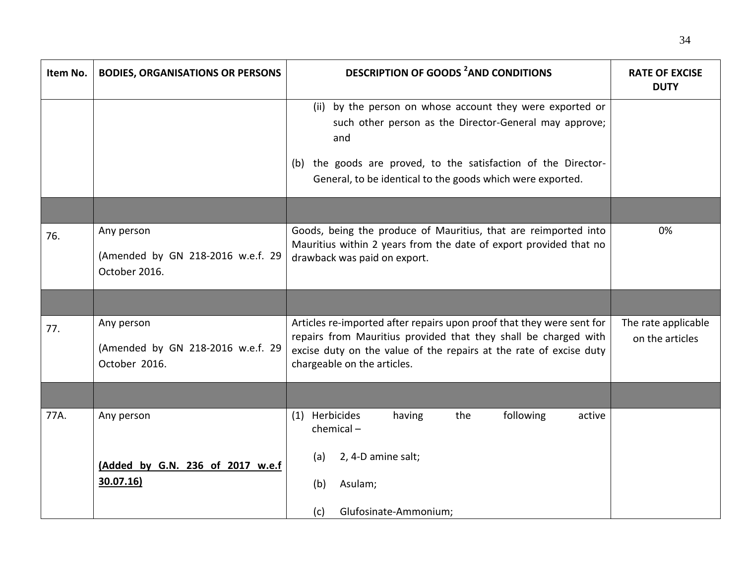| Item No. | <b>BODIES, ORGANISATIONS OR PERSONS</b>                          | <b>DESCRIPTION OF GOODS <sup>2</sup>AND CONDITIONS</b>                                                                                                                                                                                                        | <b>RATE OF EXCISE</b><br><b>DUTY</b>   |
|----------|------------------------------------------------------------------|---------------------------------------------------------------------------------------------------------------------------------------------------------------------------------------------------------------------------------------------------------------|----------------------------------------|
|          |                                                                  | (ii) by the person on whose account they were exported or<br>such other person as the Director-General may approve;<br>and<br>the goods are proved, to the satisfaction of the Director-<br>(b)<br>General, to be identical to the goods which were exported. |                                        |
|          |                                                                  |                                                                                                                                                                                                                                                               |                                        |
| 76.      | Any person<br>(Amended by GN 218-2016 w.e.f. 29<br>October 2016. | Goods, being the produce of Mauritius, that are reimported into<br>Mauritius within 2 years from the date of export provided that no<br>drawback was paid on export.                                                                                          | 0%                                     |
|          |                                                                  |                                                                                                                                                                                                                                                               |                                        |
| 77.      | Any person<br>(Amended by GN 218-2016 w.e.f. 29<br>October 2016. | Articles re-imported after repairs upon proof that they were sent for<br>repairs from Mauritius provided that they shall be charged with<br>excise duty on the value of the repairs at the rate of excise duty<br>chargeable on the articles.                 | The rate applicable<br>on the articles |
|          |                                                                  |                                                                                                                                                                                                                                                               |                                        |
| 77A.     | Any person                                                       | (1) Herbicides<br>following<br>having<br>the<br>active<br>$chemical -$                                                                                                                                                                                        |                                        |
|          | (Added by G.N. 236 of 2017 w.e.f<br>30.07.16)                    | 2, 4-D amine salt;<br>(a)<br>Asulam;<br>(b)                                                                                                                                                                                                                   |                                        |
|          |                                                                  | Glufosinate-Ammonium;<br>(c)                                                                                                                                                                                                                                  |                                        |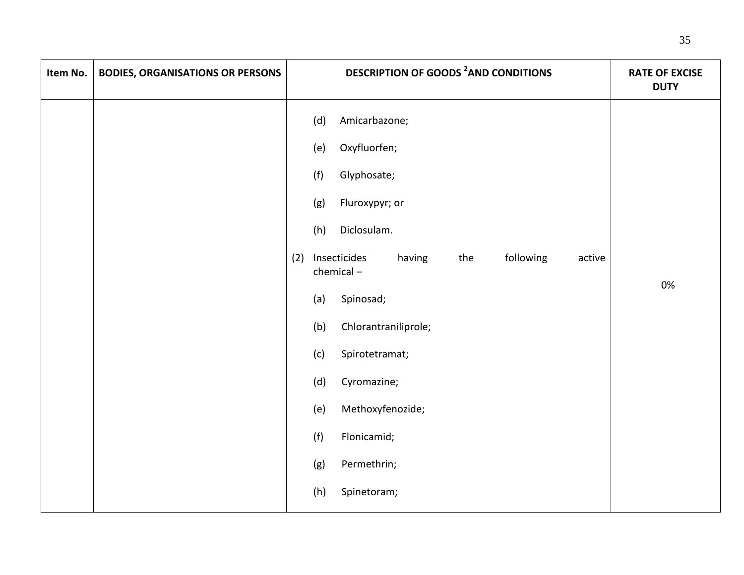| Item No. | <b>BODIES, ORGANISATIONS OR PERSONS</b> | <b>DESCRIPTION OF GOODS <sup>2</sup>AND CONDITIONS</b>                                                                                                                                                                                                                                                                                                                                      | <b>RATE OF EXCISE</b><br><b>DUTY</b> |
|----------|-----------------------------------------|---------------------------------------------------------------------------------------------------------------------------------------------------------------------------------------------------------------------------------------------------------------------------------------------------------------------------------------------------------------------------------------------|--------------------------------------|
|          |                                         | Amicarbazone;<br>(d)<br>Oxyfluorfen;<br>(e)<br>(f)<br>Glyphosate;<br>(g)<br>Fluroxypyr; or<br>Diclosulam.<br>(h)<br>following<br>Insecticides<br>having<br>the<br>(2)<br>active<br>chemical-<br>Spinosad;<br>(a)<br>(b)<br>Chlorantraniliprole;<br>(c)<br>Spirotetramat;<br>(d)<br>Cyromazine;<br>Methoxyfenozide;<br>(e)<br>(f)<br>Flonicamid;<br>Permethrin;<br>(g)<br>(h)<br>Spinetoram; | 0%                                   |
|          |                                         |                                                                                                                                                                                                                                                                                                                                                                                             |                                      |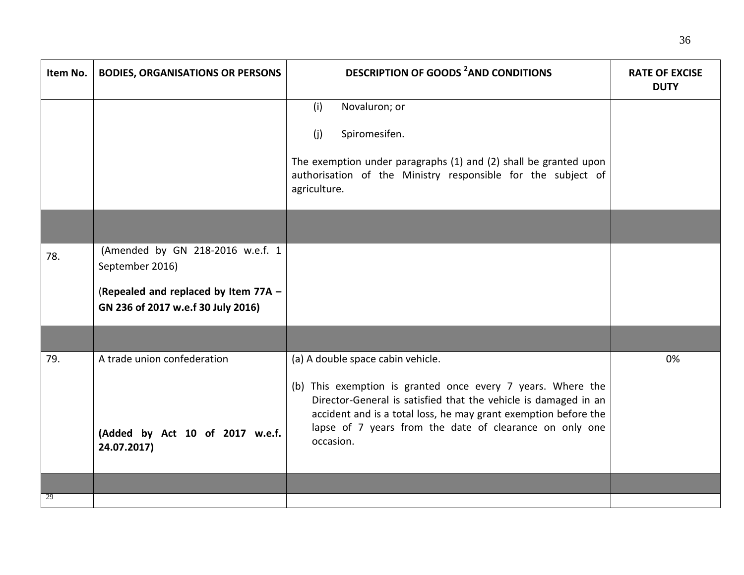| Item No. | <b>BODIES, ORGANISATIONS OR PERSONS</b>                                                                                           | <b>DESCRIPTION OF GOODS <sup>2</sup>AND CONDITIONS</b>                                                                                                                                                                                                                                                         | <b>RATE OF EXCISE</b><br><b>DUTY</b> |
|----------|-----------------------------------------------------------------------------------------------------------------------------------|----------------------------------------------------------------------------------------------------------------------------------------------------------------------------------------------------------------------------------------------------------------------------------------------------------------|--------------------------------------|
|          |                                                                                                                                   | (i)<br>Novaluron; or<br>Spiromesifen.<br>(i)<br>The exemption under paragraphs (1) and (2) shall be granted upon<br>authorisation of the Ministry responsible for the subject of<br>agriculture.                                                                                                               |                                      |
|          |                                                                                                                                   |                                                                                                                                                                                                                                                                                                                |                                      |
| 78.      | (Amended by GN 218-2016 w.e.f. 1<br>September 2016)<br>(Repealed and replaced by Item 77A -<br>GN 236 of 2017 w.e.f 30 July 2016) |                                                                                                                                                                                                                                                                                                                |                                      |
|          |                                                                                                                                   |                                                                                                                                                                                                                                                                                                                |                                      |
| 79.      | A trade union confederation<br>(Added by Act 10 of 2017 w.e.f.<br>24.07.2017)                                                     | (a) A double space cabin vehicle.<br>(b) This exemption is granted once every 7 years. Where the<br>Director-General is satisfied that the vehicle is damaged in an<br>accident and is a total loss, he may grant exemption before the<br>lapse of 7 years from the date of clearance on only one<br>occasion. | 0%                                   |
|          |                                                                                                                                   |                                                                                                                                                                                                                                                                                                                |                                      |
| 29       |                                                                                                                                   |                                                                                                                                                                                                                                                                                                                |                                      |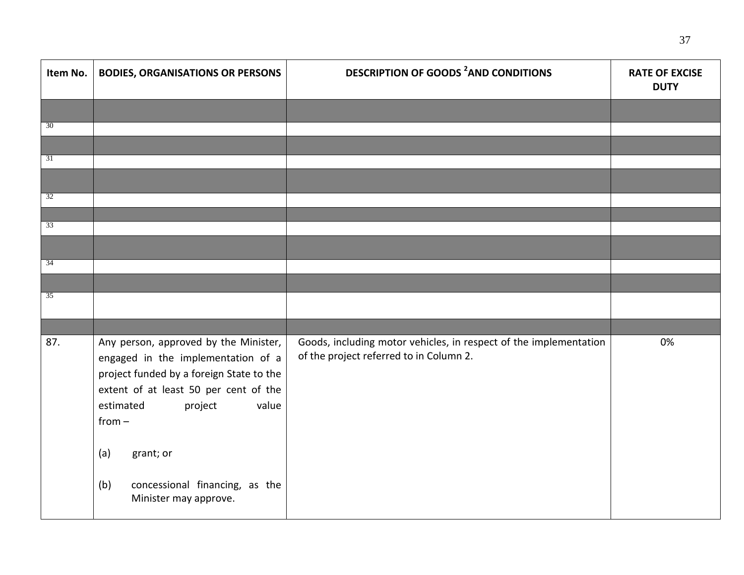| Item No.        | <b>BODIES, ORGANISATIONS OR PERSONS</b>                                                                                                                                                                                                                                                             | <b>DESCRIPTION OF GOODS <sup>2</sup>AND CONDITIONS</b>                                                       | <b>RATE OF EXCISE</b><br><b>DUTY</b> |
|-----------------|-----------------------------------------------------------------------------------------------------------------------------------------------------------------------------------------------------------------------------------------------------------------------------------------------------|--------------------------------------------------------------------------------------------------------------|--------------------------------------|
|                 |                                                                                                                                                                                                                                                                                                     |                                                                                                              |                                      |
| 30              |                                                                                                                                                                                                                                                                                                     |                                                                                                              |                                      |
|                 |                                                                                                                                                                                                                                                                                                     |                                                                                                              |                                      |
| 31              |                                                                                                                                                                                                                                                                                                     |                                                                                                              |                                      |
|                 |                                                                                                                                                                                                                                                                                                     |                                                                                                              |                                      |
| 32              |                                                                                                                                                                                                                                                                                                     |                                                                                                              |                                      |
| $\overline{33}$ |                                                                                                                                                                                                                                                                                                     |                                                                                                              |                                      |
|                 |                                                                                                                                                                                                                                                                                                     |                                                                                                              |                                      |
|                 |                                                                                                                                                                                                                                                                                                     |                                                                                                              |                                      |
| $\overline{34}$ |                                                                                                                                                                                                                                                                                                     |                                                                                                              |                                      |
|                 |                                                                                                                                                                                                                                                                                                     |                                                                                                              |                                      |
| 35              |                                                                                                                                                                                                                                                                                                     |                                                                                                              |                                      |
|                 |                                                                                                                                                                                                                                                                                                     |                                                                                                              |                                      |
| 87.             | Any person, approved by the Minister,<br>engaged in the implementation of a<br>project funded by a foreign State to the<br>extent of at least 50 per cent of the<br>value<br>estimated<br>project<br>$from -$<br>(a)<br>grant; or<br>concessional financing, as the<br>(b)<br>Minister may approve. | Goods, including motor vehicles, in respect of the implementation<br>of the project referred to in Column 2. | 0%                                   |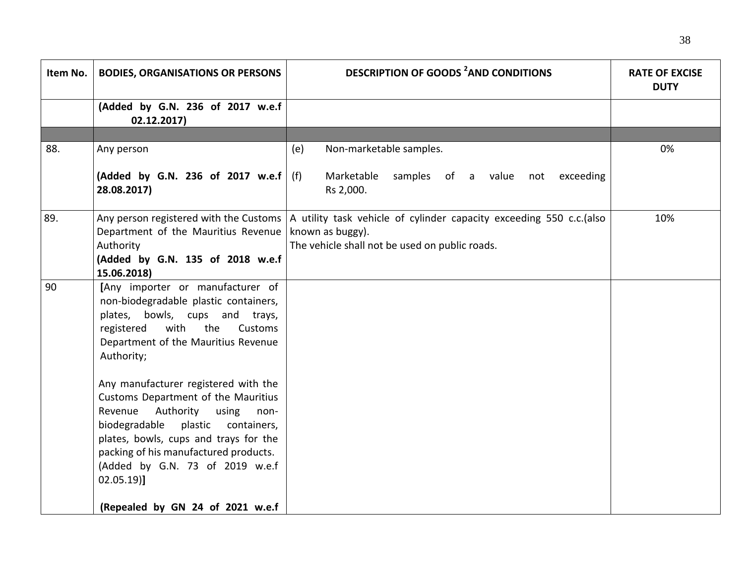| Item No. | <b>BODIES, ORGANISATIONS OR PERSONS</b>                                                                                                                                                                                                                                                                                                                                                                                                                                                                                                        | <b>DESCRIPTION OF GOODS <sup>2</sup>AND CONDITIONS</b>                                                                                     | <b>RATE OF EXCISE</b><br><b>DUTY</b> |
|----------|------------------------------------------------------------------------------------------------------------------------------------------------------------------------------------------------------------------------------------------------------------------------------------------------------------------------------------------------------------------------------------------------------------------------------------------------------------------------------------------------------------------------------------------------|--------------------------------------------------------------------------------------------------------------------------------------------|--------------------------------------|
|          | (Added by G.N. 236 of 2017 w.e.f<br>02.12.2017                                                                                                                                                                                                                                                                                                                                                                                                                                                                                                 |                                                                                                                                            |                                      |
|          |                                                                                                                                                                                                                                                                                                                                                                                                                                                                                                                                                |                                                                                                                                            |                                      |
| 88.      | Any person                                                                                                                                                                                                                                                                                                                                                                                                                                                                                                                                     | Non-marketable samples.<br>(e)                                                                                                             | 0%                                   |
|          | (Added by G.N. 236 of 2017 w.e.f<br>28.08.2017)                                                                                                                                                                                                                                                                                                                                                                                                                                                                                                | Marketable<br>samples of a value not exceeding<br>(f)<br>Rs 2,000.                                                                         |                                      |
| 89.      | Any person registered with the Customs<br>Department of the Mauritius Revenue<br>Authority<br>(Added by G.N. 135 of 2018 w.e.f<br>15.06.2018)                                                                                                                                                                                                                                                                                                                                                                                                  | A utility task vehicle of cylinder capacity exceeding 550 c.c. (also<br>known as buggy).<br>The vehicle shall not be used on public roads. | 10%                                  |
| 90       | [Any importer or manufacturer of<br>non-biodegradable plastic containers,<br>plates, bowls, cups and trays,<br>with<br>the<br>registered<br>Customs<br>Department of the Mauritius Revenue<br>Authority;<br>Any manufacturer registered with the<br>Customs Department of the Mauritius<br>Revenue<br>Authority using<br>non-<br>biodegradable plastic<br>containers,<br>plates, bowls, cups and trays for the<br>packing of his manufactured products.<br>(Added by G.N. 73 of 2019 w.e.f<br>$02.05.19$ ]<br>(Repealed by GN 24 of 2021 w.e.f |                                                                                                                                            |                                      |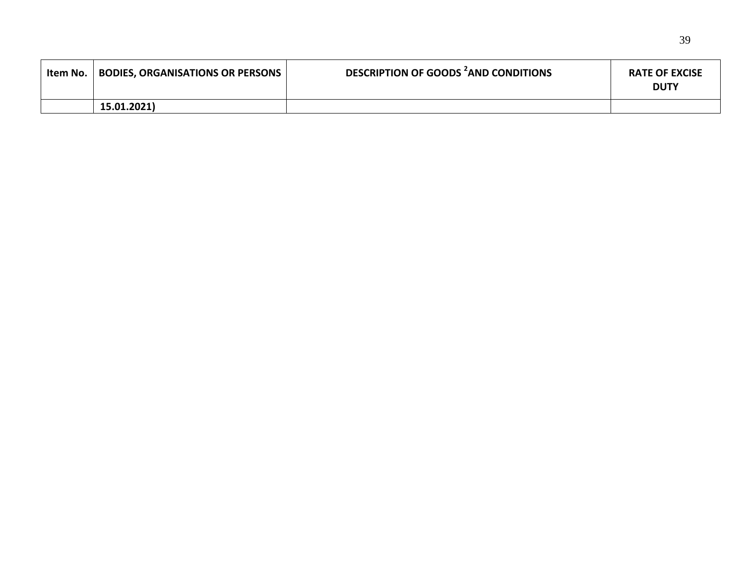| Item No. | <b>BODIES, ORGANISATIONS OR PERSONS</b> | DESCRIPTION OF GOODS AND CONDITIONS | <b>RATE OF EXCISE</b><br><b>DUTY</b> |
|----------|-----------------------------------------|-------------------------------------|--------------------------------------|
|          | 15.01.2021)                             |                                     |                                      |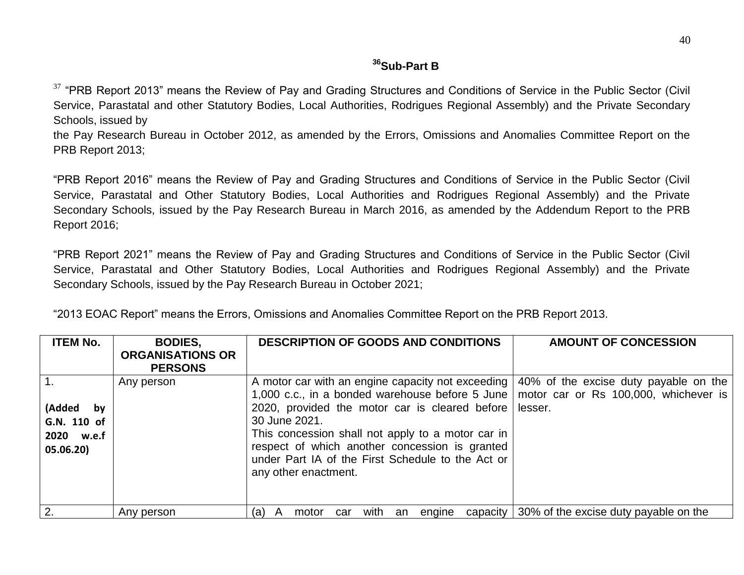## **<sup>36</sup>Sub-Part B**

 $37$  "PRB Report 2013" means the Review of Pay and Grading Structures and Conditions of Service in the Public Sector (Civil Service, Parastatal and other Statutory Bodies, Local Authorities, Rodrigues Regional Assembly) and the Private Secondary Schools, issued by

the Pay Research Bureau in October 2012, as amended by the Errors, Omissions and Anomalies Committee Report on the PRB Report 2013;

"PRB Report 2016" means the Review of Pay and Grading Structures and Conditions of Service in the Public Sector (Civil Service, Parastatal and Other Statutory Bodies, Local Authorities and Rodrigues Regional Assembly) and the Private Secondary Schools, issued by the Pay Research Bureau in March 2016, as amended by the Addendum Report to the PRB Report 2016;

"PRB Report 2021" means the Review of Pay and Grading Structures and Conditions of Service in the Public Sector (Civil Service, Parastatal and Other Statutory Bodies, Local Authorities and Rodrigues Regional Assembly) and the Private Secondary Schools, issued by the Pay Research Bureau in October 2021;

| <b>ITEM No.</b>                                        | <b>BODIES,</b><br><b>ORGANISATIONS OR</b><br><b>PERSONS</b> | <b>DESCRIPTION OF GOODS AND CONDITIONS</b>                                                                                                                                                                                                                                                                                                                  | <b>AMOUNT OF CONCESSION</b>                                                               |
|--------------------------------------------------------|-------------------------------------------------------------|-------------------------------------------------------------------------------------------------------------------------------------------------------------------------------------------------------------------------------------------------------------------------------------------------------------------------------------------------------------|-------------------------------------------------------------------------------------------|
| (Added<br>by<br>G.N. 110 of<br>2020 w.e.f<br>05.06.20) | Any person                                                  | A motor car with an engine capacity not exceeding<br>1,000 c.c., in a bonded warehouse before 5 June<br>2020, provided the motor car is cleared before<br>30 June 2021.<br>This concession shall not apply to a motor car in<br>respect of which another concession is granted<br>under Part IA of the First Schedule to the Act or<br>any other enactment. | 40% of the excise duty payable on the<br>motor car or Rs 100,000, whichever is<br>lesser. |
| 2.                                                     | Any person                                                  | with<br>capacity<br>motor<br>(a)<br>engine<br>car<br>an<br>$\mathsf{A}$                                                                                                                                                                                                                                                                                     | 30% of the excise duty payable on the                                                     |

"2013 EOAC Report" means the Errors, Omissions and Anomalies Committee Report on the PRB Report 2013.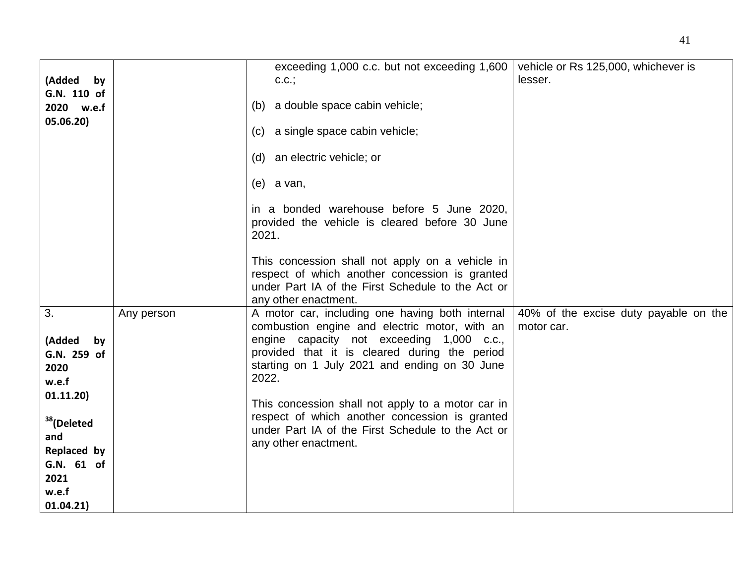| (Added by<br>G.N. 110 of<br>2020 w.e.f<br>05.06.20)                                                                                                         |            | exceeding 1,000 c.c. but not exceeding 1,600<br>C.C.;<br>(b) a double space cabin vehicle;<br>(c) a single space cabin vehicle;<br>(d) an electric vehicle; or<br>$(e)$ a van,<br>in a bonded warehouse before 5 June 2020,<br>provided the vehicle is cleared before 30 June<br>2021.<br>This concession shall not apply on a vehicle in<br>respect of which another concession is granted<br>under Part IA of the First Schedule to the Act or<br>any other enactment. | vehicle or Rs 125,000, whichever is<br>lesser.      |
|-------------------------------------------------------------------------------------------------------------------------------------------------------------|------------|--------------------------------------------------------------------------------------------------------------------------------------------------------------------------------------------------------------------------------------------------------------------------------------------------------------------------------------------------------------------------------------------------------------------------------------------------------------------------|-----------------------------------------------------|
| 3.<br>(Added<br>by<br>G.N. 259 of<br>2020<br>w.e.f<br>01.11.20)<br><sup>38</sup> (Deleted<br>and<br>Replaced by<br>G.N. 61 of<br>2021<br>w.e.f<br>01.04.21) | Any person | A motor car, including one having both internal<br>combustion engine and electric motor, with an<br>engine capacity not exceeding 1,000 c.c.,<br>provided that it is cleared during the period<br>starting on 1 July 2021 and ending on 30 June<br>2022.<br>This concession shall not apply to a motor car in<br>respect of which another concession is granted<br>under Part IA of the First Schedule to the Act or<br>any other enactment.                             | 40% of the excise duty payable on the<br>motor car. |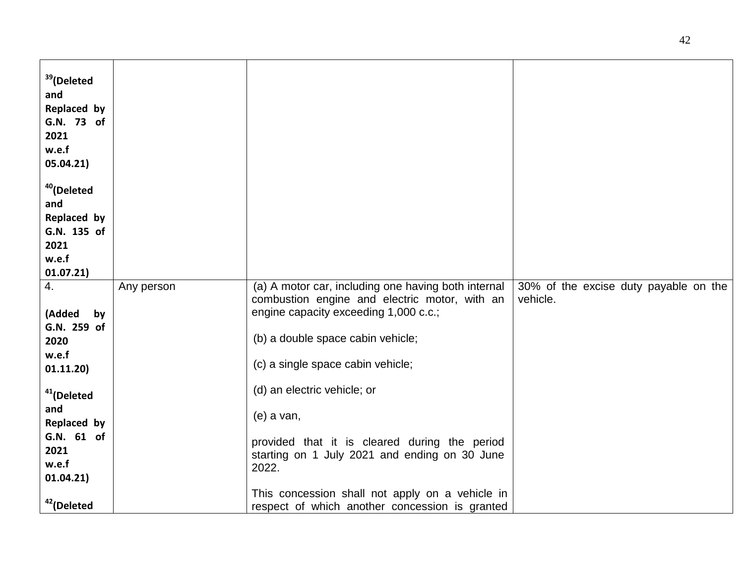| <sup>39</sup> (Deleted<br>and<br>Replaced by<br>G.N. 73 of<br>2021<br>w.e.f<br>05.04.21) |            |                                                                                                      |                                                   |
|------------------------------------------------------------------------------------------|------------|------------------------------------------------------------------------------------------------------|---------------------------------------------------|
| <sup>40</sup> (Deleted<br>and                                                            |            |                                                                                                      |                                                   |
| Replaced by                                                                              |            |                                                                                                      |                                                   |
| G.N. 135 of<br>2021                                                                      |            |                                                                                                      |                                                   |
| w.e.f                                                                                    |            |                                                                                                      |                                                   |
| 01.07.21)                                                                                |            |                                                                                                      |                                                   |
| 4.                                                                                       | Any person | (a) A motor car, including one having both internal<br>combustion engine and electric motor, with an | 30% of the excise duty payable on the<br>vehicle. |
| (Added<br>by                                                                             |            | engine capacity exceeding 1,000 c.c.;                                                                |                                                   |
| G.N. 259 of<br>2020                                                                      |            | (b) a double space cabin vehicle;                                                                    |                                                   |
| w.e.f                                                                                    |            |                                                                                                      |                                                   |
| 01.11.20)                                                                                |            | (c) a single space cabin vehicle;                                                                    |                                                   |
| <sup>41</sup> (Deleted                                                                   |            | (d) an electric vehicle; or                                                                          |                                                   |
| and<br>Replaced by                                                                       |            | (e) a van,                                                                                           |                                                   |
| G.N. 61 of                                                                               |            | provided that it is cleared during the period                                                        |                                                   |
| 2021                                                                                     |            | starting on 1 July 2021 and ending on 30 June                                                        |                                                   |
| w.e.f<br>01.04.21)                                                                       |            | 2022.                                                                                                |                                                   |
|                                                                                          |            | This concession shall not apply on a vehicle in                                                      |                                                   |
| <sup>42</sup> (Deleted                                                                   |            | respect of which another concession is granted                                                       |                                                   |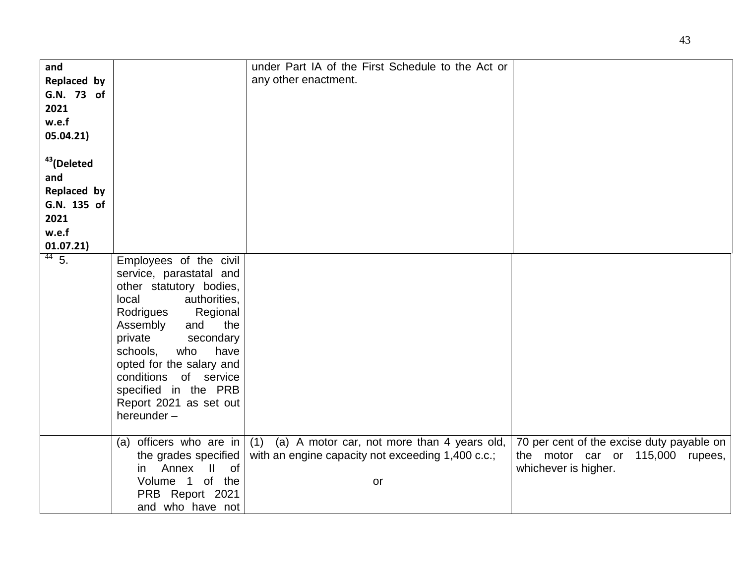| and                    |                          | under Part IA of the First Schedule to the Act or  |                                           |
|------------------------|--------------------------|----------------------------------------------------|-------------------------------------------|
| Replaced by            |                          | any other enactment.                               |                                           |
| G.N. 73 of             |                          |                                                    |                                           |
|                        |                          |                                                    |                                           |
| 2021                   |                          |                                                    |                                           |
| w.e.f                  |                          |                                                    |                                           |
| 05.04.21)              |                          |                                                    |                                           |
|                        |                          |                                                    |                                           |
| <sup>43</sup> (Deleted |                          |                                                    |                                           |
|                        |                          |                                                    |                                           |
| and                    |                          |                                                    |                                           |
| Replaced by            |                          |                                                    |                                           |
| G.N. 135 of            |                          |                                                    |                                           |
| 2021                   |                          |                                                    |                                           |
|                        |                          |                                                    |                                           |
| w.e.f                  |                          |                                                    |                                           |
| 01.07.21)              |                          |                                                    |                                           |
| $44\overline{5}$ .     | Employees of the civil   |                                                    |                                           |
|                        | service, parastatal and  |                                                    |                                           |
|                        | other statutory bodies,  |                                                    |                                           |
|                        | local<br>authorities,    |                                                    |                                           |
|                        | Rodrigues<br>Regional    |                                                    |                                           |
|                        | and<br>the               |                                                    |                                           |
|                        | Assembly                 |                                                    |                                           |
|                        | private<br>secondary     |                                                    |                                           |
|                        | who<br>schools,<br>have  |                                                    |                                           |
|                        | opted for the salary and |                                                    |                                           |
|                        | conditions of service    |                                                    |                                           |
|                        | specified in the PRB     |                                                    |                                           |
|                        | Report 2021 as set out   |                                                    |                                           |
|                        | hereunder-               |                                                    |                                           |
|                        |                          |                                                    |                                           |
|                        | (a) officers who are in  | (1)<br>(a) A motor car, not more than 4 years old, | 70 per cent of the excise duty payable on |
|                        |                          | with an engine capacity not exceeding 1,400 c.c.;  | the motor car or 115,000 rupees,          |
|                        | the grades specified     |                                                    |                                           |
|                        | Annex II of<br>in        |                                                    | whichever is higher.                      |
|                        | Volume 1 of the          | or                                                 |                                           |
|                        | PRB Report 2021          |                                                    |                                           |
|                        | and who have not         |                                                    |                                           |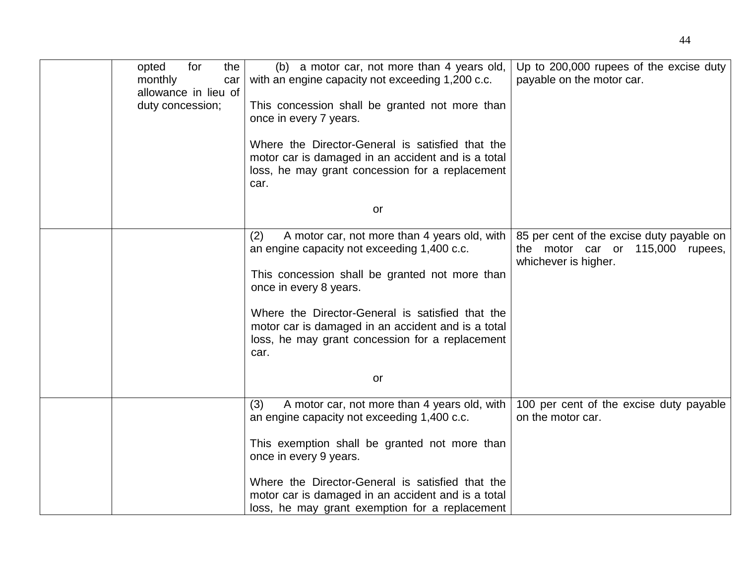| for<br>opted<br>the<br>monthly<br>car<br>allowance in lieu of<br>duty concession; | (b) a motor car, not more than 4 years old,<br>with an engine capacity not exceeding 1,200 c.c.<br>This concession shall be granted not more than<br>once in every 7 years.<br>Where the Director-General is satisfied that the | Up to 200,000 rupees of the excise duty<br>payable on the motor car.                                  |
|-----------------------------------------------------------------------------------|---------------------------------------------------------------------------------------------------------------------------------------------------------------------------------------------------------------------------------|-------------------------------------------------------------------------------------------------------|
|                                                                                   | motor car is damaged in an accident and is a total<br>loss, he may grant concession for a replacement<br>car.                                                                                                                   |                                                                                                       |
|                                                                                   | or                                                                                                                                                                                                                              |                                                                                                       |
|                                                                                   | A motor car, not more than 4 years old, with<br>(2)<br>an engine capacity not exceeding 1,400 c.c.                                                                                                                              | 85 per cent of the excise duty payable on<br>the motor car or 115,000 rupees,<br>whichever is higher. |
|                                                                                   | This concession shall be granted not more than<br>once in every 8 years.                                                                                                                                                        |                                                                                                       |
|                                                                                   | Where the Director-General is satisfied that the<br>motor car is damaged in an accident and is a total<br>loss, he may grant concession for a replacement<br>car.                                                               |                                                                                                       |
|                                                                                   | or                                                                                                                                                                                                                              |                                                                                                       |
|                                                                                   | A motor car, not more than 4 years old, with<br>(3)<br>an engine capacity not exceeding 1,400 c.c.                                                                                                                              | 100 per cent of the excise duty payable<br>on the motor car.                                          |
|                                                                                   | This exemption shall be granted not more than<br>once in every 9 years.                                                                                                                                                         |                                                                                                       |
|                                                                                   | Where the Director-General is satisfied that the<br>motor car is damaged in an accident and is a total<br>loss, he may grant exemption for a replacement                                                                        |                                                                                                       |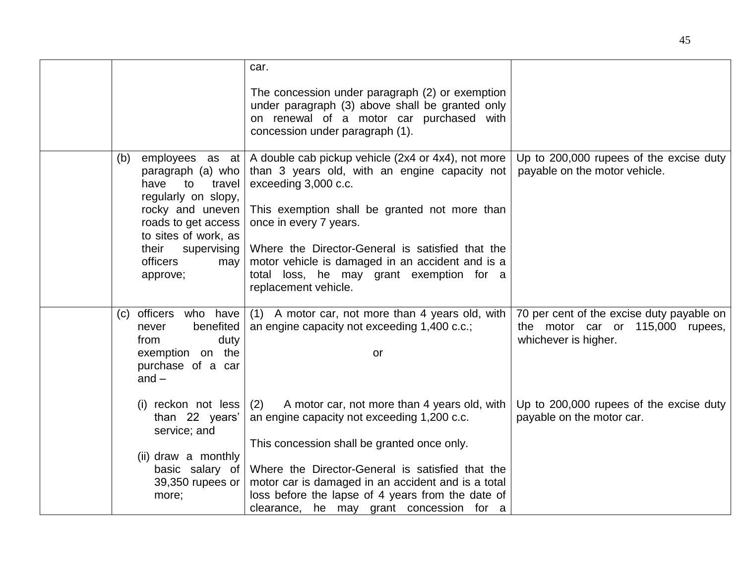|                                                                                                                                                                                                                      | car.                                                                                                                                                                                                                                                                                                                                                                               |                                                                                                       |
|----------------------------------------------------------------------------------------------------------------------------------------------------------------------------------------------------------------------|------------------------------------------------------------------------------------------------------------------------------------------------------------------------------------------------------------------------------------------------------------------------------------------------------------------------------------------------------------------------------------|-------------------------------------------------------------------------------------------------------|
|                                                                                                                                                                                                                      | The concession under paragraph (2) or exemption<br>under paragraph (3) above shall be granted only<br>on renewal of a motor car purchased with<br>concession under paragraph (1).                                                                                                                                                                                                  |                                                                                                       |
| (b)<br>employees as at<br>paragraph (a) who<br>have<br>to<br>travel<br>regularly on slopy,<br>rocky and uneven<br>roads to get access<br>to sites of work, as<br>their<br>supervising<br>officers<br>may<br>approve; | A double cab pickup vehicle (2x4 or 4x4), not more<br>than 3 years old, with an engine capacity not<br>exceeding 3,000 c.c.<br>This exemption shall be granted not more than<br>once in every 7 years.<br>Where the Director-General is satisfied that the<br>motor vehicle is damaged in an accident and is a<br>total loss, he may grant exemption for a<br>replacement vehicle. | Up to 200,000 rupees of the excise duty<br>payable on the motor vehicle.                              |
| officers who have<br>(c)<br>benefited<br>never<br>from<br>duty<br>exemption on the<br>purchase of a car<br>and $-$                                                                                                   | (1) A motor car, not more than 4 years old, with<br>an engine capacity not exceeding 1,400 c.c.;<br>or                                                                                                                                                                                                                                                                             | 70 per cent of the excise duty payable on<br>the motor car or 115,000 rupees,<br>whichever is higher. |
| (i) reckon not less<br>than 22 years'<br>service; and                                                                                                                                                                | A motor car, not more than 4 years old, with<br>(2)<br>an engine capacity not exceeding 1,200 c.c.<br>This concession shall be granted once only.                                                                                                                                                                                                                                  | Up to 200,000 rupees of the excise duty<br>payable on the motor car.                                  |
| (ii) draw a monthly<br>basic salary of<br>39,350 rupees or<br>more;                                                                                                                                                  | Where the Director-General is satisfied that the<br>motor car is damaged in an accident and is a total<br>loss before the lapse of 4 years from the date of                                                                                                                                                                                                                        |                                                                                                       |
|                                                                                                                                                                                                                      | clearance, he may grant concession for a                                                                                                                                                                                                                                                                                                                                           |                                                                                                       |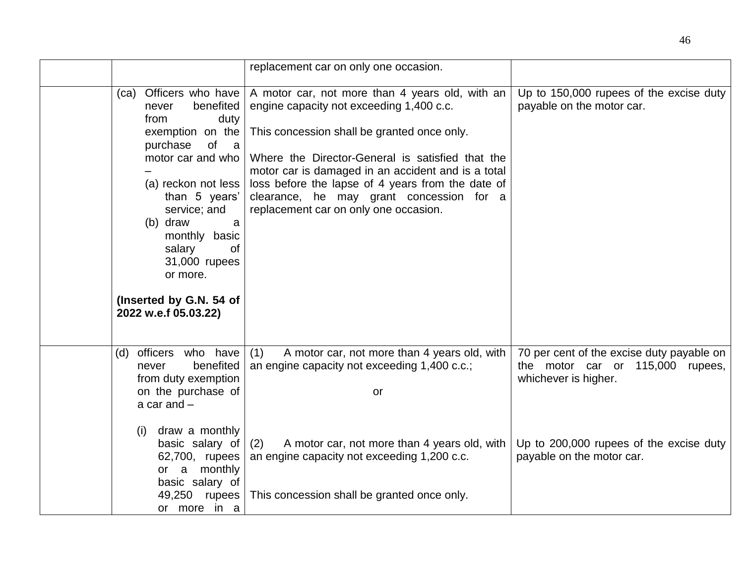|                                                                                                                                                                                                                                                                                                                     | replacement car on only one occasion.                                                                                                                                                                                                                                                                                                                                                          |                                                                                                                                                                               |
|---------------------------------------------------------------------------------------------------------------------------------------------------------------------------------------------------------------------------------------------------------------------------------------------------------------------|------------------------------------------------------------------------------------------------------------------------------------------------------------------------------------------------------------------------------------------------------------------------------------------------------------------------------------------------------------------------------------------------|-------------------------------------------------------------------------------------------------------------------------------------------------------------------------------|
| (ca) Officers who have<br>benefited<br>never<br>from<br>duty<br>exemption on the<br>purchase<br>of a<br>motor car and who<br>(a) reckon not less<br>than 5 years'<br>service; and<br>(b) draw<br>a<br>monthly basic<br>salary<br>0f<br>31,000 rupees<br>or more.<br>(Inserted by G.N. 54 of<br>2022 w.e.f 05.03.22) | A motor car, not more than 4 years old, with an<br>engine capacity not exceeding 1,400 c.c.<br>This concession shall be granted once only.<br>Where the Director-General is satisfied that the<br>motor car is damaged in an accident and is a total<br>loss before the lapse of 4 years from the date of<br>clearance, he may grant concession for a<br>replacement car on only one occasion. | Up to 150,000 rupees of the excise duty<br>payable on the motor car.                                                                                                          |
| officers who have<br>(d)<br>benefited<br>never<br>from duty exemption<br>on the purchase of<br>a car and $-$<br>draw a monthly<br>(i)<br>basic salary of<br>62,700, rupees                                                                                                                                          | (1)<br>A motor car, not more than 4 years old, with<br>an engine capacity not exceeding 1,400 c.c.;<br>or<br>A motor car, not more than 4 years old, with<br>(2)<br>an engine capacity not exceeding 1,200 c.c.                                                                                                                                                                                | 70 per cent of the excise duty payable on<br>the motor car or 115,000 rupees,<br>whichever is higher.<br>Up to 200,000 rupees of the excise duty<br>payable on the motor car. |
| or a monthly<br>basic salary of<br>49,250 rupees<br>or more in a                                                                                                                                                                                                                                                    | This concession shall be granted once only.                                                                                                                                                                                                                                                                                                                                                    |                                                                                                                                                                               |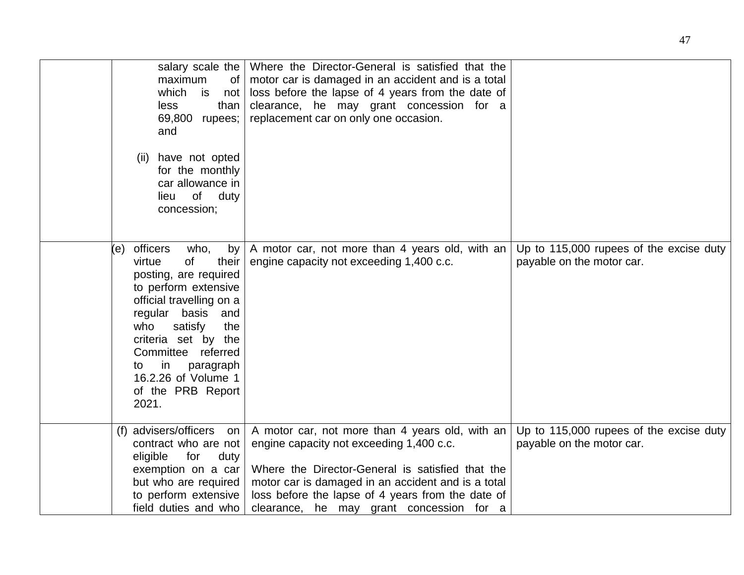| salary scale the<br>maximum<br>of<br>which<br>is<br>not<br>less<br>than<br>69,800<br>rupees;<br>and                                                                                                                                                                                                             | Where the Director-General is satisfied that the<br>motor car is damaged in an accident and is a total<br>loss before the lapse of 4 years from the date of<br>clearance, he may grant concession for a<br>replacement car on only one occasion.                                                       |                                                                      |
|-----------------------------------------------------------------------------------------------------------------------------------------------------------------------------------------------------------------------------------------------------------------------------------------------------------------|--------------------------------------------------------------------------------------------------------------------------------------------------------------------------------------------------------------------------------------------------------------------------------------------------------|----------------------------------------------------------------------|
| have not opted<br>(ii)<br>for the monthly<br>car allowance in<br>of duty<br>lieu<br>concession;                                                                                                                                                                                                                 |                                                                                                                                                                                                                                                                                                        |                                                                      |
| officers<br>who,<br>by<br>(e)<br>their<br>virtue<br>of<br>posting, are required<br>to perform extensive<br>official travelling on a<br>regular basis<br>and<br>who<br>satisfy<br>the<br>criteria set by the<br>Committee referred<br>in<br>paragraph<br>to<br>16.2.26 of Volume 1<br>of the PRB Report<br>2021. | A motor car, not more than 4 years old, with an<br>engine capacity not exceeding 1,400 c.c.                                                                                                                                                                                                            | Up to 115,000 rupees of the excise duty<br>payable on the motor car. |
| (f) advisers/officers on<br>contract who are not<br>eligible<br>for<br>duty<br>exemption on a car<br>but who are required<br>to perform extensive<br>field duties and who                                                                                                                                       | A motor car, not more than 4 years old, with an<br>engine capacity not exceeding 1,400 c.c.<br>Where the Director-General is satisfied that the<br>motor car is damaged in an accident and is a total<br>loss before the lapse of 4 years from the date of<br>clearance, he may grant concession for a | Up to 115,000 rupees of the excise duty<br>payable on the motor car. |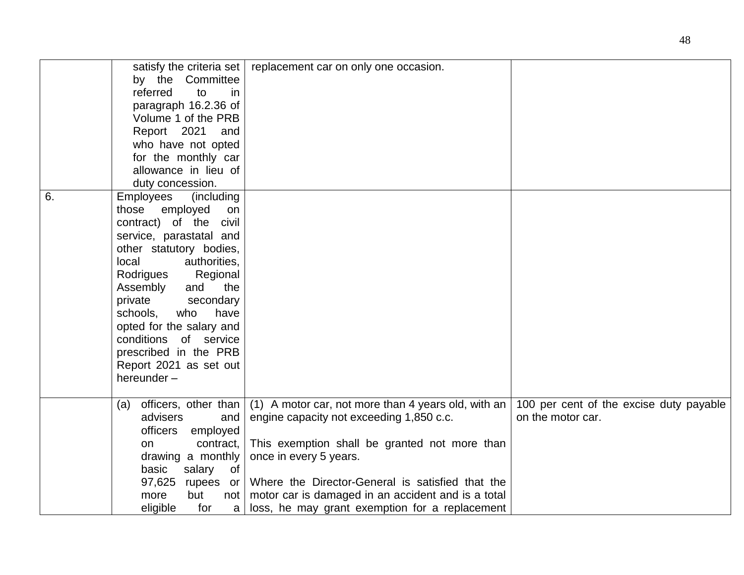|    | satisfy the criteria set<br>by the Committee<br>referred<br>to<br>in.<br>paragraph 16.2.36 of<br>Volume 1 of the PRB<br>Report 2021<br>and<br>who have not opted<br>for the monthly car<br>allowance in lieu of<br>duty concession.                                                                                                                                                   | replacement car on only one occasion.                                                                                                                                                                                                                                                                                                  |                                                              |
|----|---------------------------------------------------------------------------------------------------------------------------------------------------------------------------------------------------------------------------------------------------------------------------------------------------------------------------------------------------------------------------------------|----------------------------------------------------------------------------------------------------------------------------------------------------------------------------------------------------------------------------------------------------------------------------------------------------------------------------------------|--------------------------------------------------------------|
| 6. | Employees<br>(including)<br>those employed<br>on<br>contract) of the civil<br>service, parastatal and<br>other statutory bodies,<br>local<br>authorities,<br>Rodrigues<br>Regional<br>Assembly<br>and<br>the<br>private<br>secondary<br>schools,<br>who<br>have<br>opted for the salary and<br>conditions of service<br>prescribed in the PRB<br>Report 2021 as set out<br>hereunder- |                                                                                                                                                                                                                                                                                                                                        |                                                              |
|    | officers, other than<br>(a)<br>advisers<br>and<br>officers employed<br>contract,<br>on<br>drawing a monthly<br>basic<br>salary<br>of<br>97,625<br>rupees or<br>but<br>more<br>not<br>eligible<br>for<br>a                                                                                                                                                                             | (1) A motor car, not more than 4 years old, with an<br>engine capacity not exceeding 1,850 c.c.<br>This exemption shall be granted not more than<br>once in every 5 years.<br>Where the Director-General is satisfied that the<br>motor car is damaged in an accident and is a total<br>loss, he may grant exemption for a replacement | 100 per cent of the excise duty payable<br>on the motor car. |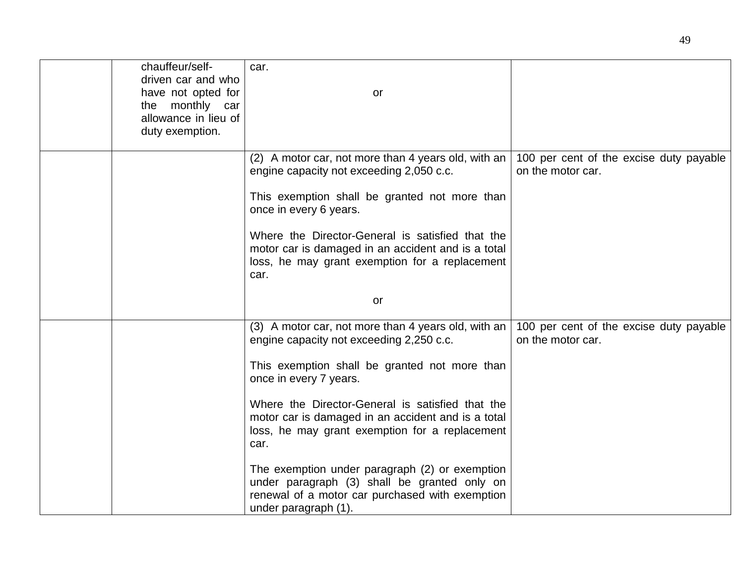| chauffeur/self-<br>driven car and who<br>have not opted for<br>the monthly car | car.<br>or                                                                                                                                                                |                                                              |
|--------------------------------------------------------------------------------|---------------------------------------------------------------------------------------------------------------------------------------------------------------------------|--------------------------------------------------------------|
| allowance in lieu of<br>duty exemption.                                        |                                                                                                                                                                           |                                                              |
|                                                                                | (2) A motor car, not more than 4 years old, with an<br>engine capacity not exceeding 2,050 c.c.                                                                           | 100 per cent of the excise duty payable<br>on the motor car. |
|                                                                                | This exemption shall be granted not more than<br>once in every 6 years.                                                                                                   |                                                              |
|                                                                                | Where the Director-General is satisfied that the<br>motor car is damaged in an accident and is a total<br>loss, he may grant exemption for a replacement<br>car.          |                                                              |
|                                                                                | or                                                                                                                                                                        |                                                              |
|                                                                                | (3) A motor car, not more than 4 years old, with an<br>engine capacity not exceeding 2,250 c.c.                                                                           | 100 per cent of the excise duty payable<br>on the motor car. |
|                                                                                | This exemption shall be granted not more than<br>once in every 7 years.                                                                                                   |                                                              |
|                                                                                | Where the Director-General is satisfied that the<br>motor car is damaged in an accident and is a total<br>loss, he may grant exemption for a replacement<br>car.          |                                                              |
|                                                                                | The exemption under paragraph (2) or exemption<br>under paragraph (3) shall be granted only on<br>renewal of a motor car purchased with exemption<br>under paragraph (1). |                                                              |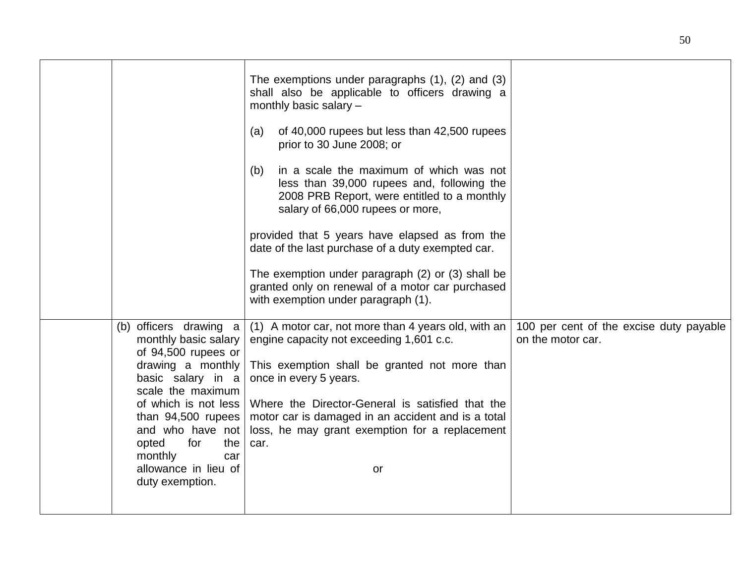|                                                                                                                                                                                                                                                                                            | The exemptions under paragraphs $(1)$ , $(2)$ and $(3)$<br>shall also be applicable to officers drawing a<br>monthly basic salary -<br>of 40,000 rupees but less than 42,500 rupees<br>(a)<br>prior to 30 June 2008; or<br>in a scale the maximum of which was not<br>(b)<br>less than 39,000 rupees and, following the<br>2008 PRB Report, were entitled to a monthly<br>salary of 66,000 rupees or more,<br>provided that 5 years have elapsed as from the<br>date of the last purchase of a duty exempted car.<br>The exemption under paragraph (2) or (3) shall be<br>granted only on renewal of a motor car purchased<br>with exemption under paragraph (1). |                                                              |
|--------------------------------------------------------------------------------------------------------------------------------------------------------------------------------------------------------------------------------------------------------------------------------------------|-------------------------------------------------------------------------------------------------------------------------------------------------------------------------------------------------------------------------------------------------------------------------------------------------------------------------------------------------------------------------------------------------------------------------------------------------------------------------------------------------------------------------------------------------------------------------------------------------------------------------------------------------------------------|--------------------------------------------------------------|
| (b) officers drawing a<br>monthly basic salary<br>of 94,500 rupees or<br>drawing a monthly<br>basic salary in a<br>scale the maximum<br>of which is not less<br>than 94,500 rupees<br>and who have not<br>for<br>the<br>opted<br>monthly<br>car<br>allowance in lieu of<br>duty exemption. | (1) A motor car, not more than 4 years old, with an<br>engine capacity not exceeding 1,601 c.c.<br>This exemption shall be granted not more than<br>once in every 5 years.<br>Where the Director-General is satisfied that the<br>motor car is damaged in an accident and is a total<br>loss, he may grant exemption for a replacement<br>car.<br>or                                                                                                                                                                                                                                                                                                              | 100 per cent of the excise duty payable<br>on the motor car. |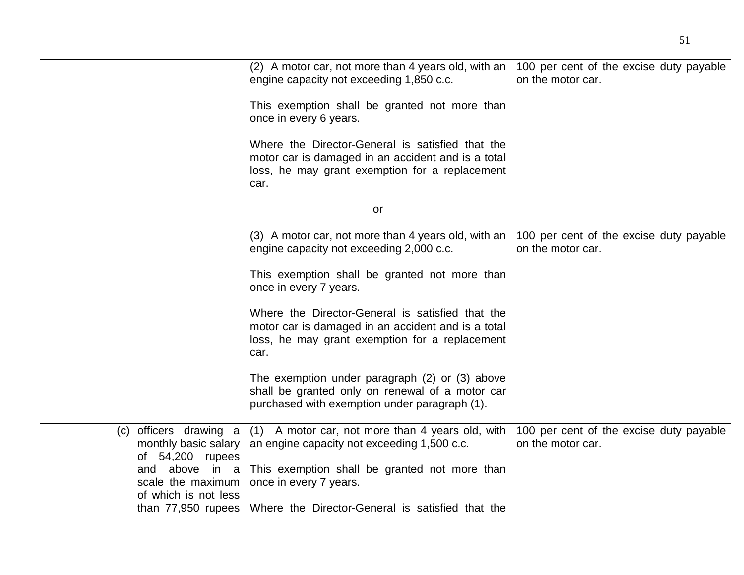|                                                                                                                | (2) A motor car, not more than 4 years old, with an<br>engine capacity not exceeding 1,850 c.c.<br>This exemption shall be granted not more than<br>once in every 6 years.<br>Where the Director-General is satisfied that the<br>motor car is damaged in an accident and is a total<br>loss, he may grant exemption for a replacement<br>car.                                                                                                                                                       | 100 per cent of the excise duty payable<br>on the motor car. |
|----------------------------------------------------------------------------------------------------------------|------------------------------------------------------------------------------------------------------------------------------------------------------------------------------------------------------------------------------------------------------------------------------------------------------------------------------------------------------------------------------------------------------------------------------------------------------------------------------------------------------|--------------------------------------------------------------|
|                                                                                                                | or                                                                                                                                                                                                                                                                                                                                                                                                                                                                                                   |                                                              |
|                                                                                                                | (3) A motor car, not more than 4 years old, with an<br>engine capacity not exceeding 2,000 c.c.<br>This exemption shall be granted not more than<br>once in every 7 years.<br>Where the Director-General is satisfied that the<br>motor car is damaged in an accident and is a total<br>loss, he may grant exemption for a replacement<br>car.<br>The exemption under paragraph (2) or (3) above<br>shall be granted only on renewal of a motor car<br>purchased with exemption under paragraph (1). | 100 per cent of the excise duty payable<br>on the motor car. |
|                                                                                                                |                                                                                                                                                                                                                                                                                                                                                                                                                                                                                                      |                                                              |
| officers drawing a<br>(c)<br>monthly basic salary<br>of $54,200$ rupees<br>and above in a<br>scale the maximum | (1) A motor car, not more than 4 years old, with<br>an engine capacity not exceeding 1,500 c.c.<br>This exemption shall be granted not more than<br>once in every 7 years.                                                                                                                                                                                                                                                                                                                           | 100 per cent of the excise duty payable<br>on the motor car. |
| of which is not less<br>than $77,950$ rupees                                                                   | Where the Director-General is satisfied that the                                                                                                                                                                                                                                                                                                                                                                                                                                                     |                                                              |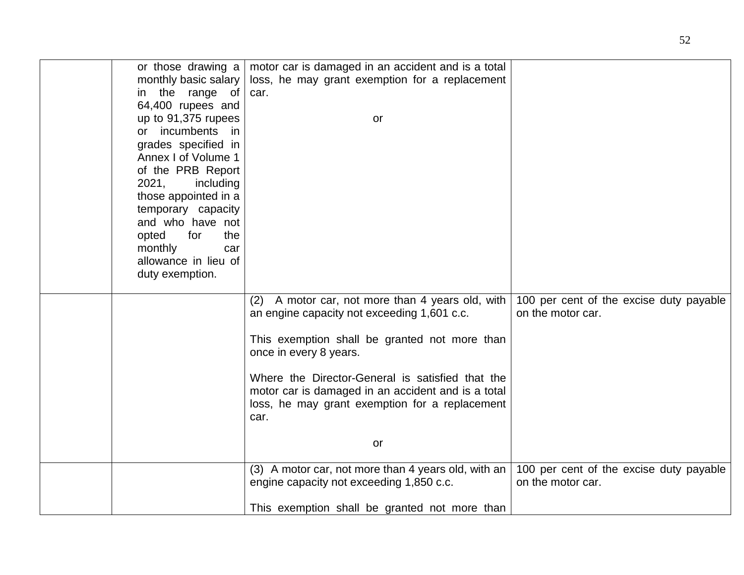| or those drawing a   | motor car is damaged in an accident and is a total  |                                         |
|----------------------|-----------------------------------------------------|-----------------------------------------|
| monthly basic salary | loss, he may grant exemption for a replacement      |                                         |
| in the range of      | car.                                                |                                         |
| 64,400 rupees and    |                                                     |                                         |
| up to 91,375 rupees  | or                                                  |                                         |
| or incumbents<br>in  |                                                     |                                         |
| grades specified in  |                                                     |                                         |
| Annex I of Volume 1  |                                                     |                                         |
| of the PRB Report    |                                                     |                                         |
| 2021,<br>including   |                                                     |                                         |
| those appointed in a |                                                     |                                         |
| temporary capacity   |                                                     |                                         |
| and who have not     |                                                     |                                         |
| the<br>for           |                                                     |                                         |
| opted                |                                                     |                                         |
| monthly<br>car       |                                                     |                                         |
| allowance in lieu of |                                                     |                                         |
| duty exemption.      |                                                     |                                         |
|                      | (2) A motor car, not more than 4 years old, with    | 100 per cent of the excise duty payable |
|                      | an engine capacity not exceeding 1,601 c.c.         | on the motor car.                       |
|                      |                                                     |                                         |
|                      | This exemption shall be granted not more than       |                                         |
|                      | once in every 8 years.                              |                                         |
|                      |                                                     |                                         |
|                      | Where the Director-General is satisfied that the    |                                         |
|                      | motor car is damaged in an accident and is a total  |                                         |
|                      | loss, he may grant exemption for a replacement      |                                         |
|                      | car.                                                |                                         |
|                      |                                                     |                                         |
|                      | or                                                  |                                         |
|                      |                                                     |                                         |
|                      | (3) A motor car, not more than 4 years old, with an | 100 per cent of the excise duty payable |
|                      | engine capacity not exceeding 1,850 c.c.            | on the motor car.                       |
|                      |                                                     |                                         |
|                      | This exemption shall be granted not more than       |                                         |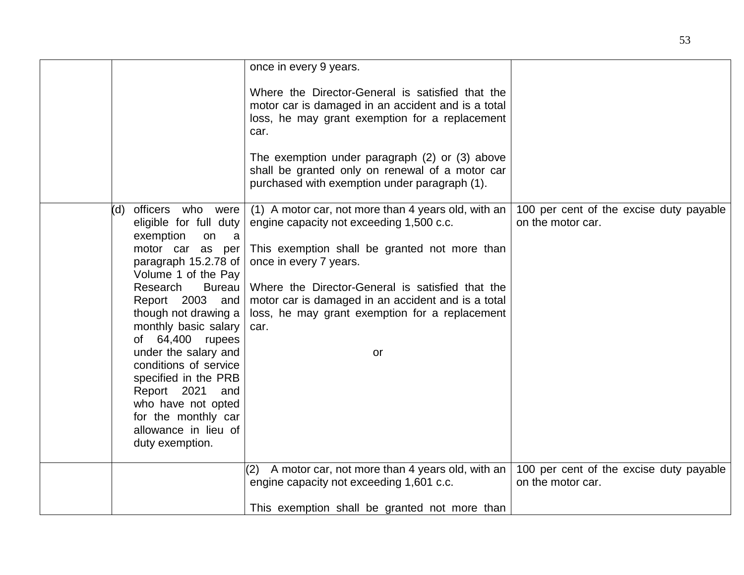|                                                                                                                                                                                                                                                                                                                                                                                                                                                           | once in every 9 years.                                                                                                                                                                                                                                                                                                                               |                                                              |
|-----------------------------------------------------------------------------------------------------------------------------------------------------------------------------------------------------------------------------------------------------------------------------------------------------------------------------------------------------------------------------------------------------------------------------------------------------------|------------------------------------------------------------------------------------------------------------------------------------------------------------------------------------------------------------------------------------------------------------------------------------------------------------------------------------------------------|--------------------------------------------------------------|
|                                                                                                                                                                                                                                                                                                                                                                                                                                                           | Where the Director-General is satisfied that the<br>motor car is damaged in an accident and is a total<br>loss, he may grant exemption for a replacement<br>car.                                                                                                                                                                                     |                                                              |
|                                                                                                                                                                                                                                                                                                                                                                                                                                                           | The exemption under paragraph (2) or (3) above<br>shall be granted only on renewal of a motor car<br>purchased with exemption under paragraph (1).                                                                                                                                                                                                   |                                                              |
| officers who were<br>(d<br>eligible for full duty<br>exemption<br>on<br>- a<br>motor car as per<br>paragraph 15.2.78 of<br>Volume 1 of the Pay<br><b>Bureau</b><br>Research<br>Report 2003 and<br>though not drawing a<br>monthly basic salary<br>of 64,400 rupees<br>under the salary and<br>conditions of service<br>specified in the PRB<br>Report 2021<br>and<br>who have not opted<br>for the monthly car<br>allowance in lieu of<br>duty exemption. | (1) A motor car, not more than 4 years old, with an<br>engine capacity not exceeding 1,500 c.c.<br>This exemption shall be granted not more than<br>once in every 7 years.<br>Where the Director-General is satisfied that the<br>motor car is damaged in an accident and is a total<br>loss, he may grant exemption for a replacement<br>car.<br>or | 100 per cent of the excise duty payable<br>on the motor car. |
|                                                                                                                                                                                                                                                                                                                                                                                                                                                           | A motor car, not more than 4 years old, with an<br>(2)<br>engine capacity not exceeding 1,601 c.c.                                                                                                                                                                                                                                                   | 100 per cent of the excise duty payable<br>on the motor car. |
|                                                                                                                                                                                                                                                                                                                                                                                                                                                           | This exemption shall be granted not more than                                                                                                                                                                                                                                                                                                        |                                                              |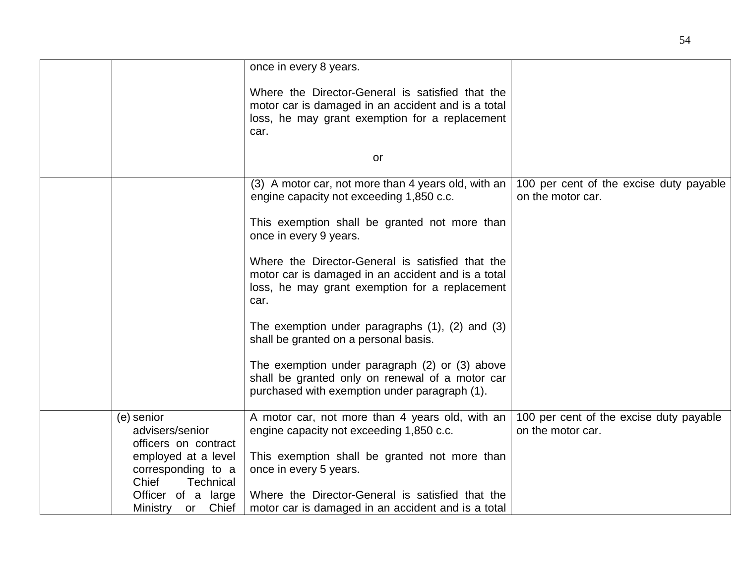|                                                       | once in every 8 years.                                                                                                                                           |                                                              |
|-------------------------------------------------------|------------------------------------------------------------------------------------------------------------------------------------------------------------------|--------------------------------------------------------------|
|                                                       | Where the Director-General is satisfied that the                                                                                                                 |                                                              |
|                                                       | motor car is damaged in an accident and is a total                                                                                                               |                                                              |
|                                                       | loss, he may grant exemption for a replacement<br>car.                                                                                                           |                                                              |
|                                                       |                                                                                                                                                                  |                                                              |
|                                                       | or                                                                                                                                                               |                                                              |
|                                                       |                                                                                                                                                                  |                                                              |
|                                                       | (3) A motor car, not more than 4 years old, with an<br>engine capacity not exceeding 1,850 c.c.                                                                  | 100 per cent of the excise duty payable<br>on the motor car. |
|                                                       | This exemption shall be granted not more than<br>once in every 9 years.                                                                                          |                                                              |
|                                                       | Where the Director-General is satisfied that the<br>motor car is damaged in an accident and is a total<br>loss, he may grant exemption for a replacement<br>car. |                                                              |
|                                                       | The exemption under paragraphs $(1)$ , $(2)$ and $(3)$<br>shall be granted on a personal basis.                                                                  |                                                              |
|                                                       | The exemption under paragraph (2) or (3) above<br>shall be granted only on renewal of a motor car<br>purchased with exemption under paragraph (1).               |                                                              |
| (e) senior<br>advisers/senior<br>officers on contract | A motor car, not more than 4 years old, with an<br>engine capacity not exceeding 1,850 c.c.                                                                      | 100 per cent of the excise duty payable<br>on the motor car. |
| employed at a level                                   | This exemption shall be granted not more than                                                                                                                    |                                                              |
| corresponding to a                                    | once in every 5 years.                                                                                                                                           |                                                              |
| Chief<br><b>Technical</b>                             |                                                                                                                                                                  |                                                              |
| Officer of a large                                    | Where the Director-General is satisfied that the                                                                                                                 |                                                              |
| Chief<br>Ministry<br>or                               | motor car is damaged in an accident and is a total                                                                                                               |                                                              |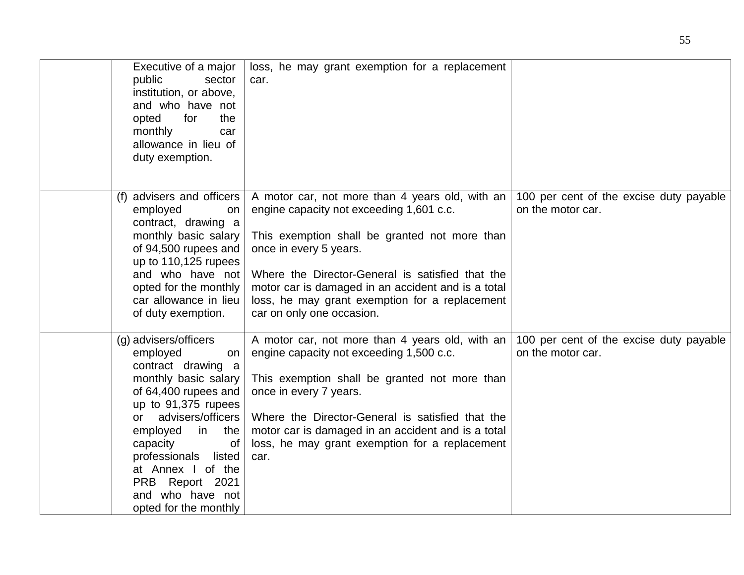| Executive of a major<br>public<br>sector<br>institution, or above,<br>and who have not<br>opted<br>for<br>the<br>monthly<br>car<br>allowance in lieu of<br>duty exemption.                                                                                                                                           | loss, he may grant exemption for a replacement<br>car.                                                                                                                                                                                                                                                                                                          |                                                              |
|----------------------------------------------------------------------------------------------------------------------------------------------------------------------------------------------------------------------------------------------------------------------------------------------------------------------|-----------------------------------------------------------------------------------------------------------------------------------------------------------------------------------------------------------------------------------------------------------------------------------------------------------------------------------------------------------------|--------------------------------------------------------------|
| (f) advisers and officers<br>employed<br>on<br>contract, drawing a<br>monthly basic salary<br>of 94,500 rupees and<br>up to 110,125 rupees<br>and who have not<br>opted for the monthly<br>car allowance in lieu<br>of duty exemption.                                                                               | A motor car, not more than 4 years old, with an<br>engine capacity not exceeding 1,601 c.c.<br>This exemption shall be granted not more than<br>once in every 5 years.<br>Where the Director-General is satisfied that the<br>motor car is damaged in an accident and is a total<br>loss, he may grant exemption for a replacement<br>car on only one occasion. | 100 per cent of the excise duty payable<br>on the motor car. |
| (g) advisers/officers<br>employed<br>on<br>contract drawing a<br>monthly basic salary<br>of 64,400 rupees and<br>up to 91,375 rupees<br>or advisers/officers<br>employed<br>in the<br>capacity<br>0f<br>professionals<br>listed<br>at Annex I of the<br>PRB Report 2021<br>and who have not<br>opted for the monthly | A motor car, not more than 4 years old, with an<br>engine capacity not exceeding 1,500 c.c.<br>This exemption shall be granted not more than<br>once in every 7 years.<br>Where the Director-General is satisfied that the<br>motor car is damaged in an accident and is a total<br>loss, he may grant exemption for a replacement<br>car.                      | 100 per cent of the excise duty payable<br>on the motor car. |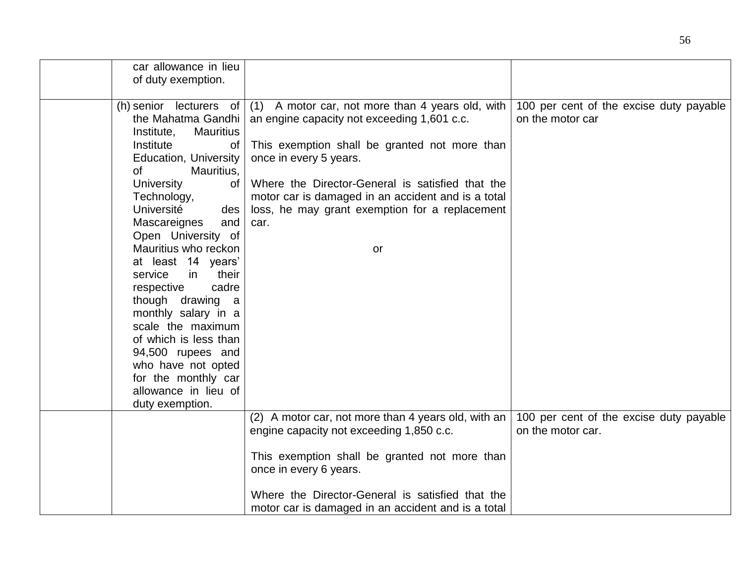| car allowance in lieu          |                                                     |                                         |
|--------------------------------|-----------------------------------------------------|-----------------------------------------|
| of duty exemption.             |                                                     |                                         |
|                                |                                                     |                                         |
| (h) senior lecturers of $ $    | (1) A motor car, not more than 4 years old, with    | 100 per cent of the excise duty payable |
| the Mahatma Gandhi             | an engine capacity not exceeding 1,601 c.c.         | on the motor car                        |
| <b>Mauritius</b><br>Institute, |                                                     |                                         |
| Institute<br>Οf                | This exemption shall be granted not more than       |                                         |
| Education, University          | once in every 5 years.                              |                                         |
| 0f<br>Mauritius,               |                                                     |                                         |
| <b>University</b><br>of        | Where the Director-General is satisfied that the    |                                         |
| Technology,                    | motor car is damaged in an accident and is a total  |                                         |
| Université<br>des              | loss, he may grant exemption for a replacement      |                                         |
| Mascareignes<br>and            | car.                                                |                                         |
| Open University of             |                                                     |                                         |
| Mauritius who reckon           | or                                                  |                                         |
| at least 14 years'             |                                                     |                                         |
| service<br>in.<br>their        |                                                     |                                         |
| respective<br>cadre            |                                                     |                                         |
| though drawing a               |                                                     |                                         |
| monthly salary in a            |                                                     |                                         |
| scale the maximum              |                                                     |                                         |
| of which is less than          |                                                     |                                         |
| 94,500 rupees and              |                                                     |                                         |
| who have not opted             |                                                     |                                         |
| for the monthly car            |                                                     |                                         |
| allowance in lieu of           |                                                     |                                         |
| duty exemption.                |                                                     |                                         |
|                                | (2) A motor car, not more than 4 years old, with an | 100 per cent of the excise duty payable |
|                                | engine capacity not exceeding 1,850 c.c.            | on the motor car.                       |
|                                |                                                     |                                         |
|                                | This exemption shall be granted not more than       |                                         |
|                                | once in every 6 years.                              |                                         |
|                                |                                                     |                                         |
|                                | Where the Director-General is satisfied that the    |                                         |
|                                | motor car is damaged in an accident and is a total  |                                         |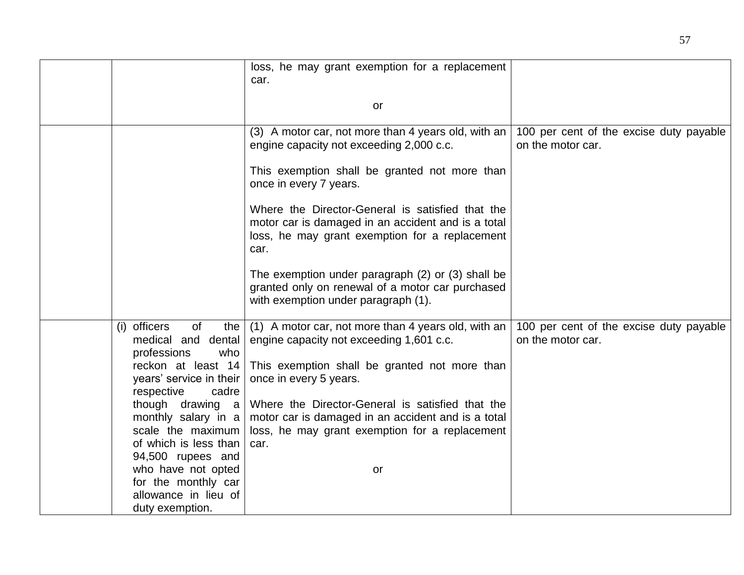|                                                                                                                                                                   | loss, he may grant exemption for a replacement                                                                                                                                                                                 |                                                              |
|-------------------------------------------------------------------------------------------------------------------------------------------------------------------|--------------------------------------------------------------------------------------------------------------------------------------------------------------------------------------------------------------------------------|--------------------------------------------------------------|
|                                                                                                                                                                   | car.                                                                                                                                                                                                                           |                                                              |
|                                                                                                                                                                   |                                                                                                                                                                                                                                |                                                              |
|                                                                                                                                                                   | or                                                                                                                                                                                                                             |                                                              |
|                                                                                                                                                                   |                                                                                                                                                                                                                                |                                                              |
|                                                                                                                                                                   | (3) A motor car, not more than 4 years old, with an<br>engine capacity not exceeding 2,000 c.c.                                                                                                                                | 100 per cent of the excise duty payable<br>on the motor car. |
|                                                                                                                                                                   | This exemption shall be granted not more than<br>once in every 7 years.                                                                                                                                                        |                                                              |
|                                                                                                                                                                   | Where the Director-General is satisfied that the<br>motor car is damaged in an accident and is a total<br>loss, he may grant exemption for a replacement<br>car.                                                               |                                                              |
|                                                                                                                                                                   | The exemption under paragraph (2) or (3) shall be<br>granted only on renewal of a motor car purchased<br>with exemption under paragraph (1).                                                                                   |                                                              |
| (i) officers<br>of<br>the<br>medical and dental<br>professions<br>who<br>reckon at least 14<br>years' service in their<br>respective<br>cadre<br>though drawing a | (1) A motor car, not more than 4 years old, with an<br>engine capacity not exceeding 1,601 c.c.<br>This exemption shall be granted not more than<br>once in every 5 years.<br>Where the Director-General is satisfied that the | 100 per cent of the excise duty payable<br>on the motor car. |
| monthly salary in a<br>scale the maximum<br>of which is less than<br>94,500 rupees and                                                                            | motor car is damaged in an accident and is a total<br>loss, he may grant exemption for a replacement<br>car.                                                                                                                   |                                                              |
| who have not opted<br>for the monthly car<br>allowance in lieu of<br>duty exemption.                                                                              | or                                                                                                                                                                                                                             |                                                              |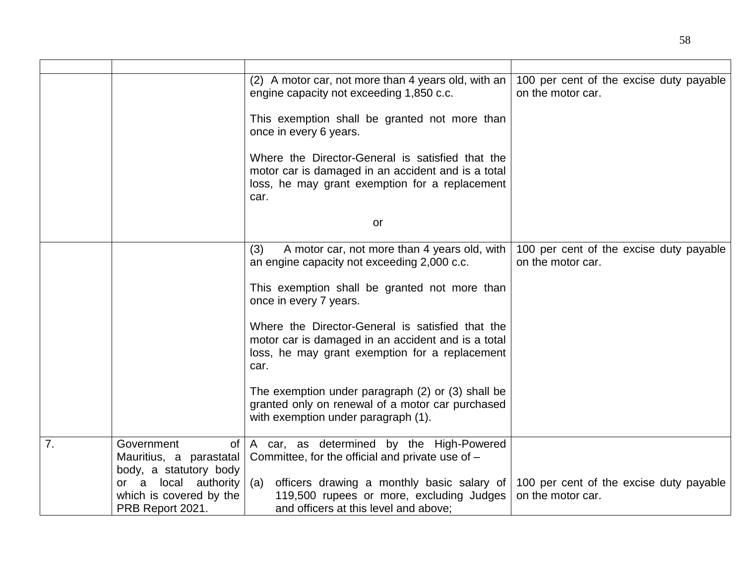|    |                                                                       | (2) A motor car, not more than 4 years old, with an<br>engine capacity not exceeding 1,850 c.c.                                                                  | 100 per cent of the excise duty payable<br>on the motor car. |
|----|-----------------------------------------------------------------------|------------------------------------------------------------------------------------------------------------------------------------------------------------------|--------------------------------------------------------------|
|    |                                                                       | This exemption shall be granted not more than<br>once in every 6 years.                                                                                          |                                                              |
|    |                                                                       | Where the Director-General is satisfied that the<br>motor car is damaged in an accident and is a total<br>loss, he may grant exemption for a replacement<br>car. |                                                              |
|    |                                                                       | or                                                                                                                                                               |                                                              |
|    |                                                                       | (3)<br>A motor car, not more than 4 years old, with<br>an engine capacity not exceeding 2,000 c.c.                                                               | 100 per cent of the excise duty payable<br>on the motor car. |
|    |                                                                       | This exemption shall be granted not more than<br>once in every 7 years.                                                                                          |                                                              |
|    |                                                                       | Where the Director-General is satisfied that the<br>motor car is damaged in an accident and is a total<br>loss, he may grant exemption for a replacement<br>car. |                                                              |
|    |                                                                       | The exemption under paragraph (2) or (3) shall be<br>granted only on renewal of a motor car purchased<br>with exemption under paragraph (1).                     |                                                              |
| 7. | Government<br>of<br>Mauritius, a parastatal<br>body, a statutory body | A car, as determined by the High-Powered<br>Committee, for the official and private use of -                                                                     |                                                              |
|    | or a local authority<br>which is covered by the<br>PRB Report 2021.   | officers drawing a monthly basic salary of<br>(a)<br>119,500 rupees or more, excluding Judges<br>and officers at this level and above;                           | 100 per cent of the excise duty payable<br>on the motor car. |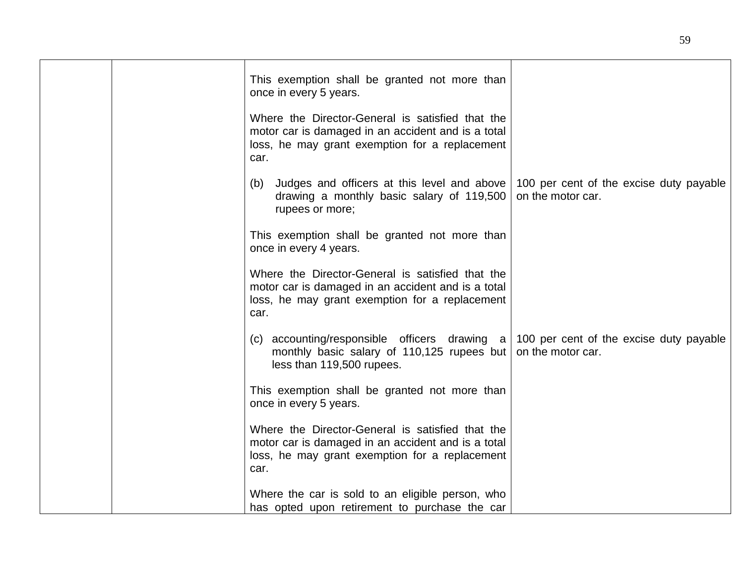|  | This exemption shall be granted not more than<br>once in every 5 years.                                                                                                 |                                                              |
|--|-------------------------------------------------------------------------------------------------------------------------------------------------------------------------|--------------------------------------------------------------|
|  | Where the Director-General is satisfied that the<br>motor car is damaged in an accident and is a total<br>loss, he may grant exemption for a replacement<br>car.        |                                                              |
|  | (b) Judges and officers at this level and above<br>drawing a monthly basic salary of 119,500<br>rupees or more;                                                         | 100 per cent of the excise duty payable<br>on the motor car. |
|  | This exemption shall be granted not more than<br>once in every 4 years.                                                                                                 |                                                              |
|  | Where the Director-General is satisfied that the<br>motor car is damaged in an accident and is a total<br>loss, he may grant exemption for a replacement<br>car.        |                                                              |
|  | (c) accounting/responsible officers drawing $a \mid 100$ per cent of the excise duty payable<br>monthly basic salary of 110,125 rupees but<br>less than 119,500 rupees. | on the motor car.                                            |
|  | This exemption shall be granted not more than<br>once in every 5 years.                                                                                                 |                                                              |
|  | Where the Director-General is satisfied that the<br>motor car is damaged in an accident and is a total<br>loss, he may grant exemption for a replacement<br>car.        |                                                              |
|  | Where the car is sold to an eligible person, who<br>has opted upon retirement to purchase the car                                                                       |                                                              |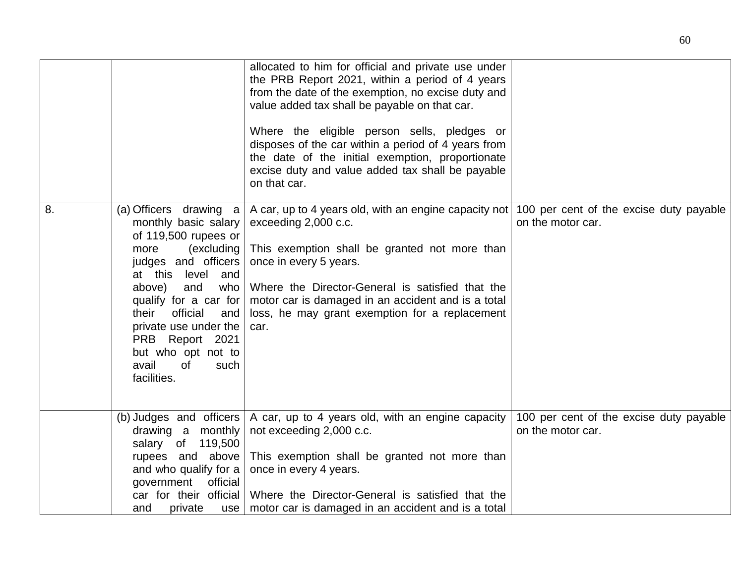|    |                                                                                                                                                                                                                                                                                                                                     | allocated to him for official and private use under<br>the PRB Report 2021, within a period of 4 years<br>from the date of the exemption, no excise duty and<br>value added tax shall be payable on that car.                                                                                                                |                                                              |
|----|-------------------------------------------------------------------------------------------------------------------------------------------------------------------------------------------------------------------------------------------------------------------------------------------------------------------------------------|------------------------------------------------------------------------------------------------------------------------------------------------------------------------------------------------------------------------------------------------------------------------------------------------------------------------------|--------------------------------------------------------------|
|    |                                                                                                                                                                                                                                                                                                                                     | Where the eligible person sells, pledges or<br>disposes of the car within a period of 4 years from<br>the date of the initial exemption, proportionate<br>excise duty and value added tax shall be payable<br>on that car.                                                                                                   |                                                              |
| 8. | (a) Officers drawing a<br>monthly basic salary<br>of 119,500 rupees or<br>(excluding<br>more<br>judges and officers<br>level<br>at this<br>and<br>above)<br>and<br>who<br>qualify for a car for<br>official<br>their<br>and<br>private use under the<br>PRB Report 2021<br>but who opt not to<br>avail<br>0f<br>such<br>facilities. | A car, up to 4 years old, with an engine capacity not<br>exceeding 2,000 c.c.<br>This exemption shall be granted not more than<br>once in every 5 years.<br>Where the Director-General is satisfied that the<br>motor car is damaged in an accident and is a total<br>loss, he may grant exemption for a replacement<br>car. | 100 per cent of the excise duty payable<br>on the motor car. |
|    | (b) Judges and officers<br>drawing a monthly<br>salary of 119,500<br>rupees and above<br>and who qualify for a<br>government<br>official<br>car for their official                                                                                                                                                                  | A car, up to 4 years old, with an engine capacity<br>not exceeding 2,000 c.c.<br>This exemption shall be granted not more than<br>once in every 4 years.<br>Where the Director-General is satisfied that the                                                                                                                 | 100 per cent of the excise duty payable<br>on the motor car. |
|    | private<br>and<br>use                                                                                                                                                                                                                                                                                                               | motor car is damaged in an accident and is a total                                                                                                                                                                                                                                                                           |                                                              |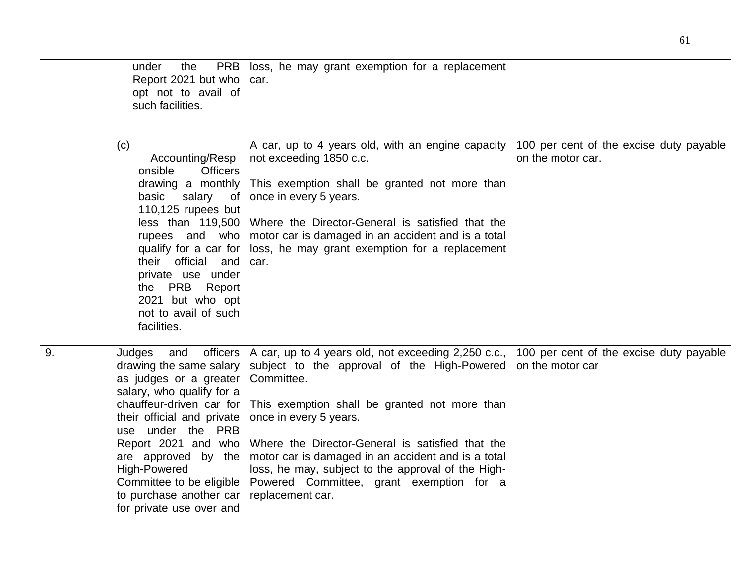|    | <b>PRB</b><br>under<br>the<br>Report 2021 but who<br>opt not to avail of<br>such facilities.                                                                                                                                                                                                                                                       | loss, he may grant exemption for a replacement<br>car.                                                                                                                                                                                                                                                                                                                                                                      |                                                              |
|----|----------------------------------------------------------------------------------------------------------------------------------------------------------------------------------------------------------------------------------------------------------------------------------------------------------------------------------------------------|-----------------------------------------------------------------------------------------------------------------------------------------------------------------------------------------------------------------------------------------------------------------------------------------------------------------------------------------------------------------------------------------------------------------------------|--------------------------------------------------------------|
|    | (c)<br>Accounting/Resp<br>onsible<br><b>Officers</b><br>drawing a monthly<br>basic<br>salary of<br>110,125 rupees but<br>less than 119,500<br>rupees and who<br>qualify for a car for<br>their official and<br>private use under<br>the PRB<br>Report<br>2021 but who opt<br>not to avail of such<br>facilities.                                   | A car, up to 4 years old, with an engine capacity<br>not exceeding 1850 c.c.<br>This exemption shall be granted not more than<br>once in every 5 years.<br>Where the Director-General is satisfied that the<br>motor car is damaged in an accident and is a total<br>loss, he may grant exemption for a replacement<br>car.                                                                                                 | 100 per cent of the excise duty payable<br>on the motor car. |
| 9. | officers<br>Judges<br>and<br>drawing the same salary<br>as judges or a greater<br>salary, who qualify for a<br>chauffeur-driven car for<br>their official and private<br>use under the PRB<br>Report 2021 and who<br>are approved by the<br><b>High-Powered</b><br>Committee to be eligible<br>to purchase another car<br>for private use over and | A car, up to 4 years old, not exceeding 2,250 c.c.,<br>subject to the approval of the High-Powered<br>Committee.<br>This exemption shall be granted not more than<br>once in every 5 years.<br>Where the Director-General is satisfied that the<br>motor car is damaged in an accident and is a total<br>loss, he may, subject to the approval of the High-<br>Powered Committee, grant exemption for a<br>replacement car. | 100 per cent of the excise duty payable<br>on the motor car  |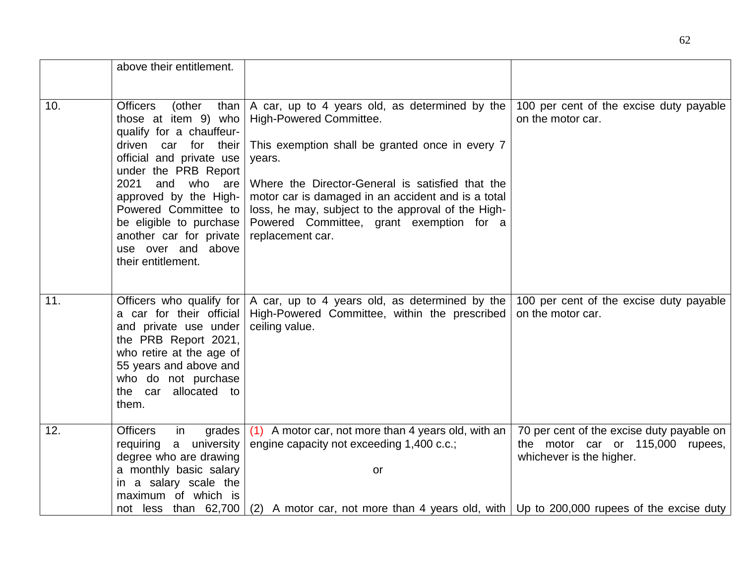|     | above their entitlement.                                                                                                                                                                                                                                                                                                                    |                                                                                                                                                                                                                                                                                                                                                                        |                                                                                                           |
|-----|---------------------------------------------------------------------------------------------------------------------------------------------------------------------------------------------------------------------------------------------------------------------------------------------------------------------------------------------|------------------------------------------------------------------------------------------------------------------------------------------------------------------------------------------------------------------------------------------------------------------------------------------------------------------------------------------------------------------------|-----------------------------------------------------------------------------------------------------------|
|     |                                                                                                                                                                                                                                                                                                                                             |                                                                                                                                                                                                                                                                                                                                                                        |                                                                                                           |
| 10. | <b>Officers</b><br>(other<br>than<br>those at item 9) who<br>qualify for a chauffeur-<br>driven car for their<br>official and private use<br>under the PRB Report<br>2021<br>and who are<br>approved by the High-<br>Powered Committee to<br>be eligible to purchase<br>another car for private<br>use over and above<br>their entitlement. | A car, up to 4 years old, as determined by the<br>High-Powered Committee.<br>This exemption shall be granted once in every 7<br>years.<br>Where the Director-General is satisfied that the<br>motor car is damaged in an accident and is a total<br>loss, he may, subject to the approval of the High-<br>Powered Committee, grant exemption for a<br>replacement car. | 100 per cent of the excise duty payable<br>on the motor car.                                              |
| 11. | Officers who qualify for<br>a car for their official<br>and private use under<br>the PRB Report 2021,<br>who retire at the age of<br>55 years and above and<br>who do not purchase<br>the car allocated to<br>them.                                                                                                                         | A car, up to 4 years old, as determined by the<br>High-Powered Committee, within the prescribed<br>ceiling value.                                                                                                                                                                                                                                                      | 100 per cent of the excise duty payable<br>on the motor car.                                              |
| 12. | <b>Officers</b><br>in<br>grades<br>a university<br>requiring<br>degree who are drawing<br>a monthly basic salary<br>in a salary scale the<br>maximum of which is<br>not less than 62,700                                                                                                                                                    | (1) A motor car, not more than 4 years old, with an<br>engine capacity not exceeding 1,400 c.c.;<br>or<br>(2) A motor car, not more than 4 years old, with $ Up$ to 200,000 rupees of the excise duty                                                                                                                                                                  | 70 per cent of the excise duty payable on<br>the motor car or 115,000 rupees,<br>whichever is the higher. |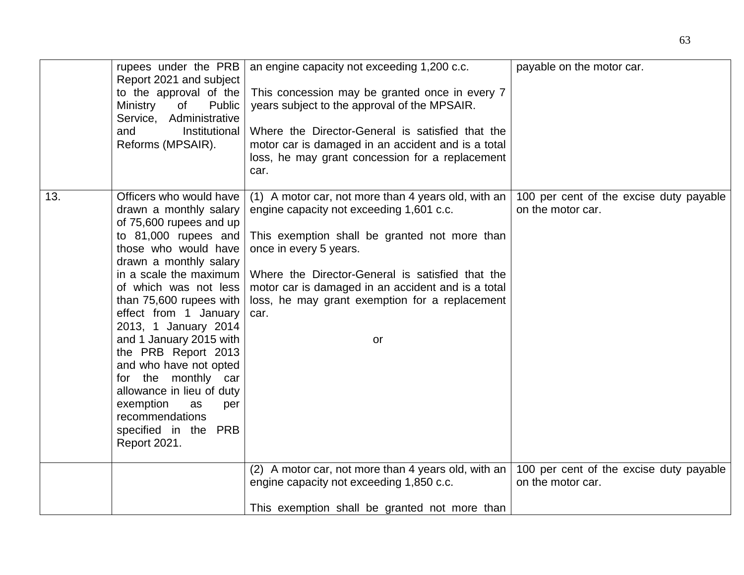|     | rupees under the PRB<br>Report 2021 and subject<br>to the approval of the<br>Ministry<br>of<br>Public<br>Service, Administrative<br>Institutional<br>and<br>Reforms (MPSAIR).                                                                                                                                                                                                                                                                                                                                               | an engine capacity not exceeding 1,200 c.c.<br>This concession may be granted once in every 7<br>years subject to the approval of the MPSAIR.<br>Where the Director-General is satisfied that the<br>motor car is damaged in an accident and is a total<br>loss, he may grant concession for a replacement<br>car.                                   | payable on the motor car.                                    |
|-----|-----------------------------------------------------------------------------------------------------------------------------------------------------------------------------------------------------------------------------------------------------------------------------------------------------------------------------------------------------------------------------------------------------------------------------------------------------------------------------------------------------------------------------|------------------------------------------------------------------------------------------------------------------------------------------------------------------------------------------------------------------------------------------------------------------------------------------------------------------------------------------------------|--------------------------------------------------------------|
| 13. | Officers who would have<br>drawn a monthly salary<br>of 75,600 rupees and up<br>to 81,000 rupees and<br>those who would have<br>drawn a monthly salary<br>in a scale the maximum<br>of which was not less<br>than 75,600 rupees with<br>effect from 1 January<br>2013, 1 January 2014<br>and 1 January 2015 with<br>the PRB Report 2013<br>and who have not opted<br>for the monthly car<br>allowance in lieu of duty<br>exemption<br>as<br>per<br>recommendations<br>specified in the<br><b>PRB</b><br><b>Report 2021.</b> | (1) A motor car, not more than 4 years old, with an<br>engine capacity not exceeding 1,601 c.c.<br>This exemption shall be granted not more than<br>once in every 5 years.<br>Where the Director-General is satisfied that the<br>motor car is damaged in an accident and is a total<br>loss, he may grant exemption for a replacement<br>car.<br>or | 100 per cent of the excise duty payable<br>on the motor car. |
|     |                                                                                                                                                                                                                                                                                                                                                                                                                                                                                                                             | (2) A motor car, not more than 4 years old, with an<br>engine capacity not exceeding 1,850 c.c.<br>This exemption shall be granted not more than                                                                                                                                                                                                     | 100 per cent of the excise duty payable<br>on the motor car. |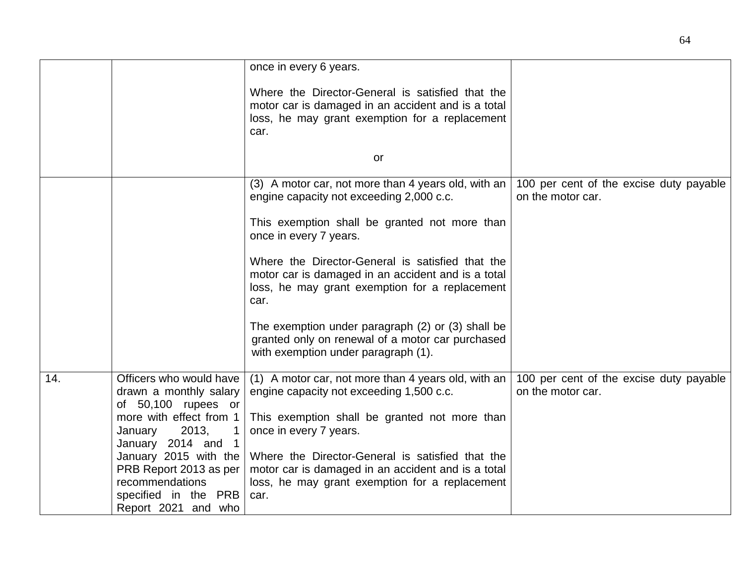|     |                                                                                                                                               | once in every 6 years.                                                                                                                                                     |                                                              |
|-----|-----------------------------------------------------------------------------------------------------------------------------------------------|----------------------------------------------------------------------------------------------------------------------------------------------------------------------------|--------------------------------------------------------------|
|     |                                                                                                                                               | Where the Director-General is satisfied that the<br>motor car is damaged in an accident and is a total<br>loss, he may grant exemption for a replacement<br>car.           |                                                              |
|     |                                                                                                                                               | or                                                                                                                                                                         |                                                              |
|     |                                                                                                                                               | (3) A motor car, not more than 4 years old, with an<br>engine capacity not exceeding 2,000 c.c.                                                                            | 100 per cent of the excise duty payable<br>on the motor car. |
|     |                                                                                                                                               | This exemption shall be granted not more than<br>once in every 7 years.                                                                                                    |                                                              |
|     |                                                                                                                                               | Where the Director-General is satisfied that the<br>motor car is damaged in an accident and is a total<br>loss, he may grant exemption for a replacement<br>car.           |                                                              |
|     |                                                                                                                                               | The exemption under paragraph (2) or (3) shall be<br>granted only on renewal of a motor car purchased<br>with exemption under paragraph (1).                               |                                                              |
| 14. | Officers who would have<br>drawn a monthly salary<br>of 50,100 rupees or<br>more with effect from 1<br>2013,<br>January<br>January 2014 and 1 | (1) A motor car, not more than 4 years old, with an<br>engine capacity not exceeding 1,500 c.c.<br>This exemption shall be granted not more than<br>once in every 7 years. | 100 per cent of the excise duty payable<br>on the motor car. |
|     | January 2015 with the<br>PRB Report 2013 as per<br>recommendations<br>specified in the PRB<br>Report 2021 and who                             | Where the Director-General is satisfied that the<br>motor car is damaged in an accident and is a total<br>loss, he may grant exemption for a replacement<br>car.           |                                                              |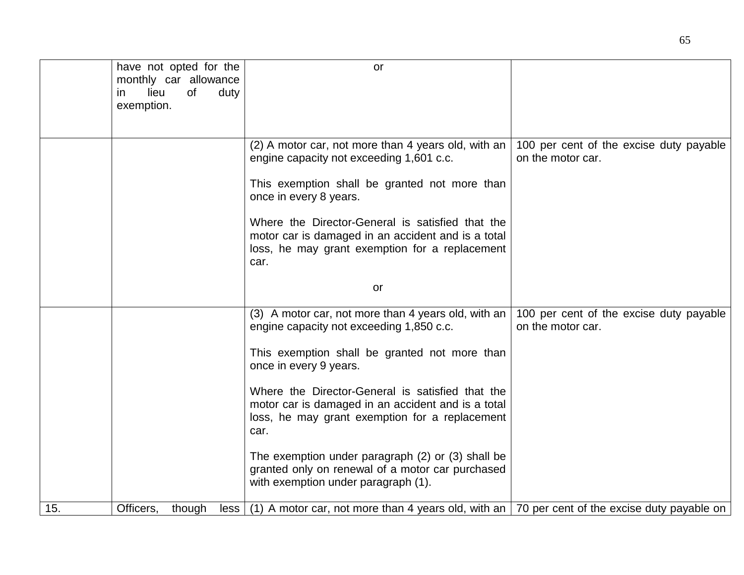|     | have not opted for the |            | or                                                                                                           |                                         |
|-----|------------------------|------------|--------------------------------------------------------------------------------------------------------------|-----------------------------------------|
|     | monthly car allowance  |            |                                                                                                              |                                         |
|     | lieu<br>in.            | of<br>duty |                                                                                                              |                                         |
|     | exemption.             |            |                                                                                                              |                                         |
|     |                        |            |                                                                                                              |                                         |
|     |                        |            |                                                                                                              |                                         |
|     |                        |            | (2) A motor car, not more than 4 years old, with an                                                          | 100 per cent of the excise duty payable |
|     |                        |            | engine capacity not exceeding 1,601 c.c.                                                                     | on the motor car.                       |
|     |                        |            |                                                                                                              |                                         |
|     |                        |            | This exemption shall be granted not more than                                                                |                                         |
|     |                        |            | once in every 8 years.                                                                                       |                                         |
|     |                        |            |                                                                                                              |                                         |
|     |                        |            | Where the Director-General is satisfied that the                                                             |                                         |
|     |                        |            | motor car is damaged in an accident and is a total                                                           |                                         |
|     |                        |            | loss, he may grant exemption for a replacement                                                               |                                         |
|     |                        |            | car.                                                                                                         |                                         |
|     |                        |            |                                                                                                              |                                         |
|     |                        |            | or                                                                                                           |                                         |
|     |                        |            |                                                                                                              |                                         |
|     |                        |            | (3) A motor car, not more than 4 years old, with an                                                          | 100 per cent of the excise duty payable |
|     |                        |            | engine capacity not exceeding 1,850 c.c.                                                                     | on the motor car.                       |
|     |                        |            |                                                                                                              |                                         |
|     |                        |            | This exemption shall be granted not more than                                                                |                                         |
|     |                        |            | once in every 9 years.                                                                                       |                                         |
|     |                        |            |                                                                                                              |                                         |
|     |                        |            | Where the Director-General is satisfied that the                                                             |                                         |
|     |                        |            | motor car is damaged in an accident and is a total                                                           |                                         |
|     |                        |            |                                                                                                              |                                         |
|     |                        |            | loss, he may grant exemption for a replacement                                                               |                                         |
|     |                        |            | car.                                                                                                         |                                         |
|     |                        |            |                                                                                                              |                                         |
|     |                        |            | The exemption under paragraph (2) or (3) shall be                                                            |                                         |
|     |                        |            | granted only on renewal of a motor car purchased                                                             |                                         |
|     |                        |            | with exemption under paragraph (1).                                                                          |                                         |
|     |                        |            |                                                                                                              |                                         |
| 15. | Officers,              | though     | less $(1)$ A motor car, not more than 4 years old, with an $\vert$ 70 per cent of the excise duty payable on |                                         |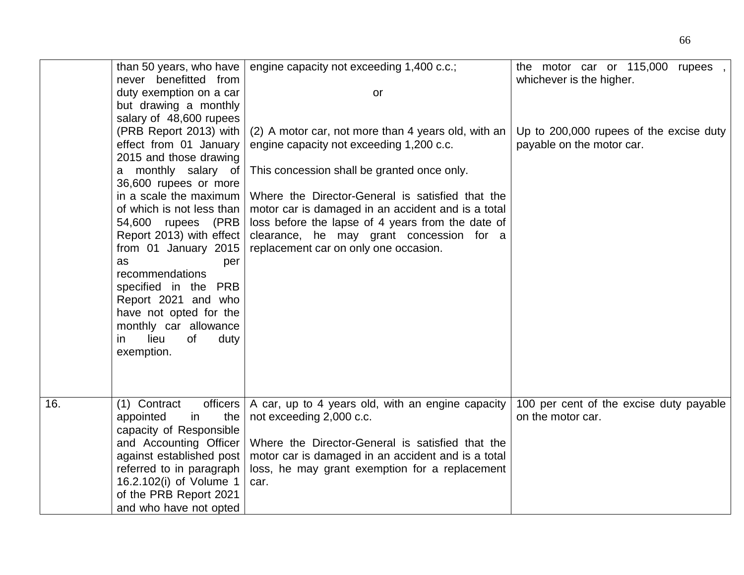|     | than 50 years, who have<br>never benefitted from<br>duty exemption on a car<br>but drawing a monthly<br>salary of 48,600 rupees<br>(PRB Report 2013) with<br>effect from 01 January<br>2015 and those drawing<br>a monthly salary of<br>36,600 rupees or more<br>in a scale the maximum<br>of which is not less than<br>54,600 rupees (PRB<br>Report 2013) with effect<br>from 01 January 2015<br>as<br>per<br>recommendations<br>specified in the PRB<br>Report 2021 and who<br>have not opted for the<br>monthly car allowance<br>lieu<br>of<br>duty<br>ın<br>exemption. | engine capacity not exceeding 1,400 c.c.;<br>or<br>(2) A motor car, not more than 4 years old, with an<br>engine capacity not exceeding 1,200 c.c.<br>This concession shall be granted once only.<br>Where the Director-General is satisfied that the<br>motor car is damaged in an accident and is a total<br>loss before the lapse of 4 years from the date of<br>clearance, he may grant concession for a<br>replacement car on only one occasion. | the motor car or 115,000 rupees,<br>whichever is the higher.<br>Up to 200,000 rupees of the excise duty<br>payable on the motor car. |
|-----|----------------------------------------------------------------------------------------------------------------------------------------------------------------------------------------------------------------------------------------------------------------------------------------------------------------------------------------------------------------------------------------------------------------------------------------------------------------------------------------------------------------------------------------------------------------------------|-------------------------------------------------------------------------------------------------------------------------------------------------------------------------------------------------------------------------------------------------------------------------------------------------------------------------------------------------------------------------------------------------------------------------------------------------------|--------------------------------------------------------------------------------------------------------------------------------------|
| 16. | (1) Contract<br>officers<br>the<br>appointed<br>in<br>capacity of Responsible<br>and Accounting Officer<br>against established post<br>referred to in paragraph                                                                                                                                                                                                                                                                                                                                                                                                            | A car, up to 4 years old, with an engine capacity<br>not exceeding 2,000 c.c.<br>Where the Director-General is satisfied that the<br>motor car is damaged in an accident and is a total<br>loss, he may grant exemption for a replacement                                                                                                                                                                                                             | 100 per cent of the excise duty payable<br>on the motor car.                                                                         |
|     | 16.2.102(i) of Volume 1<br>of the PRB Report 2021<br>and who have not opted                                                                                                                                                                                                                                                                                                                                                                                                                                                                                                | car.                                                                                                                                                                                                                                                                                                                                                                                                                                                  |                                                                                                                                      |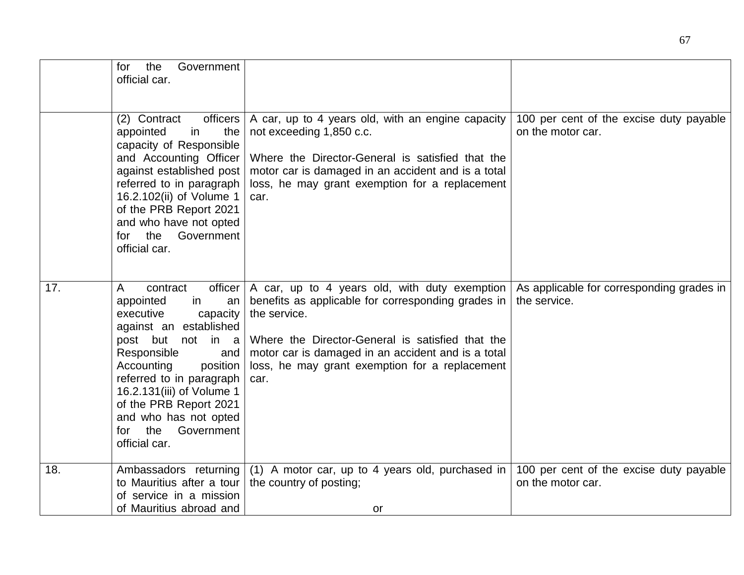|     | Government<br>the<br>for<br>official car.                                                                                                                                                                                                                                                                                          |                                                                                                                                                                                                                                                                                         |                                                              |
|-----|------------------------------------------------------------------------------------------------------------------------------------------------------------------------------------------------------------------------------------------------------------------------------------------------------------------------------------|-----------------------------------------------------------------------------------------------------------------------------------------------------------------------------------------------------------------------------------------------------------------------------------------|--------------------------------------------------------------|
|     | officers<br>(2) Contract<br>the<br>in<br>appointed<br>capacity of Responsible<br>and Accounting Officer<br>against established post<br>referred to in paragraph<br>16.2.102(ii) of Volume 1<br>of the PRB Report 2021<br>and who have not opted<br>Government<br>the<br>for<br>official car.                                       | A car, up to 4 years old, with an engine capacity<br>not exceeding 1,850 c.c.<br>Where the Director-General is satisfied that the<br>motor car is damaged in an accident and is a total<br>loss, he may grant exemption for a replacement<br>car.                                       | 100 per cent of the excise duty payable<br>on the motor car. |
| 17. | officer<br>A<br>contract<br>appointed<br>in<br>an<br>executive<br>capacity<br>against an established<br>post but not in a<br>Responsible<br>and<br>Accounting<br>position<br>referred to in paragraph<br>16.2.131(iii) of Volume 1<br>of the PRB Report 2021<br>and who has not opted<br>Government<br>the<br>for<br>official car. | A car, up to 4 years old, with duty exemption<br>benefits as applicable for corresponding grades in<br>the service.<br>Where the Director-General is satisfied that the<br>motor car is damaged in an accident and is a total<br>loss, he may grant exemption for a replacement<br>car. | As applicable for corresponding grades in<br>the service.    |
| 18. | Ambassadors returning<br>to Mauritius after a tour<br>of service in a mission<br>of Mauritius abroad and                                                                                                                                                                                                                           | (1) A motor car, up to 4 years old, purchased in<br>the country of posting;<br>or                                                                                                                                                                                                       | 100 per cent of the excise duty payable<br>on the motor car. |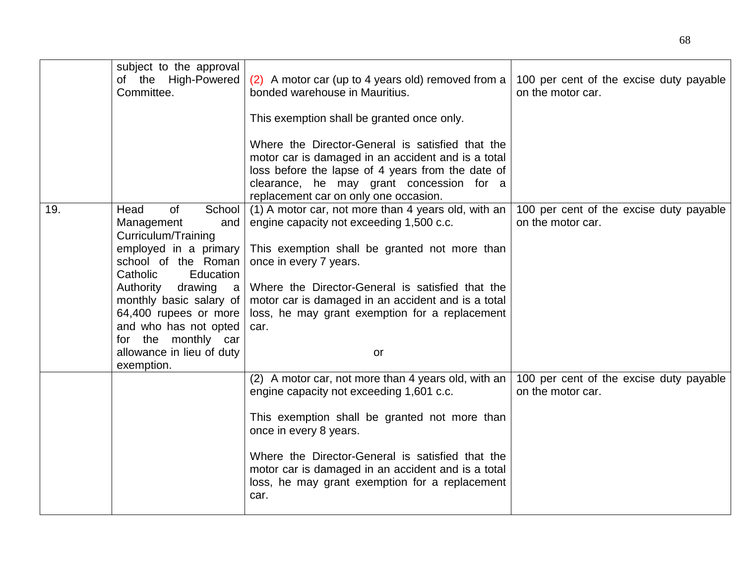|     | subject to the approval     |                                                     |                                         |
|-----|-----------------------------|-----------------------------------------------------|-----------------------------------------|
|     | of the High-Powered         | (2) A motor car (up to 4 years old) removed from a  | 100 per cent of the excise duty payable |
|     | Committee.                  | bonded warehouse in Mauritius.                      | on the motor car.                       |
|     |                             |                                                     |                                         |
|     |                             | This exemption shall be granted once only.          |                                         |
|     |                             |                                                     |                                         |
|     |                             | Where the Director-General is satisfied that the    |                                         |
|     |                             | motor car is damaged in an accident and is a total  |                                         |
|     |                             | loss before the lapse of 4 years from the date of   |                                         |
|     |                             | clearance, he may grant concession for a            |                                         |
|     |                             | replacement car on only one occasion.               |                                         |
| 19. | <b>of</b><br>School<br>Head | (1) A motor car, not more than 4 years old, with an | 100 per cent of the excise duty payable |
|     | Management<br>and           | engine capacity not exceeding 1,500 c.c.            | on the motor car.                       |
|     | Curriculum/Training         |                                                     |                                         |
|     | employed in a primary       | This exemption shall be granted not more than       |                                         |
|     | school of the Roman         | once in every 7 years.                              |                                         |
|     | Catholic<br>Education       |                                                     |                                         |
|     | Authority<br>drawing a      | Where the Director-General is satisfied that the    |                                         |
|     | monthly basic salary of     | motor car is damaged in an accident and is a total  |                                         |
|     | 64,400 rupees or more       | loss, he may grant exemption for a replacement      |                                         |
|     | and who has not opted       | car.                                                |                                         |
|     | for the monthly car         |                                                     |                                         |
|     | allowance in lieu of duty   | or                                                  |                                         |
|     | exemption.                  |                                                     |                                         |
|     |                             | (2) A motor car, not more than 4 years old, with an | 100 per cent of the excise duty payable |
|     |                             | engine capacity not exceeding 1,601 c.c.            | on the motor car.                       |
|     |                             |                                                     |                                         |
|     |                             | This exemption shall be granted not more than       |                                         |
|     |                             | once in every 8 years.                              |                                         |
|     |                             |                                                     |                                         |
|     |                             | Where the Director-General is satisfied that the    |                                         |
|     |                             | motor car is damaged in an accident and is a total  |                                         |
|     |                             | loss, he may grant exemption for a replacement      |                                         |
|     |                             | car.                                                |                                         |
|     |                             |                                                     |                                         |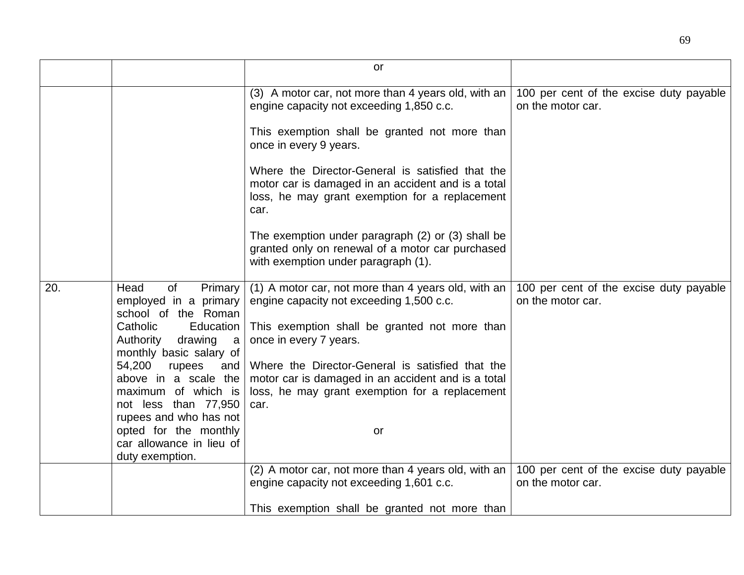|     |                                                                               | or                                                                                                                                                               |                                                              |
|-----|-------------------------------------------------------------------------------|------------------------------------------------------------------------------------------------------------------------------------------------------------------|--------------------------------------------------------------|
|     |                                                                               |                                                                                                                                                                  |                                                              |
|     |                                                                               | (3) A motor car, not more than 4 years old, with an<br>engine capacity not exceeding 1,850 c.c.                                                                  | 100 per cent of the excise duty payable<br>on the motor car. |
|     |                                                                               | This exemption shall be granted not more than<br>once in every 9 years.                                                                                          |                                                              |
|     |                                                                               | Where the Director-General is satisfied that the<br>motor car is damaged in an accident and is a total<br>loss, he may grant exemption for a replacement<br>car. |                                                              |
|     |                                                                               | The exemption under paragraph (2) or (3) shall be<br>granted only on renewal of a motor car purchased<br>with exemption under paragraph (1).                     |                                                              |
| 20. | Head<br>0f<br>Primary<br>employed in a primary<br>school of the Roman         | (1) A motor car, not more than 4 years old, with an<br>engine capacity not exceeding 1,500 c.c.                                                                  | 100 per cent of the excise duty payable<br>on the motor car. |
|     | Catholic<br>Education<br>Authority<br>drawing<br>a<br>monthly basic salary of | This exemption shall be granted not more than<br>once in every 7 years.                                                                                          |                                                              |
|     | 54,200<br>rupees<br>and                                                       | Where the Director-General is satisfied that the                                                                                                                 |                                                              |
|     | above in a scale the                                                          | motor car is damaged in an accident and is a total                                                                                                               |                                                              |
|     | maximum of which is<br>not less than 77,950                                   | loss, he may grant exemption for a replacement<br>car.                                                                                                           |                                                              |
|     | rupees and who has not                                                        |                                                                                                                                                                  |                                                              |
|     | opted for the monthly                                                         | or                                                                                                                                                               |                                                              |
|     | car allowance in lieu of<br>duty exemption.                                   |                                                                                                                                                                  |                                                              |
|     |                                                                               | (2) A motor car, not more than 4 years old, with an                                                                                                              | 100 per cent of the excise duty payable                      |
|     |                                                                               | engine capacity not exceeding 1,601 c.c.                                                                                                                         | on the motor car.                                            |
|     |                                                                               | This exemption shall be granted not more than                                                                                                                    |                                                              |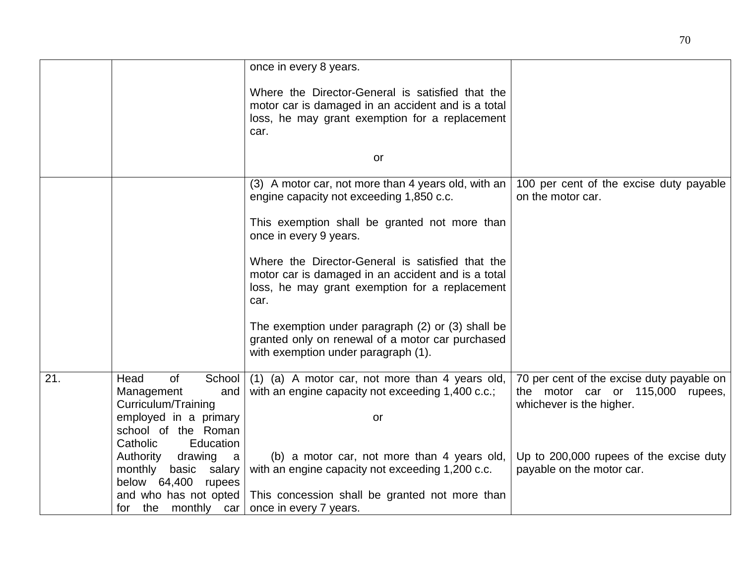|     |                                                                                                                                                  | once in every 8 years.                                                                                                                                           |                                                                                                           |
|-----|--------------------------------------------------------------------------------------------------------------------------------------------------|------------------------------------------------------------------------------------------------------------------------------------------------------------------|-----------------------------------------------------------------------------------------------------------|
|     |                                                                                                                                                  | Where the Director-General is satisfied that the<br>motor car is damaged in an accident and is a total<br>loss, he may grant exemption for a replacement<br>car. |                                                                                                           |
|     |                                                                                                                                                  | or                                                                                                                                                               |                                                                                                           |
|     |                                                                                                                                                  | (3) A motor car, not more than 4 years old, with an<br>engine capacity not exceeding 1,850 c.c.                                                                  | 100 per cent of the excise duty payable<br>on the motor car.                                              |
|     |                                                                                                                                                  | This exemption shall be granted not more than<br>once in every 9 years.                                                                                          |                                                                                                           |
|     |                                                                                                                                                  | Where the Director-General is satisfied that the<br>motor car is damaged in an accident and is a total<br>loss, he may grant exemption for a replacement<br>car. |                                                                                                           |
|     |                                                                                                                                                  | The exemption under paragraph (2) or (3) shall be<br>granted only on renewal of a motor car purchased<br>with exemption under paragraph (1).                     |                                                                                                           |
| 21. | <b>of</b><br>School<br>Head<br>Management<br>and<br>Curriculum/Training<br>employed in a primary<br>school of the Roman<br>Catholic<br>Education | (1) (a) A motor car, not more than 4 years old,<br>with an engine capacity not exceeding 1,400 c.c.;<br>or                                                       | 70 per cent of the excise duty payable on<br>the motor car or 115,000 rupees,<br>whichever is the higher. |
|     | Authority<br>drawing<br>a<br>monthly<br>basic salary<br>below 64,400<br>rupees<br>and who has not opted                                          | (b) a motor car, not more than 4 years old,<br>with an engine capacity not exceeding 1,200 c.c.<br>This concession shall be granted not more than                | Up to 200,000 rupees of the excise duty<br>payable on the motor car.                                      |
|     | the monthly car<br>for                                                                                                                           | once in every 7 years.                                                                                                                                           |                                                                                                           |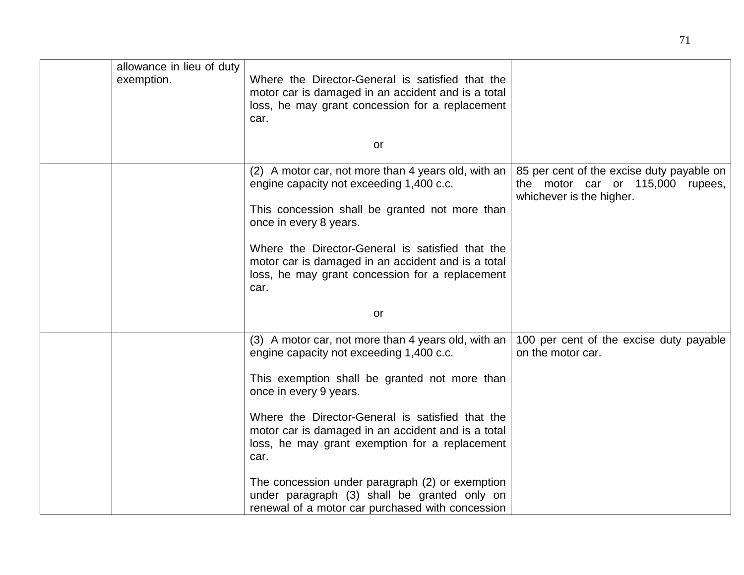| allowance in lieu of duty<br>exemption. | Where the Director-General is satisfied that the<br>motor car is damaged in an accident and is a total<br>loss, he may grant concession for a replacement<br>car. |                                                                                                           |
|-----------------------------------------|-------------------------------------------------------------------------------------------------------------------------------------------------------------------|-----------------------------------------------------------------------------------------------------------|
|                                         | or                                                                                                                                                                |                                                                                                           |
|                                         | (2) A motor car, not more than 4 years old, with an<br>engine capacity not exceeding 1,400 c.c.                                                                   | 85 per cent of the excise duty payable on<br>the motor car or 115,000 rupees,<br>whichever is the higher. |
|                                         | This concession shall be granted not more than<br>once in every 8 years.                                                                                          |                                                                                                           |
|                                         | Where the Director-General is satisfied that the<br>motor car is damaged in an accident and is a total<br>loss, he may grant concession for a replacement<br>car. |                                                                                                           |
|                                         | or                                                                                                                                                                |                                                                                                           |
|                                         | (3) A motor car, not more than 4 years old, with an<br>engine capacity not exceeding 1,400 c.c.                                                                   | 100 per cent of the excise duty payable<br>on the motor car.                                              |
|                                         | This exemption shall be granted not more than<br>once in every 9 years.                                                                                           |                                                                                                           |
|                                         | Where the Director-General is satisfied that the<br>motor car is damaged in an accident and is a total<br>loss, he may grant exemption for a replacement<br>car.  |                                                                                                           |
|                                         | The concession under paragraph (2) or exemption<br>under paragraph (3) shall be granted only on<br>renewal of a motor car purchased with concession               |                                                                                                           |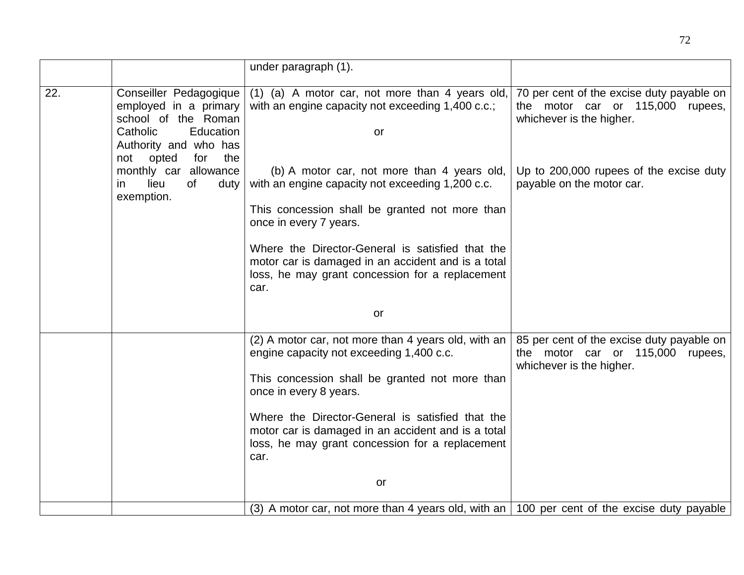|     |                                                                                                                                                        | under paragraph (1).                                                                                                                                                        |                                                                                                           |
|-----|--------------------------------------------------------------------------------------------------------------------------------------------------------|-----------------------------------------------------------------------------------------------------------------------------------------------------------------------------|-----------------------------------------------------------------------------------------------------------|
| 22. | Conseiller Pedagogique<br>employed in a primary<br>school of the Roman<br>Catholic<br>Education<br>Authority and who has<br>the<br>opted<br>for<br>not | $(1)$ (a) A motor car, not more than 4 years old,<br>with an engine capacity not exceeding 1,400 c.c.;<br>or                                                                | 70 per cent of the excise duty payable on<br>the motor car or 115,000 rupees,<br>whichever is the higher. |
|     | monthly car allowance<br>lieu<br>of<br>duty<br>ın<br>exemption.                                                                                        | (b) A motor car, not more than 4 years old,<br>with an engine capacity not exceeding 1,200 c.c.<br>This concession shall be granted not more than<br>once in every 7 years. | Up to 200,000 rupees of the excise duty<br>payable on the motor car.                                      |
|     |                                                                                                                                                        | Where the Director-General is satisfied that the<br>motor car is damaged in an accident and is a total<br>loss, he may grant concession for a replacement<br>car.           |                                                                                                           |
|     |                                                                                                                                                        | or                                                                                                                                                                          |                                                                                                           |
|     |                                                                                                                                                        | (2) A motor car, not more than 4 years old, with an<br>engine capacity not exceeding 1,400 c.c.<br>This concession shall be granted not more than<br>once in every 8 years. | 85 per cent of the excise duty payable on<br>the motor car or 115,000 rupees,<br>whichever is the higher. |
|     |                                                                                                                                                        | Where the Director-General is satisfied that the<br>motor car is damaged in an accident and is a total<br>loss, he may grant concession for a replacement<br>car.           |                                                                                                           |
|     |                                                                                                                                                        | or                                                                                                                                                                          |                                                                                                           |
|     |                                                                                                                                                        | (3) A motor car, not more than 4 years old, with an $\vert$ 100 per cent of the excise duty payable                                                                         |                                                                                                           |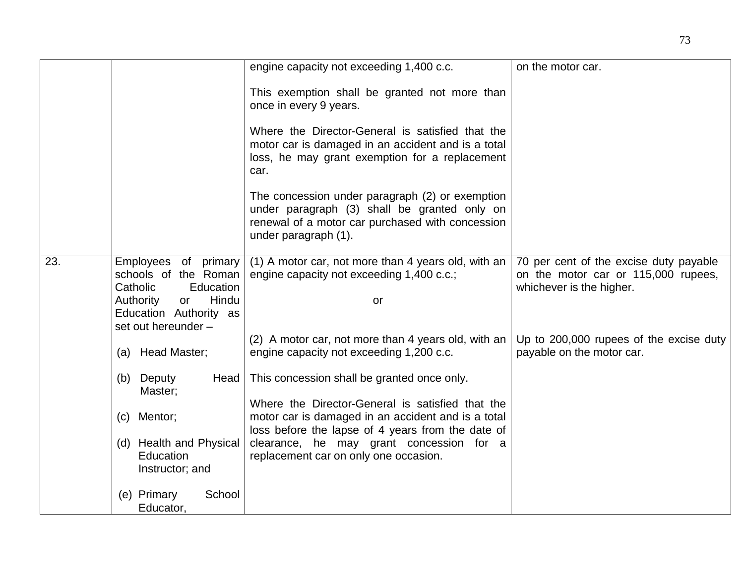|     |                                                                                                                                                    | engine capacity not exceeding 1,400 c.c.                                                                                                                                    | on the motor car.                                                                                         |
|-----|----------------------------------------------------------------------------------------------------------------------------------------------------|-----------------------------------------------------------------------------------------------------------------------------------------------------------------------------|-----------------------------------------------------------------------------------------------------------|
|     |                                                                                                                                                    | This exemption shall be granted not more than<br>once in every 9 years.                                                                                                     |                                                                                                           |
|     |                                                                                                                                                    | Where the Director-General is satisfied that the<br>motor car is damaged in an accident and is a total<br>loss, he may grant exemption for a replacement<br>car.            |                                                                                                           |
|     |                                                                                                                                                    | The concession under paragraph (2) or exemption<br>under paragraph (3) shall be granted only on<br>renewal of a motor car purchased with concession<br>under paragraph (1). |                                                                                                           |
| 23. | Employees of primary<br>schools of the Roman<br>Education<br>Catholic<br>Hindu<br>Authority<br>or<br>Education Authority as<br>set out hereunder - | (1) A motor car, not more than 4 years old, with an<br>engine capacity not exceeding 1,400 c.c.;<br>or                                                                      | 70 per cent of the excise duty payable<br>on the motor car or 115,000 rupees,<br>whichever is the higher. |
|     | (a) Head Master;                                                                                                                                   | (2) A motor car, not more than 4 years old, with an<br>engine capacity not exceeding 1,200 c.c.                                                                             | Up to 200,000 rupees of the excise duty<br>payable on the motor car.                                      |
|     | (b) Deputy<br>Head<br>Master;                                                                                                                      | This concession shall be granted once only.                                                                                                                                 |                                                                                                           |
|     | (c) Mentor;                                                                                                                                        | Where the Director-General is satisfied that the<br>motor car is damaged in an accident and is a total<br>loss before the lapse of 4 years from the date of                 |                                                                                                           |
|     | (d) Health and Physical<br><b>Education</b><br>Instructor; and                                                                                     | clearance, he may grant concession for a<br>replacement car on only one occasion.                                                                                           |                                                                                                           |
|     | School<br>(e) Primary<br>Educator,                                                                                                                 |                                                                                                                                                                             |                                                                                                           |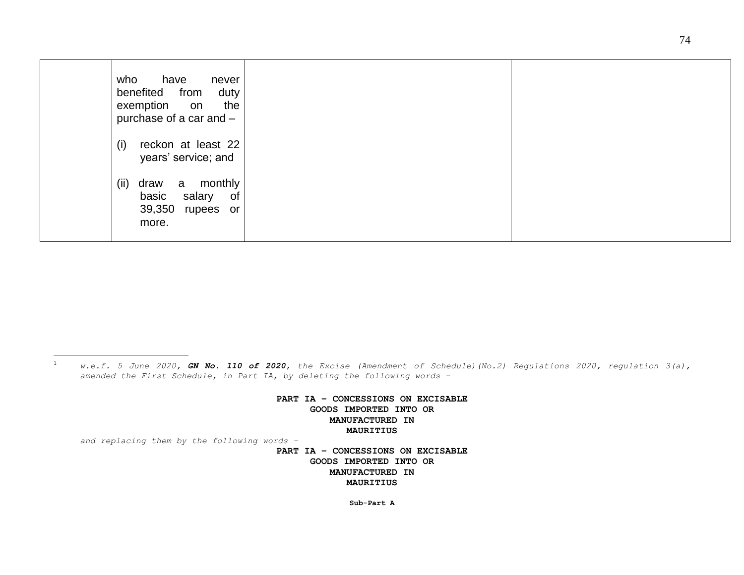| who<br>have<br>never<br>benefited<br>duty<br>from<br>the<br>exemption<br>on<br>purchase of a car and - |  |
|--------------------------------------------------------------------------------------------------------|--|
| (i)<br>reckon at least 22<br>years' service; and                                                       |  |
| monthly<br>(ii)<br>draw<br>a<br>basic<br>of<br>salary<br>39,350<br>rupees<br>or<br>more.               |  |

 $1\,$ <sup>1</sup> *w.e.f. 5 June 2020, GN No. 110 of 2020, the Excise (Amendment of Schedule)(No.2) Regulations 2020, regulation 3(a), amended the First Schedule, in Part IA, by deleting the following words –*

> **PART IA – CONCESSIONS ON EXCISABLE GOODS IMPORTED INTO OR MANUFACTURED IN MAURITIUS**

*and replacing them by the following words –*

**PART IA – CONCESSIONS ON EXCISABLE GOODS IMPORTED INTO OR MANUFACTURED IN MAURITIUS**

**Sub-Part A**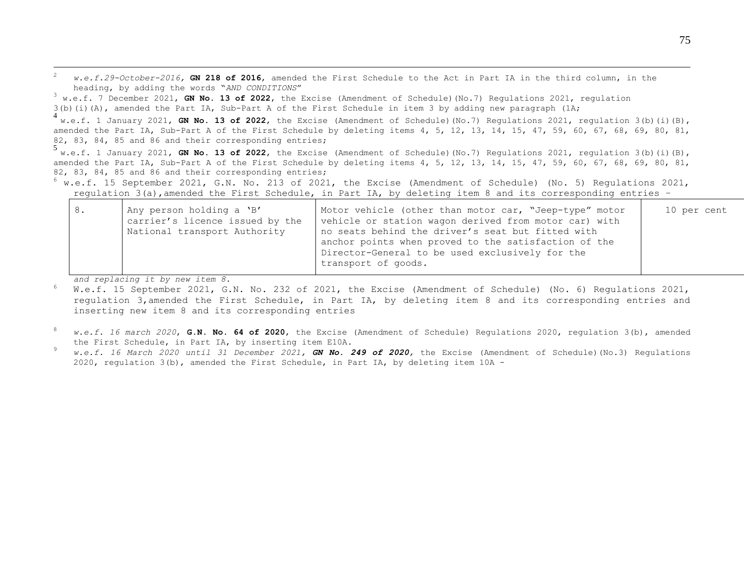<sup>2</sup> *w.e.f.29-October-2016,* **GN 218 of 2016**, amended the First Schedule to the Act in Part IA in the third column, in the heading, by adding the words "*AND CONDITIONS*"

<sup>3</sup> w.e.f. 7 December 2021, **GN No. 13 of 2022**, the Excise (Amendment of Schedule)(No.7) Regulations 2021, regulation 3(b)(i)(A), amended the Part IA, Sub-Part A of the First Schedule in item 3 by adding new paragraph (1A;

4 w.e.f. 1 January 2021, **GN No. 13 of 2022**, the Excise (Amendment of Schedule)(No.7) Regulations 2021, regulation 3(b)(i)(B), amended the Part IA, Sub-Part A of the First Schedule by deleting items 4, 5, 12, 13, 14, 15, 47, 59, 60, 67, 68, 69, 80, 81, 82, 83, 84, 85 and 86 and their corresponding entries;

5 w.e.f. 1 January 2021, **GN No. 13 of 2022**, the Excise (Amendment of Schedule)(No.7) Regulations 2021, regulation 3(b)(i)(B), amended the Part IA, Sub-Part A of the First Schedule by deleting items 4, 5, 12, 13, 14, 15, 47, 59, 60, 67, 68, 69, 80, 81, 82, 83, 84, 85 and 86 and their corresponding entries;

<sup>6</sup> w.e.f. 15 September 2021, G.N. No. 213 of 2021, the Excise (Amendment of Schedule) (No. 5) Regulations 2021, regulation 3(a),amended the First Schedule, in Part IA, by deleting item 8 and its corresponding entries –

| 8. | Any person holding a 'B'<br>carrier's licence issued by the<br>National transport Authority | Motor vehicle (other than motor car, "Jeep-type" motor<br>vehicle or station wagon derived from motor car) with<br>no seats behind the driver's seat but fitted with<br>anchor points when proved to the satisfaction of the<br>Director-General to be used exclusively for the | 10 per cent |
|----|---------------------------------------------------------------------------------------------|---------------------------------------------------------------------------------------------------------------------------------------------------------------------------------------------------------------------------------------------------------------------------------|-------------|
|    |                                                                                             | transport of goods.                                                                                                                                                                                                                                                             |             |

*and replacing it by new item 8.*

1

<sup>6</sup> W.e.f. 15 September 2021, G.N. No. 232 of 2021, the Excise (Amendment of Schedule) (No. 6) Regulations 2021, regulation 3,amended the First Schedule, in Part IA, by deleting item 8 and its corresponding entries and inserting new item 8 and its corresponding entries

- <sup>8</sup> *w.e.f. 16 march 2020*, **G.N. No. 64 of 2020**, the Excise (Amendment of Schedule) Regulations 2020, regulation 3(b), amended the First Schedule, in Part IA, by inserting item E10A.
- <sup>9</sup> *w.e.f. 16 March 2020 until 31 December 2021, GN No. 249 of 2020,* the Excise (Amendment of Schedule)(No.3) Regulations 2020, regulation 3(b), amended the First Schedule, in Part IA, by deleting item 10A -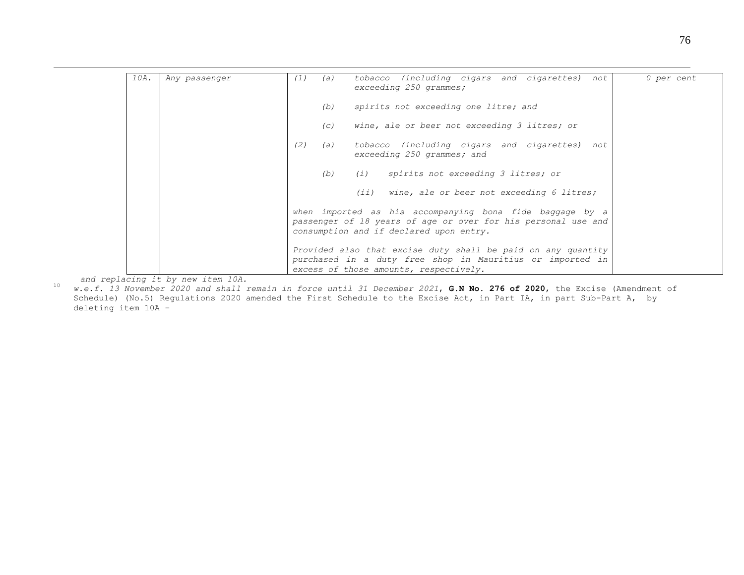| 10A. | Any passenger | tobacco (including cigars and cigarettes) not<br>(1)<br>(a)<br>exceeding 250 grammes;                                                                                | 0 per cent |
|------|---------------|----------------------------------------------------------------------------------------------------------------------------------------------------------------------|------------|
|      |               | spirits not exceeding one litre; and<br>(b)                                                                                                                          |            |
|      |               | wine, ale or beer not exceeding 3 litres; or<br>$\left( c\right)$                                                                                                    |            |
|      |               | tobacco (including cigars and cigarettes) not<br>(2)<br>(a)<br>exceeding 250 grammes; and                                                                            |            |
|      |               | (b) (i) spirits not exceeding 3 litres; or                                                                                                                           |            |
|      |               | $(i)$ wine, ale or beer not exceeding 6 litres;                                                                                                                      |            |
|      |               | when imported as his accompanying bona fide baggage by a<br>passenger of 18 years of age or over for his personal use and<br>consumption and if declared upon entry. |            |
|      |               | Provided also that excise duty shall be paid on any quantity<br>purchased in a duty free shop in Mauritius or imported in<br>excess of those amounts, respectively.  |            |

*and replacing it by new item 10A.*

1

<sup>10</sup> *w.e.f. 13 November 2020 and shall remain in force until 31 December 2021*, **G.N No. 276 of 2020**, the Excise (Amendment of Schedule) (No.5) Regulations 2020 amended the First Schedule to the Excise Act, in Part IA, in part Sub-Part A, by deleting item 10A –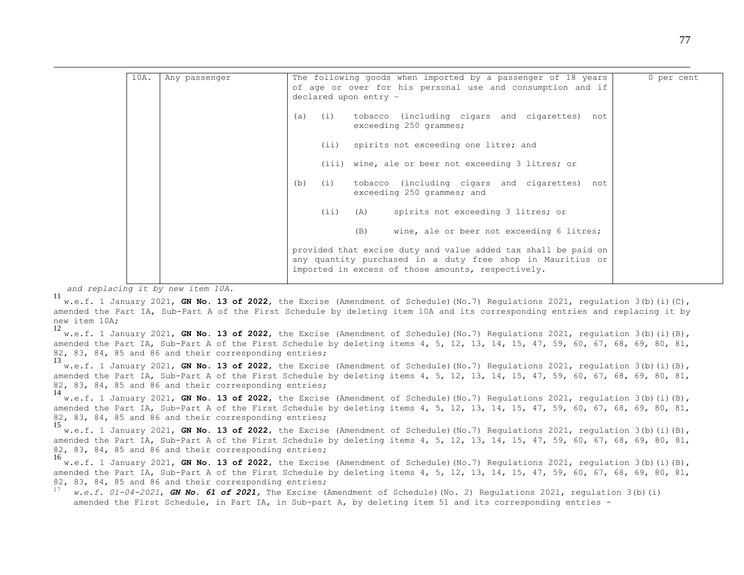| 10A. | Any passenger | The following goods when imported by a passenger of 18 years<br>of age or over for his personal use and consumption and if<br>declared upon entry -                                | 0 per cent |
|------|---------------|------------------------------------------------------------------------------------------------------------------------------------------------------------------------------------|------------|
|      |               | (a) (i) tobacco (including cigars and cigarettes) not<br>exceeding 250 grammes;                                                                                                    |            |
|      |               | (ii) spirits not exceeding one litre; and                                                                                                                                          |            |
|      |               | (iii) wine, ale or beer not exceeding 3 litres; or                                                                                                                                 |            |
|      |               | tobacco (including cigars and cigarettes) not<br>(b)<br>(i)<br>exceeding 250 grammes; and                                                                                          |            |
|      |               | (ii) (A) spirits not exceeding 3 litres; or                                                                                                                                        |            |
|      |               | wine, ale or beer not exceeding 6 litres;<br>(B)                                                                                                                                   |            |
|      |               | provided that excise duty and value added tax shall be paid on<br>any quantity purchased in a duty free shop in Mauritius or<br>imported in excess of those amounts, respectively. |            |

*and replacing it by new item 10A.*

1

<sup>11</sup> w.e.f. 1 January 2021, **GN No. 13 of 2022**, the Excise (Amendment of Schedule)(No.7) Regulations 2021, regulation 3(b)(i)(C), amended the Part IA, Sub-Part A of the First Schedule by deleting item 10A and its corresponding entries and replacing it by new item 10A;

<sup>12</sup> w.e.f. 1 January 2021, **GN No. 13 of 2022**, the Excise (Amendment of Schedule)(No.7) Regulations 2021, regulation 3(b)(i)(B), amended the Part IA, Sub-Part A of the First Schedule by deleting items 4, 5, 12, 13, 14, 15, 47, 59, 60, 67, 68, 69, 80, 81, 82, 83, 84, 85 and 86 and their corresponding entries;

<sup>13</sup> w.e.f. 1 January 2021, **GN No. 13 of 2022**, the Excise (Amendment of Schedule)(No.7) Regulations 2021, regulation 3(b)(i)(B), amended the Part IA, Sub-Part A of the First Schedule by deleting items 4, 5, 12, 13, 14, 15, 47, 59, 60, 67, 68, 69, 80, 81, 82, 83, 84, 85 and 86 and their corresponding entries;

14 w.e.f. 1 January 2021, **GN No. 13 of 2022**, the Excise (Amendment of Schedule)(No.7) Regulations 2021, regulation 3(b)(i)(B), amended the Part IA, Sub-Part A of the First Schedule by deleting items 4, 5, 12, 13, 14, 15, 47, 59, 60, 67, 68, 69, 80, 81, 82, 83, 84, 85 and 86 and their corresponding entries;

<sup>15</sup> w.e.f. 1 January 2021, **GN No. 13 of 2022**, the Excise (Amendment of Schedule)(No.7) Regulations 2021, regulation 3(b)(i)(B), amended the Part IA, Sub-Part A of the First Schedule by deleting items 4, 5, 12, 13, 14, 15, 47, 59, 60, 67, 68, 69, 80, 81, 82, 83, 84, 85 and 86 and their corresponding entries;

<sup>16</sup> w.e.f. 1 January 2021, **GN No. 13 of 2022**, the Excise (Amendment of Schedule)(No.7) Regulations 2021, regulation 3(b)(i)(B), amended the Part IA, Sub-Part A of the First Schedule by deleting items 4, 5, 12, 13, 14, 15, 47, 59, 60, 67, 68, 69, 80, 81, 82, 83, 84, 85 and 86 and their corresponding entries;

w.e.f. 01-04-2021, **GN No. 61 of 2021**, The Excise (Amendment of Schedule)(No. 2) Regulations 2021, regulation 3(b)(i) amended the First Schedule, in Part IA, in Sub-part A, by deleting item 51 and its corresponding entries -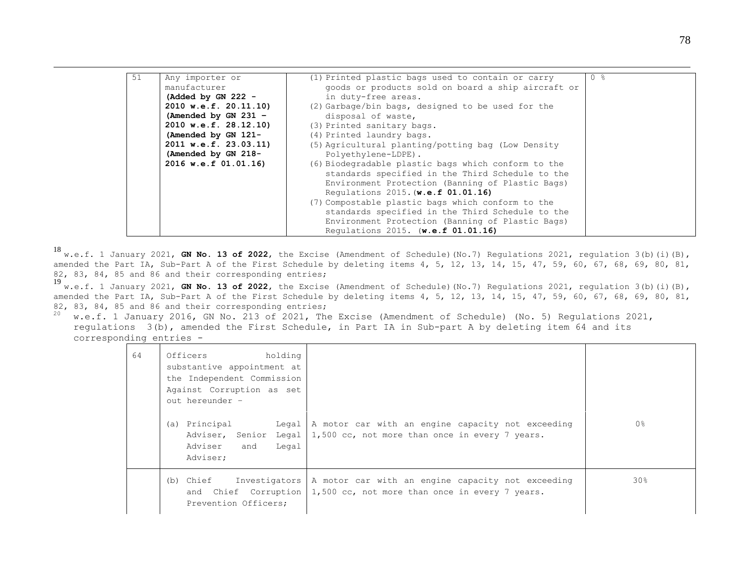| 51 | Any importer or        | (1) Printed plastic bags used to contain or carry   | $0 \text{ }$ $\text{ }$ $\text{ }$ |
|----|------------------------|-----------------------------------------------------|------------------------------------|
|    | manufacturer           | goods or products sold on board a ship aircraft or  |                                    |
|    | (Added by GN 222 $-$   | in duty-free areas.                                 |                                    |
|    | 2010 w.e.f. 20.11.10)  | (2) Garbage/bin bags, designed to be used for the   |                                    |
|    | (Amended by GN 231 $-$ | disposal of waste,                                  |                                    |
|    | 2010 w.e.f. 28.12.10)  | (3) Printed sanitary bags.                          |                                    |
|    | (Amended by GN 121-    | (4) Printed laundry bags.                           |                                    |
|    | 2011 w.e.f. 23.03.11)  | (5) Agricultural planting/potting bag (Low Density  |                                    |
|    | (Amended by GN 218-    | Polyethylene-LDPE).                                 |                                    |
|    | 2016 w.e.f 01.01.16)   | (6) Biodegradable plastic bags which conform to the |                                    |
|    |                        | standards specified in the Third Schedule to the    |                                    |
|    |                        | Environment Protection (Banning of Plastic Bags)    |                                    |
|    |                        | Requlations 2015. (w.e.f 01.01.16)                  |                                    |
|    |                        | (7) Compostable plastic bags which conform to the   |                                    |
|    |                        | standards specified in the Third Schedule to the    |                                    |
|    |                        | Environment Protection (Banning of Plastic Bags)    |                                    |
|    |                        | Requlations 2015. (w.e.f 01.01.16)                  |                                    |

1

<sup>18</sup> w.e.f. 1 January 2021, **GN No. 13 of 2022**, the Excise (Amendment of Schedule)(No.7) Regulations 2021, regulation 3(b)(i)(B), amended the Part IA, Sub-Part A of the First Schedule by deleting items 4, 5, 12, 13, 14, 15, 47, 59, 60, 67, 68, 69, 80, 81, 82, 83, 84, 85 and 86 and their corresponding entries;

<sup>19</sup> w.e.f. 1 January 2021, **GN No. 13 of 2022**, the Excise (Amendment of Schedule)(No.7) Regulations 2021, regulation 3(b)(i)(B), amended the Part IA, Sub-Part A of the First Schedule by deleting items 4, 5, 12, 13, 14, 15, 47, 59, 60, 67, 68, 69, 80, 81, 82, 83, 84, 85 and 86 and their corresponding entries;

 $20$  w.e.f. 1 January 2016, GN No. 213 of 2021, The Excise (Amendment of Schedule) (No. 5) Regulations 2021, regulations 3(b), amended the First Schedule, in Part IA in Sub-part A by deleting item 64 and its corresponding entries -

| 64 | Officers<br>holding<br>substantive appointment at<br>the Independent Commission<br>Against Corruption as set<br>out hereunder -<br>Principal<br>Legal  <br>(a)<br>Adviser, Senior<br>Legal  <br>Legal<br>Adviser<br>and<br>Adviser: | A motor car with an engine capacity not exceeding<br>1,500 cc, not more than once in every 7 years.                        | 0 <sup>°</sup>  |
|----|-------------------------------------------------------------------------------------------------------------------------------------------------------------------------------------------------------------------------------------|----------------------------------------------------------------------------------------------------------------------------|-----------------|
|    | (b) Chief<br>Investigators  <br>Prevention Officers;                                                                                                                                                                                | A motor car with an engine capacity not exceeding<br>and Chief Corruption $1,500$ cc, not more than once in every 7 years. | 30 <sub>8</sub> |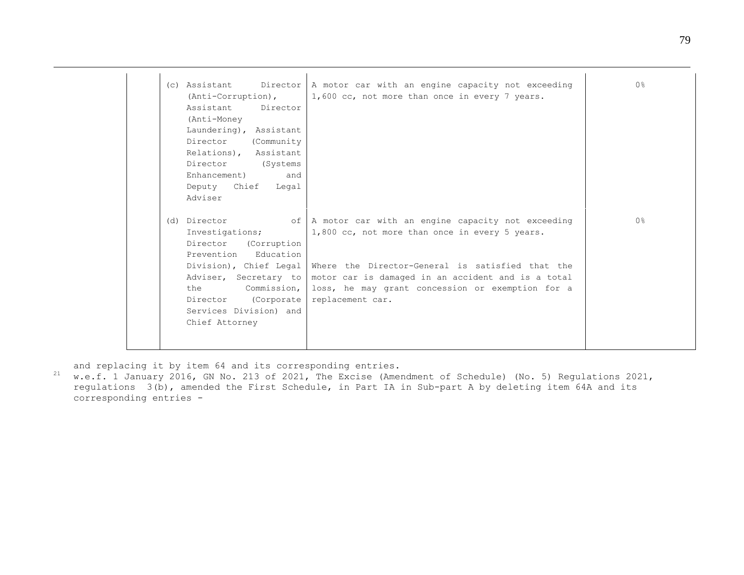| (c) Assistant            | Director $A$ motor car with an engine capacity not exceeding               | 0 <sup>8</sup> |
|--------------------------|----------------------------------------------------------------------------|----------------|
| (Anti-Corruption),       | 1,600 cc, not more than once in every 7 years.                             |                |
| Assistant<br>Director    |                                                                            |                |
| (Anti-Money              |                                                                            |                |
| Laundering), Assistant   |                                                                            |                |
| Director<br>(Community   |                                                                            |                |
| Relations),<br>Assistant |                                                                            |                |
| Director<br>(Systems)    |                                                                            |                |
| Enhancement)<br>and      |                                                                            |                |
| Deputy Chief Legal       |                                                                            |                |
| Adviser                  |                                                                            |                |
|                          |                                                                            |                |
| (d) Director             | of   A motor car with an engine capacity not exceeding                     | 0%             |
| Investigations;          | 1,800 cc, not more than once in every 5 years.                             |                |
| Director (Corruption     |                                                                            |                |
| Prevention Education     |                                                                            |                |
|                          | Division), Chief Legal   Where the Director-General is satisfied that the  |                |
|                          | Adviser, Secretary to   motor car is damaged in an accident and is a total |                |
| Commission,  <br>the     | loss, he may grant concession or exemption for a                           |                |
| (Corporate<br>Director   | replacement car.                                                           |                |
| Services Division) and   |                                                                            |                |
| Chief Attorney           |                                                                            |                |
|                          |                                                                            |                |
|                          |                                                                            |                |

and replacing it by item 64 and its corresponding entries.

1

<sup>21</sup> w.e.f. 1 January 2016, GN No. 213 of 2021, The Excise (Amendment of Schedule) (No. 5) Regulations 2021, regulations 3(b), amended the First Schedule, in Part IA in Sub-part A by deleting item 64A and its corresponding entries -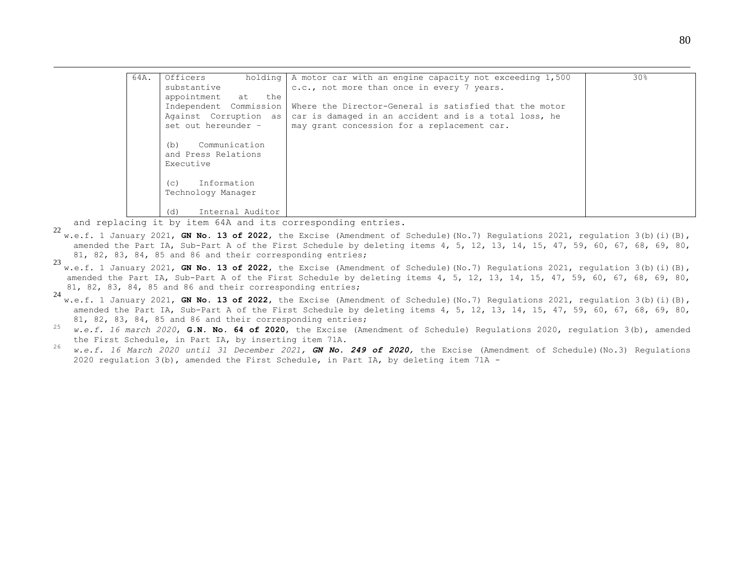| 64A. | Officers<br>holding     | A motor car with an engine capacity not exceeding 1,500 | 30 <sub>8</sub> |
|------|-------------------------|---------------------------------------------------------|-----------------|
|      | substantive             | c.c., not more than once in every 7 years.              |                 |
|      | appointment at the      |                                                         |                 |
|      | Independent Commission  | Where the Director-General is satisfied that the motor  |                 |
|      | Against Corruption as   | car is damaged in an accident and is a total loss, he   |                 |
|      | set out hereunder -     | may grant concession for a replacement car.             |                 |
|      |                         |                                                         |                 |
|      | Communication<br>(b)    |                                                         |                 |
|      | and Press Relations     |                                                         |                 |
|      | Executive               |                                                         |                 |
|      |                         |                                                         |                 |
|      | Information<br>(C)      |                                                         |                 |
|      | Technology Manager      |                                                         |                 |
|      | Internal Auditor<br>(d) |                                                         |                 |

and replacing it by item 64A and its corresponding entries.

1

- <sup>22</sup> w.e.f. 1 January 2021, **GN No. 13 of 2022**, the Excise (Amendment of Schedule)(No.7) Regulations 2021, regulation 3(b)(i)(B), amended the Part IA, Sub-Part A of the First Schedule by deleting items 4, 5, 12, 13, 14, 15, 47, 59, 60, 67, 68, 69, 80, 81, 82, 83, 84, 85 and 86 and their corresponding entries;
- <sup>23</sup> w.e.f. 1 January 2021, **GN No. 13 of 2022**, the Excise (Amendment of Schedule)(No.7) Regulations 2021, regulation 3(b)(i)(B), amended the Part IA, Sub-Part A of the First Schedule by deleting items 4, 5, 12, 13, 14, 15, 47, 59, 60, 67, 68, 69, 80, 81, 82, 83, 84, 85 and 86 and their corresponding entries;
- <sup>24</sup> w.e.f. 1 January 2021, **GN No. 13 of 2022**, the Excise (Amendment of Schedule)(No.7) Regulations 2021, regulation 3(b)(i)(B), amended the Part IA, Sub-Part A of the First Schedule by deleting items 4, 5, 12, 13, 14, 15, 47, 59, 60, 67, 68, 69, 80, 81, 82, 83, 84, 85 and 86 and their corresponding entries;
- <sup>25</sup> *w.e.f. 16 march 2020*, **G.N. No. 64 of 2020**, the Excise (Amendment of Schedule) Regulations 2020, regulation 3(b), amended the First Schedule, in Part IA, by inserting item 71A.
- <sup>26</sup> *w.e.f. 16 March 2020 until 31 December 2021, GN No. 249 of 2020,* the Excise (Amendment of Schedule)(No.3) Regulations 2020 regulation 3(b), amended the First Schedule, in Part IA, by deleting item 71A *-*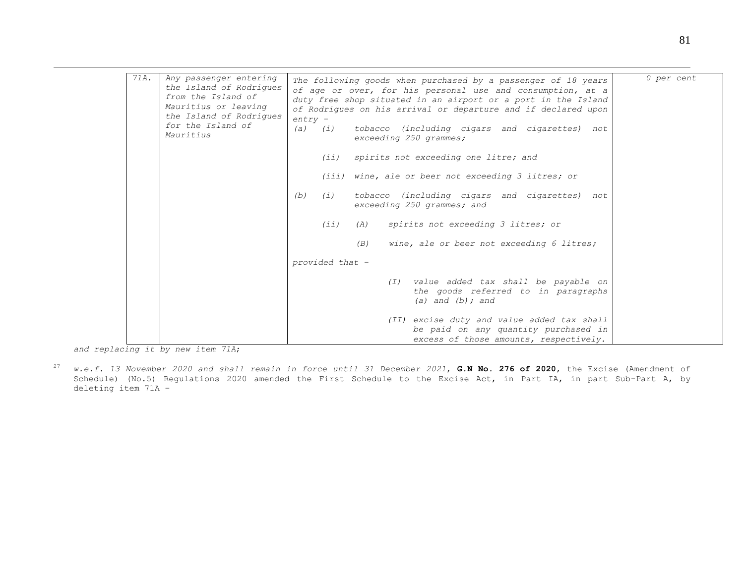| 71A. | Any passenger entering<br>the Island of Rodrigues                                                       | The following goods when purchased by a passenger of 18 years                                                                                                                                | 0 per cent |
|------|---------------------------------------------------------------------------------------------------------|----------------------------------------------------------------------------------------------------------------------------------------------------------------------------------------------|------------|
|      | from the Island of<br>Mauritius or leaving<br>the Island of Rodriques<br>for the Island of<br>Mauritius | of age or over, for his personal use and consumption, at a<br>duty free shop situated in an airport or a port in the Island<br>of Rodrigues on his arrival or departure and if declared upon |            |
|      |                                                                                                         | $entry -$<br>tobacco (including cigars and cigarettes) not<br>$(a)$ $(i)$<br>exceeding 250 grammes;                                                                                          |            |
|      |                                                                                                         | (iii)<br>spirits not exceeding one litre; and                                                                                                                                                |            |
|      |                                                                                                         | (iii) wine, ale or beer not exceeding 3 litres; or                                                                                                                                           |            |
|      |                                                                                                         | tobacco (including cigars and cigarettes) not<br>(b)<br>(i)<br>exceeding 250 grammes; and                                                                                                    |            |
|      |                                                                                                         | (iii)<br>spirits not exceeding 3 litres; or<br>(A)                                                                                                                                           |            |
|      |                                                                                                         | wine, ale or beer not exceeding 6 litres;<br>(B)                                                                                                                                             |            |
|      |                                                                                                         | provided that -                                                                                                                                                                              |            |
|      |                                                                                                         | (I) value added tax shall be payable on<br>the goods referred to in paragraphs<br>(a) and $(b)$ ; and                                                                                        |            |
|      |                                                                                                         | (II) excise duty and value added tax shall<br>be paid on any quantity purchased in<br>excess of those amounts, respectively.                                                                 |            |

*and replacing it by new item 71A*;

1

<sup>27</sup> *w.e.f. 13 November 2020 and shall remain in force until 31 December 2021*, **G.N No. 276 of 2020**, the Excise (Amendment of Schedule) (No.5) Regulations 2020 amended the First Schedule to the Excise Act, in Part IA, in part Sub-Part A, by deleting item 71A –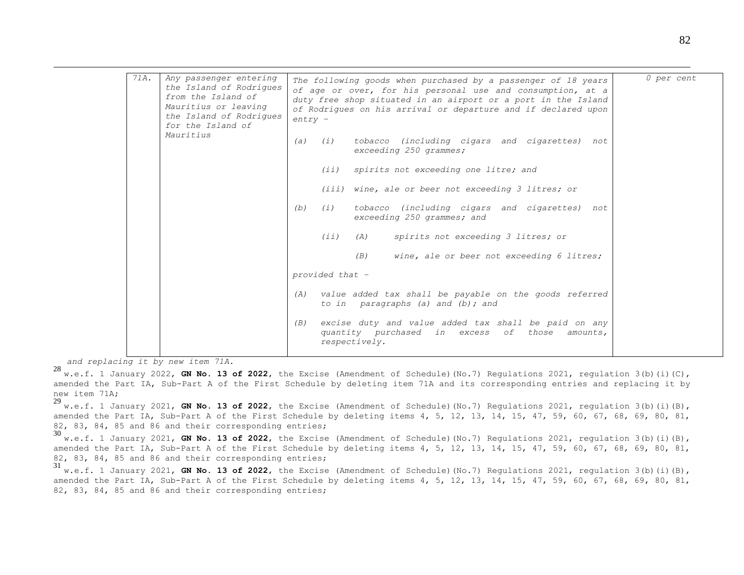| 71A. | Any passenger entering<br>the Island of Rodriques                                          |           |                 | The following goods when purchased by a passenger of 18 years                                                                                                                                | 0 per cent |
|------|--------------------------------------------------------------------------------------------|-----------|-----------------|----------------------------------------------------------------------------------------------------------------------------------------------------------------------------------------------|------------|
|      | from the Island of<br>Mauritius or leaving<br>the Island of Rodriques<br>for the Island of | $entry -$ |                 | of age or over, for his personal use and consumption, at a<br>duty free shop situated in an airport or a port in the Island<br>of Rodriques on his arrival or departure and if declared upon |            |
|      | Mauritius                                                                                  |           | $(a)$ $(i)$     | tobacco (including cigars and cigarettes) not<br>exceeding 250 grammes;                                                                                                                      |            |
|      |                                                                                            |           | (iii)           | spirits not exceeding one litre; and                                                                                                                                                         |            |
|      |                                                                                            |           |                 | (iii) wine, ale or beer not exceeding 3 litres; or                                                                                                                                           |            |
|      |                                                                                            | (b)       | (i)             | tobacco (including cigars and cigarettes) not<br>exceeding 250 grammes; and                                                                                                                  |            |
|      |                                                                                            |           | (iii)           | spirits not exceeding 3 litres; or<br>(A)                                                                                                                                                    |            |
|      |                                                                                            |           |                 | wine, ale or beer not exceeding 6 litres;<br>(B)                                                                                                                                             |            |
|      |                                                                                            |           | provided that - |                                                                                                                                                                                              |            |
|      |                                                                                            | (A)       |                 | value added tax shall be payable on the goods referred<br>to in paragraphs (a) and (b); and                                                                                                  |            |
|      |                                                                                            | (B)       |                 | excise duty and value added tax shall be paid on any<br>quantity purchased in excess of those<br>amounts,<br>respectively.                                                                   |            |

*and replacing it by new item 71A.*

1

<sup>28</sup> w.e.f. 1 January 2022, **GN No. 13 of 2022**, the Excise (Amendment of Schedule)(No.7) Regulations 2021, regulation 3(b)(i)(C), amended the Part IA, Sub-Part A of the First Schedule by deleting item 71A and its corresponding entries and replacing it by new item 71A;<br>29

<sup>29</sup> w.e.f. 1 January 2021, **GN No. 13 of 2022**, the Excise (Amendment of Schedule)(No.7) Regulations 2021, regulation 3(b)(i)(B), amended the Part IA, Sub-Part A of the First Schedule by deleting items 4, 5, 12, 13, 14, 15, 47, 59, 60, 67, 68, 69, 80, 81, 82, 83, 84, 85 and 86 and their corresponding entries;

<sup>30</sup> w.e.f. 1 January 2021, **GN No. 13 of <sup>2022</sup>**, the Excise (Amendment of Schedule)(No.7) Regulations 2021, regulation 3(b)(i)(B), amended the Part IA, Sub-Part A of the First Schedule by deleting items 4, 5, 12, 13, 14, 15, 47, 59, 60, 67, 68, 69, 80, 81, 82, 83, 84, 85 and 86 and their corresponding entries;

<sup>31</sup> w.e.f. 1 January 2021, **GN No. 13 of 2022**, the Excise (Amendment of Schedule)(No.7) Regulations 2021, regulation 3(b)(i)(B), amended the Part IA, Sub-Part A of the First Schedule by deleting items 4, 5, 12, 13, 14, 15, 47, 59, 60, 67, 68, 69, 80, 81, 82, 83, 84, 85 and 86 and their corresponding entries;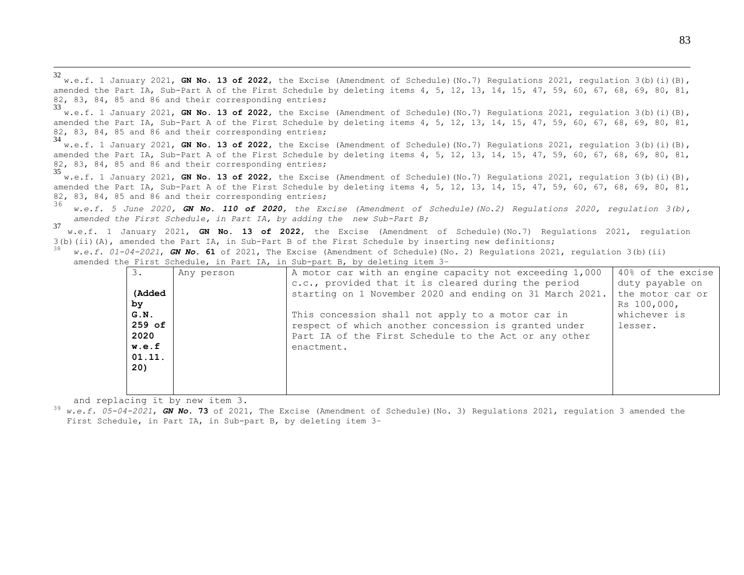<sup>32</sup> w.e.f. 1 January 2021, **GN No. 13 of 2022**, the Excise (Amendment of Schedule)(No.7) Regulations 2021, regulation 3(b)(i)(B), amended the Part IA, Sub-Part A of the First Schedule by deleting items 4, 5, 12, 13, 14, 15, 47, 59, 60, 67, 68, 69, 80, 81, 82, 83, 84, 85 and 86 and their corresponding entries;

<sup>33</sup> w.e.f. 1 January 2021, **GN No. 13 of 2022**, the Excise (Amendment of Schedule)(No.7) Regulations 2021, regulation 3(b)(i)(B), amended the Part IA, Sub-Part A of the First Schedule by deleting items 4, 5, 12, 13, 14, 15, 47, 59, 60, 67, 68, 69, 80, 81, 82, 83, 84, 85 and 86 and their corresponding entries;

<sup>34</sup> w.e.f. 1 January 2021, **GN No. 13 of 2022**, the Excise (Amendment of Schedule)(No.7) Regulations 2021, regulation 3(b)(i)(B), amended the Part IA, Sub-Part A of the First Schedule by deleting items 4, 5, 12, 13, 14, 15, 47, 59, 60, 67, 68, 69, 80, 81, 82, 83, 84, 85 and 86 and their corresponding entries;

<sup>35</sup> w.e.f. 1 January 2021, **GN No. 13 of 2022**, the Excise (Amendment of Schedule)(No.7) Regulations 2021, regulation 3(b)(i)(B), amended the Part IA, Sub-Part A of the First Schedule by deleting items 4, 5, 12, 13, 14, 15, 47, 59, 60, 67, 68, 69, 80, 81, 82, 83, 84, 85 and 86 and their corresponding entries;

<sup>36</sup> *w.e.f. 5 June 2020, GN No. 110 of 2020, the Excise (Amendment of Schedule)(No.2) Regulations 2020, regulation 3(b), amended the First Schedule, in Part IA, by adding the new Sub-Part B;*

<sup>37</sup> w.e.f. 1 January 2021, **GN No. 13 of 2022**, the Excise (Amendment of Schedule)(No.7) Regulations 2021, regulation  $3(b)$ (ii)(A), amended the Part IA, in Sub-Part B of the First Schedule by inserting new definitions;

|                                                                            |  | $^{36}$ w.e.f. 01-04-2021, GN No. 61 of 2021, The Excise (Amendment of Schedule)(No. 2) Requlations 2021, requlation 3(b)(ii) |
|----------------------------------------------------------------------------|--|-------------------------------------------------------------------------------------------------------------------------------|
| amended the First Schedule, in Part IA, in Sub-part B, by deleting item 3- |  |                                                                                                                               |

| 3.     | Any person | A motor car with an engine capacity not exceeding 1,000  | 40% of the excise |
|--------|------------|----------------------------------------------------------|-------------------|
|        |            | c.c., provided that it is cleared during the period      | duty payable on   |
| (Added |            | starting on 1 November 2020 and ending on 31 March 2021. | the motor car or  |
| by     |            |                                                          | Rs 100,000,       |
| G.N.   |            | This concession shall not apply to a motor car in        | whichever is      |
| 259 of |            | respect of which another concession is granted under     | lesser.           |
| 2020   |            | Part IA of the First Schedule to the Act or any other    |                   |
| w.e.f  |            | enactment.                                               |                   |
| 01.11. |            |                                                          |                   |
| 20)    |            |                                                          |                   |
|        |            |                                                          |                   |
|        |            |                                                          |                   |

and replacing it by new item 3.

1

<sup>39</sup> *w.e.f. 05-04-2021*, *GN No*. **73** of 2021, The Excise (Amendment of Schedule)(No. 3) Regulations 2021, regulation 3 amended the First Schedule, in Part IA, in Sub-part B, by deleting item 3–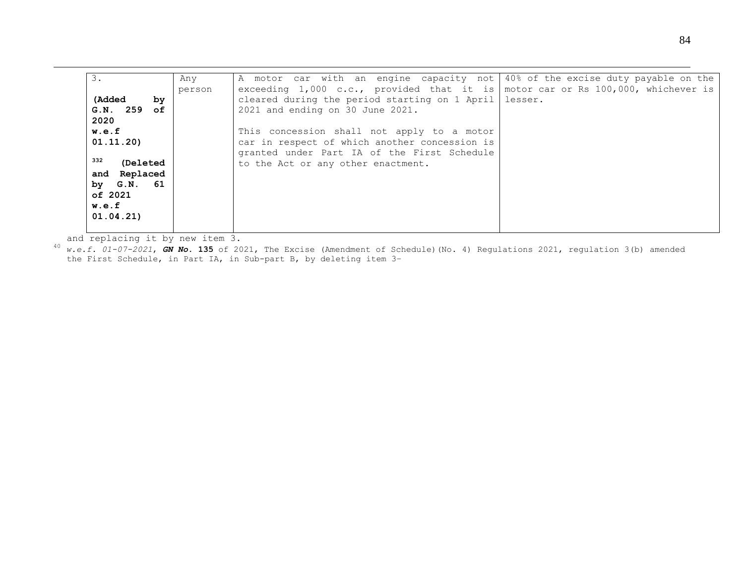| 3.               | Any    | A motor car with an engine capacity not   40% of the excise duty payable on the |  |
|------------------|--------|---------------------------------------------------------------------------------|--|
|                  | person | exceeding 1,000 c.c., provided that it is motor car or Rs 100,000, whichever is |  |
| (Added)<br>by    |        | cleared during the period starting on 1 April   lesser.                         |  |
| $G.N.$ 259 of    |        | 2021 and ending on 30 June 2021.                                                |  |
| 2020             |        |                                                                                 |  |
| w.e.f            |        | This concession shall not apply to a motor                                      |  |
| 01.11.20         |        | car in respect of which another concession is                                   |  |
| 332              |        | granted under Part IA of the First Schedule                                     |  |
| <b>(Deleted)</b> |        | to the Act or any other enactment.                                              |  |
| and Replaced     |        |                                                                                 |  |
| by G.N. 61       |        |                                                                                 |  |
| of 2021          |        |                                                                                 |  |
| w.e.f            |        |                                                                                 |  |
| 01.04.21         |        |                                                                                 |  |
|                  |        |                                                                                 |  |

and replacing it by new item 3.

1

<sup>40</sup> *w.e.f. 01-07-2021*, *GN No*. **135** of 2021, The Excise (Amendment of Schedule)(No. 4) Regulations 2021, regulation 3(b) amended the First Schedule, in Part IA, in Sub-part B, by deleting item 3–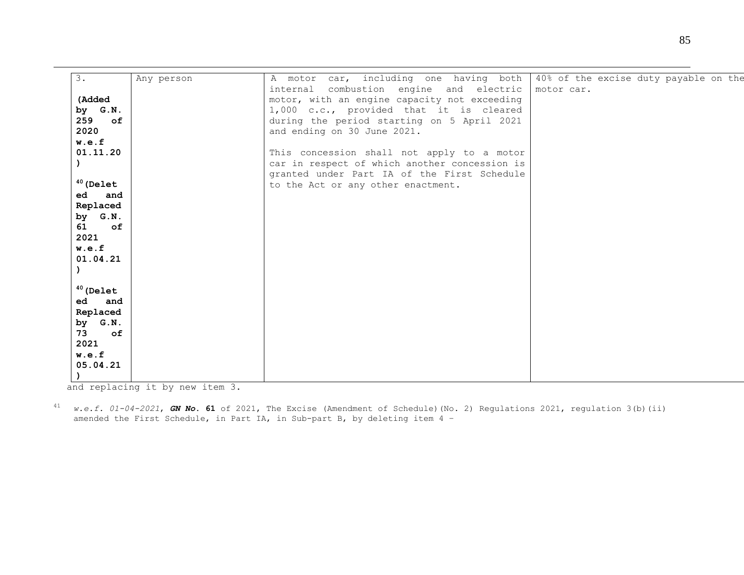| 3.               | Any person | A motor car, including one having both        | 40% of the excise duty payable on the |  |  |  |
|------------------|------------|-----------------------------------------------|---------------------------------------|--|--|--|
|                  |            | internal combustion engine and electric       | motor car.                            |  |  |  |
| (Added           |            | motor, with an engine capacity not exceeding  |                                       |  |  |  |
| by G.N.          |            | 1,000 c.c., provided that it is cleared       |                                       |  |  |  |
| 259<br>$\circ$ f |            | during the period starting on 5 April 2021    |                                       |  |  |  |
| 2020             |            | and ending on 30 June 2021.                   |                                       |  |  |  |
| w.e.f            |            |                                               |                                       |  |  |  |
| 01.11.20         |            | This concession shall not apply to a motor    |                                       |  |  |  |
|                  |            | car in respect of which another concession is |                                       |  |  |  |
|                  |            | granted under Part IA of the First Schedule   |                                       |  |  |  |
| $40$ (Delet      |            | to the Act or any other enactment.            |                                       |  |  |  |
| ed and           |            |                                               |                                       |  |  |  |
| Replaced         |            |                                               |                                       |  |  |  |
| by G.N.          |            |                                               |                                       |  |  |  |
| 61 of            |            |                                               |                                       |  |  |  |
| 2021<br>w.e.f    |            |                                               |                                       |  |  |  |
| 01.04.21         |            |                                               |                                       |  |  |  |
|                  |            |                                               |                                       |  |  |  |
|                  |            |                                               |                                       |  |  |  |
| $40$ (Delet      |            |                                               |                                       |  |  |  |
| ed and           |            |                                               |                                       |  |  |  |
| Replaced         |            |                                               |                                       |  |  |  |
| by G.N.          |            |                                               |                                       |  |  |  |
| 73<br>$\circ$ f  |            |                                               |                                       |  |  |  |
| 2021             |            |                                               |                                       |  |  |  |
| w.e.f            |            |                                               |                                       |  |  |  |
| 05.04.21         |            |                                               |                                       |  |  |  |
|                  |            |                                               |                                       |  |  |  |

and replacing it by new item 3.

1

<sup>41</sup> *w.e.f. 01-04-2021*, *GN No*. **61** of 2021, The Excise (Amendment of Schedule)(No. 2) Regulations 2021, regulation 3(b)(ii) amended the First Schedule, in Part IA, in Sub-part B, by deleting item 4 –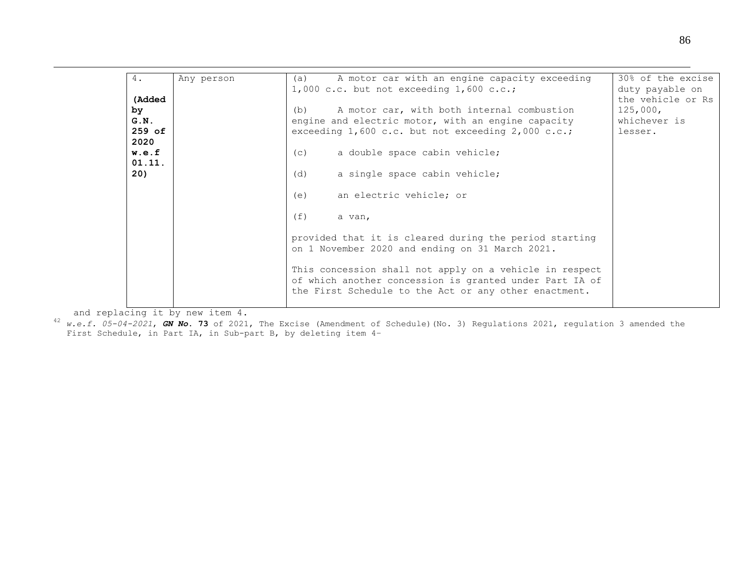| 4.               | Any person | A motor car with an engine capacity exceeding<br>(a)<br>$1,000$ c.c. but not exceeding $1,600$ c.c.;                                                                        | 30% of the excise<br>duty payable on |
|------------------|------------|-----------------------------------------------------------------------------------------------------------------------------------------------------------------------------|--------------------------------------|
| (Added           |            |                                                                                                                                                                             | the vehicle or Rs                    |
| by               |            | A motor car, with both internal combustion<br>(b)                                                                                                                           | 125,000,                             |
| G.N.<br>$259$ of |            | engine and electric motor, with an engine capacity<br>exceeding $1,600$ c.c. but not exceeding $2,000$ c.c.;                                                                | whichever is<br>lesser.              |
| 2020             |            |                                                                                                                                                                             |                                      |
| w.e.f            |            | a double space cabin vehicle;<br>(C)                                                                                                                                        |                                      |
| 01.11.<br>20)    |            | (d)                                                                                                                                                                         |                                      |
|                  |            | a single space cabin vehicle;                                                                                                                                               |                                      |
|                  |            | an electric vehicle; or<br>(e)                                                                                                                                              |                                      |
|                  |            | (f)<br>a van,                                                                                                                                                               |                                      |
|                  |            | provided that it is cleared during the period starting<br>on 1 November 2020 and ending on 31 March 2021.                                                                   |                                      |
|                  |            | This concession shall not apply on a vehicle in respect<br>of which another concession is granted under Part IA of<br>the First Schedule to the Act or any other enactment. |                                      |

and replacing it by new item 4.

1

<sup>42</sup> *w.e.f. 05-04-2021*, *GN No*. **73** of 2021, The Excise (Amendment of Schedule)(No. 3) Regulations 2021, regulation 3 amended the First Schedule, in Part IA, in Sub-part B, by deleting item 4–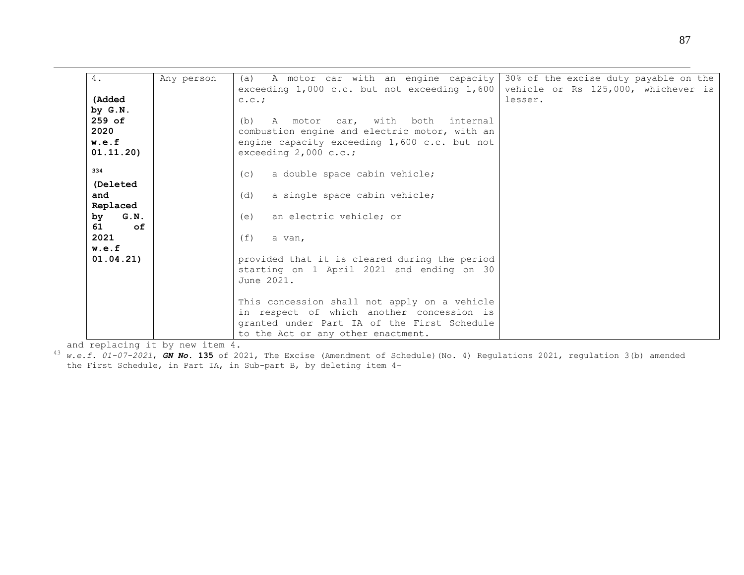| 4.         | Any person | A motor car with an engine capacity 30% of the excise duty payable on the<br>(a) |         |
|------------|------------|----------------------------------------------------------------------------------|---------|
| (Added     |            | exceeding 1,000 c.c. but not exceeding 1,600 vehicle or Rs 125,000, whichever is | lesser. |
|            |            | C.C.                                                                             |         |
| by G.N.    |            |                                                                                  |         |
| $259$ of   |            | A motor car, with both internal<br>(b)                                           |         |
| 2020       |            | combustion engine and electric motor, with an                                    |         |
| w.e.f      |            | engine capacity exceeding 1,600 c.c. but not                                     |         |
| 01.11.20)  |            | exceeding $2,000$ c.c.;                                                          |         |
| 334        |            | a double space cabin vehicle;<br>(C)                                             |         |
| (Deleted   |            |                                                                                  |         |
| and        |            | a single space cabin vehicle;<br>(d)                                             |         |
| Replaced   |            |                                                                                  |         |
| by<br>G.N. |            | an electric vehicle; or<br>(e)                                                   |         |
| 61<br>of   |            |                                                                                  |         |
| 2021       |            | (f)<br>a van,                                                                    |         |
| w.e.f      |            |                                                                                  |         |
| 01.04.21)  |            | provided that it is cleared during the period                                    |         |
|            |            | starting on 1 April 2021 and ending on 30                                        |         |
|            |            | June 2021.                                                                       |         |
|            |            | This concession shall not apply on a vehicle                                     |         |
|            |            | in respect of which another concession is                                        |         |
|            |            | granted under Part IA of the First Schedule                                      |         |
|            |            | to the Act or any other enactment.                                               |         |

and replacing it by new item 4.

1

<sup>43</sup> *w.e.f. 01-07-2021*, *GN No*. **135** of 2021, The Excise (Amendment of Schedule)(No. 4) Regulations 2021, regulation 3(b) amended the First Schedule, in Part IA, in Sub-part B, by deleting item 4–